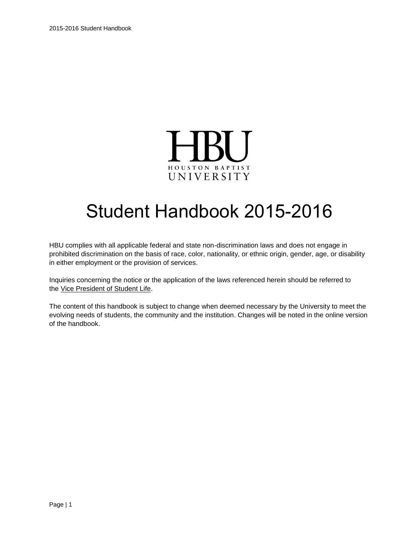

# Student Handbook 2015-2016

HBU complies with all applicable federal and state non-discrimination laws and does not engage in prohibited discrimination on the basis of race, color, nationality, or ethnic origin, gender, age, or disability in either employment or the provision of services.

Inquiries concerning the notice or the application of the laws referenced herein should be referred to the Vice President [of Student Life.](mailto:studentlife@hbu.edu)

The content of this handbook is subject to change when deemed necessary by the University to meet the evolving needs of students, the community and the institution. Changes will be noted in the online version of the handbook.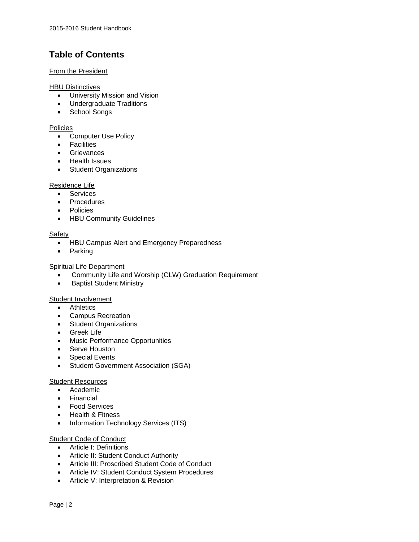# **Table of Contents**

#### [From the President](https://hbu.edu/Students-Alumni/Student-Resources/Student-Handbook/From-the-President.aspx)

#### **[HBU Distinctives](https://hbu.edu/Students-Alumni/Student-Resources/Student-Handbook/HBU-Distinctives.aspx)**

- University Mission and Vision
- Undergraduate Traditions
- School Songs

#### [Policies](https://hbu.edu/Students-Alumni/Student-Resources/Student-Handbook/Policies.aspx)

- Computer Use Policy
- Facilities
- **•** Grievances
- Health Issues
- Student Organizations

#### [Residence Life](https://hbu.edu/Students-Alumni/Student-Resources/Student-Handbook/Residence-Life.aspx)

- **•** Services
- Procedures
- Policies
- HBU Community Guidelines

#### [Safety](https://hbu.edu/Students-Alumni/Student-Resources/Student-Handbook/Safety.aspx)

- HBU Campus Alert and Emergency Preparedness
- Parking

#### [Spiritual Life Department](https://hbu.edu/Students-Alumni/Student-Resources/Student-Handbook/Spiritual-Life-Department.aspx)

- Community Life and Worship (CLW) Graduation Requirement
- Baptist Student Ministry

#### Student [Involvement](https://hbu.edu/Students-Alumni/Student-Resources/Student-Handbook/Student-Involvment.aspx)

- Athletics
- Campus Recreation
- Student Organizations
- Greek Life
- Music Performance Opportunities
- Serve Houston
- Special Events
- Student Government Association (SGA)

#### [Student Resources](https://hbu.edu/Students-Alumni/Student-Resources/Student-Handbook/Student-Resources.aspx)

- Academic
- Financial
- Food Services
- Health & Fitness
- Information Technology Services (ITS)

#### [Student Code of Conduct](https://hbu.edu/Students-Alumni/Student-Resources/Student-Handbook/Student-Code-of-Conduct.aspx)

- Article I: Definitions
- Article II: Student Conduct Authority
- Article III: Proscribed Student Code of Conduct
- Article IV: Student Conduct System Procedures
- Article V: Interpretation & Revision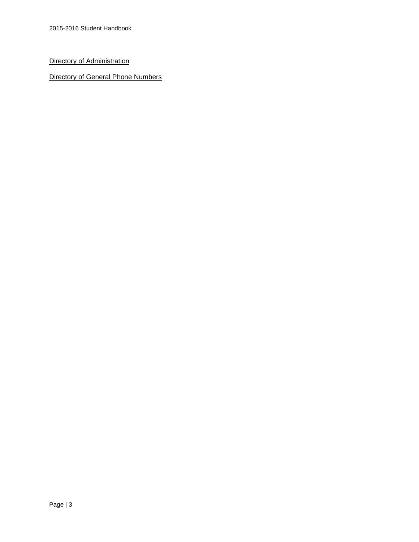**[Directory of Administration](https://hbu.edu/About-HBU/General-Information/University-Leadership/University-Administrative-Team.aspx)** 

[Directory of General Phone Numbers](https://hbu.edu/About-HBU/Resources/Directory.aspx)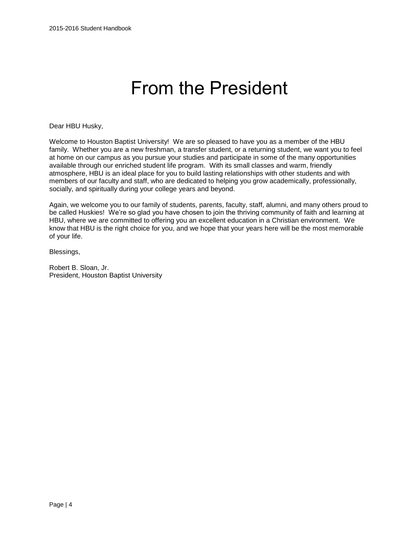# From the President

Dear HBU Husky,

Welcome to Houston Baptist University! We are so pleased to have you as a member of the HBU family. Whether you are a new freshman, a transfer student, or a returning student, we want you to feel at home on our campus as you pursue your studies and participate in some of the many opportunities available through our enriched student life program. With its small classes and warm, friendly atmosphere, HBU is an ideal place for you to build lasting relationships with other students and with members of our faculty and staff, who are dedicated to helping you grow academically, professionally, socially, and spiritually during your college years and beyond.

Again, we welcome you to our family of students, parents, faculty, staff, alumni, and many others proud to be called Huskies! We're so glad you have chosen to join the thriving community of faith and learning at HBU, where we are committed to offering you an excellent education in a Christian environment. We know that HBU is the right choice for you, and we hope that your years here will be the most memorable of your life.

Blessings,

Robert B. Sloan, Jr. President, Houston Baptist University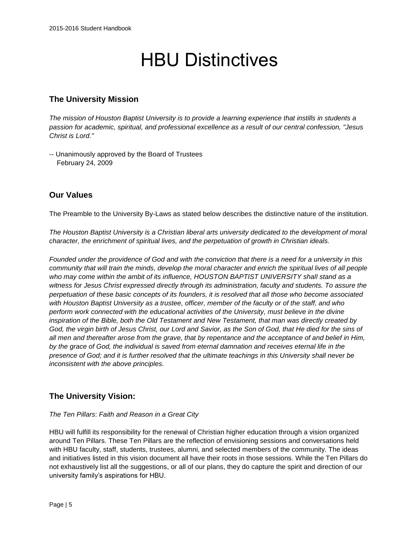# HBU Distinctives

# **The University Mission**

*The mission of Houston Baptist University is to provide a learning experience that instills in students a passion for academic, spiritual, and professional excellence as a result of our central confession, "Jesus Christ is Lord."*

-- Unanimously approved by the Board of Trustees February 24, 2009

# **Our Values**

The Preamble to the University By-Laws as stated below describes the distinctive nature of the institution.

*The Houston Baptist University is a Christian liberal arts university dedicated to the development of moral character, the enrichment of spiritual lives, and the perpetuation of growth in Christian ideals.*

*Founded under the providence of God and with the conviction that there is a need for a university in this community that will train the minds, develop the moral character and enrich the spiritual lives of all people who may come within the ambit of its influence, HOUSTON BAPTIST UNIVERSITY shall stand as a witness for Jesus Christ expressed directly through its administration, faculty and students. To assure the perpetuation of these basic concepts of its founders, it is resolved that all those who become associated with Houston Baptist University as a trustee, officer, member of the faculty or of the staff, and who perform work connected with the educational activities of the University, must believe in the divine inspiration of the Bible, both the Old Testament and New Testament, that man was directly created by God, the virgin birth of Jesus Christ, our Lord and Savior, as the Son of God, that He died for the sins of all men and thereafter arose from the grave, that by repentance and the acceptance of and belief in Him, by the grace of God, the individual is saved from eternal damnation and receives eternal life in the presence of God; and it is further resolved that the ultimate teachings in this University shall never be inconsistent with the above principles.*

# **The University Vision:**

#### *The Ten Pillars*: *Faith and Reason in a Great City*

HBU will fulfill its responsibility for the renewal of Christian higher education through a vision organized around Ten Pillars. These Ten Pillars are the reflection of envisioning sessions and conversations held with HBU faculty, staff, students, trustees, alumni, and selected members of the community. The ideas and initiatives listed in this vision document all have their roots in those sessions. While the Ten Pillars do not exhaustively list all the suggestions, or all of our plans, they do capture the spirit and direction of our university family's aspirations for HBU.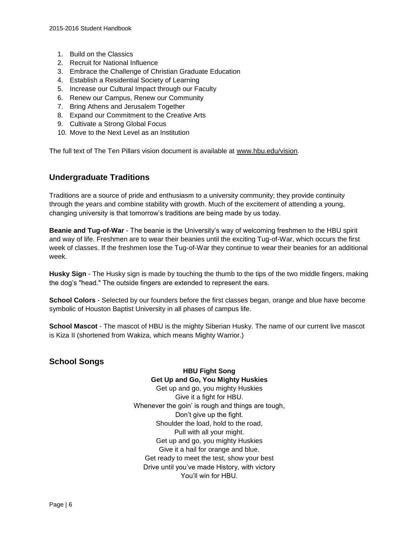- 1. Build on the Classics
- 2. Recruit for National Influence
- 3. Embrace the Challenge of Christian Graduate Education
- 4. Establish a Residential Society of Learning
- 5. Increase our Cultural Impact through our Faculty
- 6. Renew our Campus, Renew our Community
- 7. Bring Athens and Jerusalem Together
- 8. Expand our Commitment to the Creative Arts
- 9. Cultivate a Strong Global Focus
- 10. Move to the Next Level as an Institution

The full text of The Ten Pillars vision document is available at [www.hbu.edu/vision.](http://www.hbu.edu/vision)

# **Undergraduate Traditions**

Traditions are a source of pride and enthusiasm to a university community; they provide continuity through the years and combine stability with growth. Much of the excitement of attending a young, changing university is that tomorrow's traditions are being made by us today.

**Beanie and Tug-of-War** - The beanie is the University's way of welcoming freshmen to the HBU spirit and way of life. Freshmen are to wear their beanies until the exciting Tug-of-War, which occurs the first week of classes. If the freshmen lose the Tug-of-War they continue to wear their beanies for an additional week.

**Husky Sign** - The Husky sign is made by touching the thumb to the tips of the two middle fingers, making the dog's "head." The outside fingers are extended to represent the ears.

**School Colors** - Selected by our founders before the first classes began, orange and blue have become symbolic of Houston Baptist University in all phases of campus life.

**School Mascot** - The mascot of HBU is the mighty Siberian Husky. The name of our current live mascot is Kiza II (shortened from Wakiza, which means Mighty Warrior.)

# **School Songs**

**HBU Fight Song Get Up and Go, You Mighty Huskies**  Get up and go, you mighty Huskies Give it a fight for HBU. Whenever the goin' is rough and things are tough, Don't give up the fight. Shoulder the load, hold to the road, Pull with all your might. Get up and go, you mighty Huskies Give it a hail for orange and blue. Get ready to meet the test, show your best Drive until you've made History, with victory You'll win for HBU.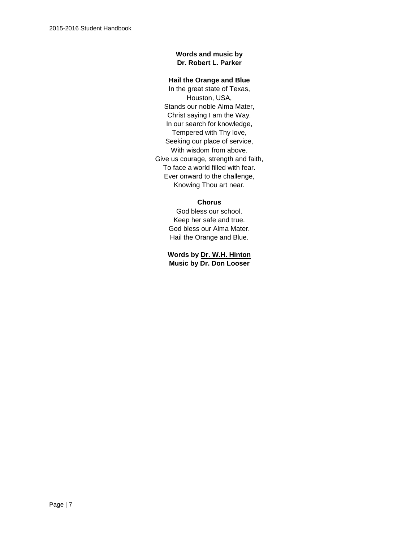#### **Words and music by Dr. Robert L. Parker**

#### **Hail the Orange and Blue**

In the great state of Texas, Houston, USA, Stands our noble Alma Mater, Christ saying I am the Way. In our search for knowledge, Tempered with Thy love, Seeking our place of service, With wisdom from above. Give us courage, strength and faith, To face a world filled with fear. Ever onward to the challenge, Knowing Thou art near.

#### **Chorus**

God bless our school. Keep her safe and true. God bless our Alma Mater. Hail the Orange and Blue.

**Words by [Dr. W.H. Hinton](https://hbu.edu/About-HBU/General-Information/University-Leadership/Presidents-of-HBU/Dr-William-H-Hinton.aspx) Music by Dr. Don Looser**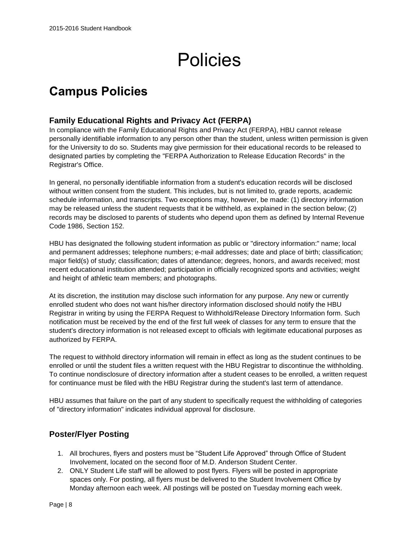# Policies

# **Campus Policies**

# **Family Educational Rights and Privacy Act (FERPA)**

In compliance with the Family Educational Rights and Privacy Act (FERPA), HBU cannot release personally identifiable information to any person other than the student, unless written permission is given for the University to do so. Students may give permission for their educational records to be released to designated parties by completing the "FERPA Authorization to Release Education Records" in the Registrar's Office.

In general, no personally identifiable information from a student's education records will be disclosed without written consent from the student. This includes, but is not limited to, grade reports, academic schedule information, and transcripts. Two exceptions may, however, be made: (1) directory information may be released unless the student requests that it be withheld, as explained in the section below; (2) records may be disclosed to parents of students who depend upon them as defined by Internal Revenue Code 1986, Section 152.

HBU has designated the following student information as public or "directory information:" name; local and permanent addresses; telephone numbers; e-mail addresses; date and place of birth; classification; major field(s) of study; classification; dates of attendance; degrees, honors, and awards received; most recent educational institution attended; participation in officially recognized sports and activities; weight and height of athletic team members; and photographs.

At its discretion, the institution may disclose such information for any purpose. Any new or currently enrolled student who does not want his/her directory information disclosed should notify the HBU Registrar in writing by using the FERPA Request to Withhold/Release Directory Information form. Such notification must be received by the end of the first full week of classes for any term to ensure that the student's directory information is not released except to officials with legitimate educational purposes as authorized by FERPA.

The request to withhold directory information will remain in effect as long as the student continues to be enrolled or until the student files a written request with the HBU Registrar to discontinue the withholding. To continue nondisclosure of directory information after a student ceases to be enrolled, a written request for continuance must be filed with the HBU Registrar during the student's last term of attendance.

HBU assumes that failure on the part of any student to specifically request the withholding of categories of "directory information" indicates individual approval for disclosure.

# **Poster/Flyer Posting**

- 1. All brochures, flyers and posters must be "Student Life Approved" through Office of Student Involvement, located on the second floor of M.D. Anderson Student Center.
- 2. ONLY Student Life staff will be allowed to post flyers. Flyers will be posted in appropriate spaces only. For posting, all flyers must be delivered to the Student Involvement Office by Monday afternoon each week. All postings will be posted on Tuesday morning each week.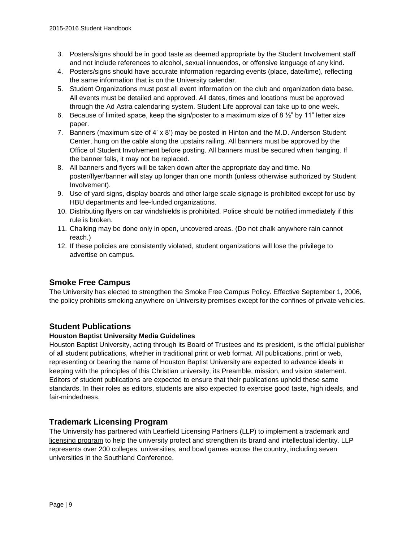- 3. Posters/signs should be in good taste as deemed appropriate by the Student Involvement staff and not include references to alcohol, sexual innuendos, or offensive language of any kind.
- 4. Posters/signs should have accurate information regarding events (place, date/time), reflecting the same information that is on the University calendar.
- 5. Student Organizations must post all event information on the club and organization data base. All events must be detailed and approved. All dates, times and locations must be approved through the Ad Astra calendaring system. Student Life approval can take up to one week.
- 6. Because of limited space, keep the sign/poster to a maximum size of 8  $\frac{1}{2}$ " by 11" letter size paper.
- 7. Banners (maximum size of 4' x 8') may be posted in Hinton and the M.D. Anderson Student Center, hung on the cable along the upstairs railing. All banners must be approved by the Office of Student Involvement before posting. All banners must be secured when hanging. If the banner falls, it may not be replaced.
- 8. All banners and flyers will be taken down after the appropriate day and time. No poster/flyer/banner will stay up longer than one month (unless otherwise authorized by Student Involvement).
- 9. Use of yard signs, display boards and other large scale signage is prohibited except for use by HBU departments and fee-funded organizations.
- 10. Distributing flyers on car windshields is prohibited. Police should be notified immediately if this rule is broken.
- 11. Chalking may be done only in open, uncovered areas. (Do not chalk anywhere rain cannot reach.)
- 12. If these policies are consistently violated, student organizations will lose the privilege to advertise on campus.

# **Smoke Free Campus**

The University has elected to strengthen the Smoke Free Campus Policy. Effective September 1, 2006, the policy prohibits smoking anywhere on University premises except for the confines of private vehicles.

## **Student Publications**

#### **Houston Baptist University Media Guidelines**

Houston Baptist University, acting through its Board of Trustees and its president, is the official publisher of all student publications, whether in traditional print or web format. All publications, print or web, representing or bearing the name of Houston Baptist University are expected to advance ideals in keeping with the principles of this Christian university, its Preamble, mission, and vision statement. Editors of student publications are expected to ensure that their publications uphold these same standards. In their roles as editors, students are also expected to exercise good taste, high ideals, and fair-mindedness.

## **Trademark Licensing Program**

The University has partnered with Learfield Licensing Partners (LLP) to implement a [trademark and](http://www.hbu.edu/HBU/media/HBU/publications/UniversityPolicies/HBULogoTrademarkLicensing.pdf)  [licensing program](http://www.hbu.edu/HBU/media/HBU/publications/UniversityPolicies/HBULogoTrademarkLicensing.pdf) to help the university protect and strengthen its brand and intellectual identity. LLP represents over 200 colleges, universities, and bowl games across the country, including seven universities in the Southland Conference.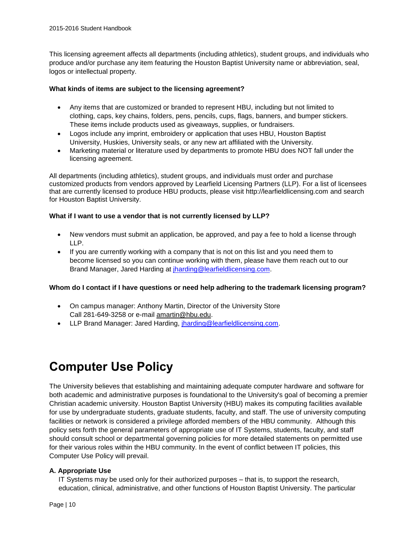This licensing agreement affects all departments (including athletics), student groups, and individuals who produce and/or purchase any item featuring the Houston Baptist University name or abbreviation, seal, logos or intellectual property.

#### **What kinds of items are subject to the licensing agreement?**

- Any items that are customized or branded to represent HBU, including but not limited to clothing, caps, key chains, folders, pens, pencils, cups, flags, banners, and bumper stickers. These items include products used as giveaways, supplies, or fundraisers.
- Logos include any imprint, embroidery or application that uses HBU, Houston Baptist University, Huskies, University seals, or any new art affiliated with the University.
- Marketing material or literature used by departments to promote HBU does NOT fall under the licensing agreement.

All departments (including athletics), student groups, and individuals must order and purchase customized products from vendors approved by Learfield Licensing Partners (LLP). For a list of licensees that are currently licensed to produce HBU products, please visit http://learfieldlicensing.com and search for Houston Baptist University.

#### **What if I want to use a vendor that is not currently licensed by LLP?**

- New vendors must submit an application, be approved, and pay a fee to hold a license through LLP.
- If you are currently working with a company that is not on this list and you need them to become licensed so you can continue working with them, please have them reach out to our Brand Manager, Jared Harding at [jharding@learfieldlicensing.com.](mailto:jharding@learfieldlicensing.com)

#### **Whom do I contact if I have questions or need help adhering to the trademark licensing program?**

- On campus manager: Anthony Martin, Director of the University Store Call 281-649-3258 or e-mai[l amartin@hbu.edu.](mailto:amartin@hbu.edu)
- LLP Brand Manager: Jared Harding, [jharding@learfieldlicensing.com.](mailto:jharding@learfieldlicensing.com)

# **Computer Use Policy**

The University believes that establishing and maintaining adequate computer hardware and software for both academic and administrative purposes is foundational to the University's goal of becoming a premier Christian academic university. Houston Baptist University (HBU) makes its computing facilities available for use by undergraduate students, graduate students, faculty, and staff. The use of university computing facilities or network is considered a privilege afforded members of the HBU community. Although this policy sets forth the general parameters of appropriate use of IT Systems, students, faculty, and staff should consult school or departmental governing policies for more detailed statements on permitted use for their various roles within the HBU community. In the event of conflict between IT policies, this Computer Use Policy will prevail.

#### **A. Appropriate Use**

IT Systems may be used only for their authorized purposes – that is, to support the research, education, clinical, administrative, and other functions of Houston Baptist University. The particular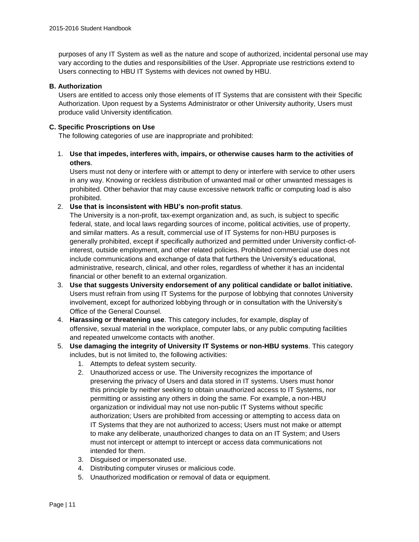purposes of any IT System as well as the nature and scope of authorized, incidental personal use may vary according to the duties and responsibilities of the User. Appropriate use restrictions extend to Users connecting to HBU IT Systems with devices not owned by HBU.

#### **B. Authorization**

Users are entitled to access only those elements of IT Systems that are consistent with their Specific Authorization. Upon request by a Systems Administrator or other University authority, Users must produce valid University identification.

#### **C. Specific Proscriptions on Use**

The following categories of use are inappropriate and prohibited:

#### 1. **Use that impedes, interferes with, impairs, or otherwise causes harm to the activities of others**.

Users must not deny or interfere with or attempt to deny or interfere with service to other users in any way. Knowing or reckless distribution of unwanted mail or other unwanted messages is prohibited. Other behavior that may cause excessive network traffic or computing load is also prohibited.

#### 2. **Use that is inconsistent with HBU's non-profit status**.

The University is a non-profit, tax-exempt organization and, as such, is subject to specific federal, state, and local laws regarding sources of income, political activities, use of property, and similar matters. As a result, commercial use of IT Systems for non-HBU purposes is generally prohibited, except if specifically authorized and permitted under University conflict-ofinterest, outside employment, and other related policies. Prohibited commercial use does not include communications and exchange of data that furthers the University's educational, administrative, research, clinical, and other roles, regardless of whether it has an incidental financial or other benefit to an external organization.

- 3. **Use that suggests University endorsement of any political candidate or ballot initiative.** Users must refrain from using IT Systems for the purpose of lobbying that connotes University involvement, except for authorized lobbying through or in consultation with the University's Office of the General Counsel.
- 4. **Harassing or threatening use**. This category includes, for example, display of offensive, sexual material in the workplace, computer labs, or any public computing facilities and repeated unwelcome contacts with another.
- 5. **Use damaging the integrity of University IT Systems or non-HBU systems**. This category includes, but is not limited to, the following activities:
	- 1. Attempts to defeat system security.
	- 2. Unauthorized access or use. The University recognizes the importance of preserving the privacy of Users and data stored in IT systems. Users must honor this principle by neither seeking to obtain unauthorized access to IT Systems, nor permitting or assisting any others in doing the same. For example, a non-HBU organization or individual may not use non-public IT Systems without specific authorization; Users are prohibited from accessing or attempting to access data on IT Systems that they are not authorized to access; Users must not make or attempt to make any deliberate, unauthorized changes to data on an IT System; and Users must not intercept or attempt to intercept or access data communications not intended for them.
	- 3. Disguised or impersonated use.
	- 4. Distributing computer viruses or malicious code.
	- 5. Unauthorized modification or removal of data or equipment.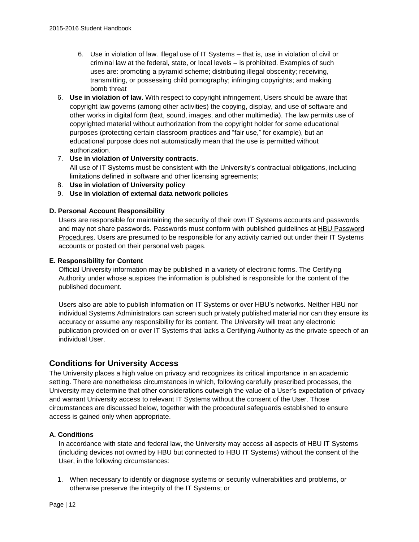- 6. Use in violation of law. Illegal use of IT Systems that is, use in violation of civil or criminal law at the federal, state, or local levels – is prohibited. Examples of such uses are: promoting a pyramid scheme; distributing illegal obscenity; receiving, transmitting, or possessing child pornography; infringing copyrights; and making bomb threat
- 6. **Use in violation of law.** With respect to copyright infringement, Users should be aware that copyright law governs (among other activities) the copying, display, and use of software and other works in digital form (text, sound, images, and other multimedia). The law permits use of copyrighted material without authorization from the copyright holder for some educational purposes (protecting certain classroom practices and "fair use," for example), but an educational purpose does not automatically mean that the use is permitted without authorization.

#### 7. **Use in violation of University contracts**.

All use of IT Systems must be consistent with the University's contractual obligations, including limitations defined in software and other licensing agreements;

- 8. **Use in violation of University policy**
- 9. **Use in violation of external data network policies**

#### **D. Personal Account Responsibility**

Users are responsible for maintaining the security of their own IT Systems accounts and passwords and may not share passwords. Passwords must conform with published guidelines at [HBU Password](http://hbu.edu/PasswordRequirements)  [Procedures.](http://hbu.edu/PasswordRequirements) Users are presumed to be responsible for any activity carried out under their IT Systems accounts or posted on their personal web pages.

#### **E. Responsibility for Content**

Official University information may be published in a variety of electronic forms. The Certifying Authority under whose auspices the information is published is responsible for the content of the published document.

Users also are able to publish information on IT Systems or over HBU's networks. Neither HBU nor individual Systems Administrators can screen such privately published material nor can they ensure its accuracy or assume any responsibility for its content. The University will treat any electronic publication provided on or over IT Systems that lacks a Certifying Authority as the private speech of an individual User.

## **Conditions for University Access**

The University places a high value on privacy and recognizes its critical importance in an academic setting. There are nonetheless circumstances in which, following carefully prescribed processes, the University may determine that other considerations outweigh the value of a User's expectation of privacy and warrant University access to relevant IT Systems without the consent of the User. Those circumstances are discussed below, together with the procedural safeguards established to ensure access is gained only when appropriate.

#### **A. Conditions**

In accordance with state and federal law, the University may access all aspects of HBU IT Systems (including devices not owned by HBU but connected to HBU IT Systems) without the consent of the User, in the following circumstances:

1. When necessary to identify or diagnose systems or security vulnerabilities and problems, or otherwise preserve the integrity of the IT Systems; or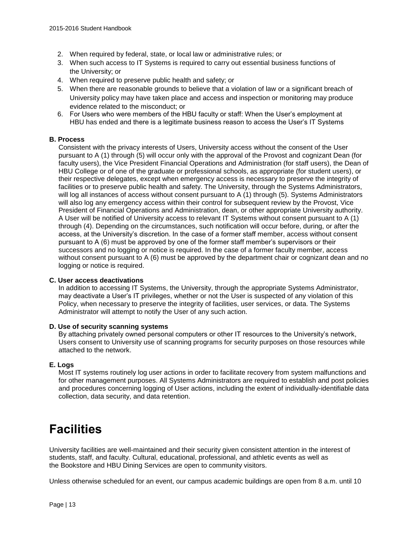- 2. When required by federal, state, or local law or administrative rules; or
- 3. When such access to IT Systems is required to carry out essential business functions of the University; or
- 4. When required to preserve public health and safety; or
- 5. When there are reasonable grounds to believe that a violation of law or a significant breach of University policy may have taken place and access and inspection or monitoring may produce evidence related to the misconduct; or
- 6. For Users who were members of the HBU faculty or staff: When the User's employment at HBU has ended and there is a legitimate business reason to access the User's IT Systems

#### **B. Process**

Consistent with the privacy interests of Users, University access without the consent of the User pursuant to A (1) through (5) will occur only with the approval of the Provost and cognizant Dean (for faculty users), the Vice President Financial Operations and Administration (for staff users), the Dean of HBU College or of one of the graduate or professional schools, as appropriate (for student users), or their respective delegates, except when emergency access is necessary to preserve the integrity of facilities or to preserve public health and safety. The University, through the Systems Administrators, will log all instances of access without consent pursuant to A (1) through (5). Systems Administrators will also log any emergency access within their control for subsequent review by the Provost, Vice President of Financial Operations and Administration, dean, or other appropriate University authority. A User will be notified of University access to relevant IT Systems without consent pursuant to A (1) through (4). Depending on the circumstances, such notification will occur before, during, or after the access, at the University's discretion. In the case of a former staff member, access without consent pursuant to A (6) must be approved by one of the former staff member's supervisors or their successors and no logging or notice is required. In the case of a former faculty member, access without consent pursuant to A (6) must be approved by the department chair or cognizant dean and no logging or notice is required.

#### **C. User access deactivations**

In addition to accessing IT Systems, the University, through the appropriate Systems Administrator, may deactivate a User's IT privileges, whether or not the User is suspected of any violation of this Policy, when necessary to preserve the integrity of facilities, user services, or data. The Systems Administrator will attempt to notify the User of any such action.

#### **D. Use of security scanning systems**

By attaching privately owned personal computers or other IT resources to the University's network, Users consent to University use of scanning programs for security purposes on those resources while attached to the network.

#### **E. Logs**

Most IT systems routinely log user actions in order to facilitate recovery from system malfunctions and for other management purposes. All Systems Administrators are required to establish and post policies and procedures concerning logging of User actions, including the extent of individually-identifiable data collection, data security, and data retention.

# **Facilities**

University facilities are well-maintained and their security given consistent attention in the interest of students, staff, and faculty. Cultural, educational, professional, and athletic events as well as the Bookstore and [HBU Dining Services](http://www.campusdish.com/en-US/CSSW/HoustonBaptist) are open to community visitors.

Unless otherwise scheduled for an event, our campus academic buildings are open from 8 a.m. until 10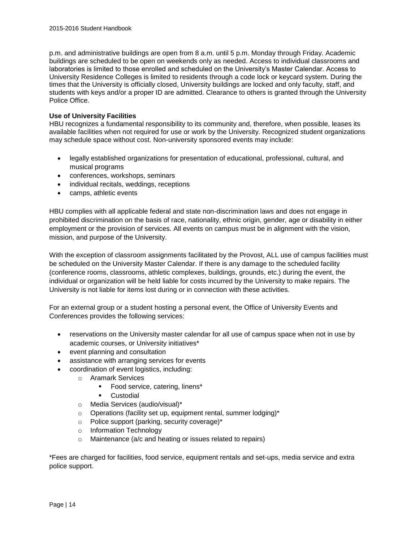p.m. and administrative buildings are open from 8 a.m. until 5 p.m. Monday through Friday. Academic buildings are scheduled to be open on weekends only as needed. Access to individual classrooms and laboratories is limited to those enrolled and scheduled on the University's Master Calendar. Access to University Residence Colleges is limited to residents through a code lock or keycard system. During the times that the University is officially closed, University buildings are locked and only faculty, staff, and students with keys and/or a proper ID are admitted. Clearance to others is granted through the University Police Office.

#### **Use of University Facilities**

HBU recognizes a fundamental responsibility to its community and, therefore, when possible, leases its available facilities when not required for use or work by the University. Recognized student organizations may schedule space without cost. Non-university sponsored events may include:

- legally established organizations for presentation of educational, professional, cultural, and musical programs
- conferences, workshops, seminars
- individual recitals, weddings, receptions
- camps, athletic events

HBU complies with all applicable federal and state non-discrimination laws and does not engage in prohibited discrimination on the basis of race, nationality, ethnic origin, gender, age or disability in either employment or the provision of services. All events on campus must be in alignment with the vision, mission, and purpose of the University.

With the exception of classroom assignments facilitated by the Provost, ALL use of campus facilities must be scheduled on the University Master Calendar. If there is any damage to the scheduled facility (conference rooms, classrooms, athletic complexes, buildings, grounds, etc.) during the event, the individual or organization will be held liable for costs incurred by the University to make repairs. The University is not liable for items lost during or in connection with these activities.

For an external group or a student hosting a personal event, the Office of University Events and Conferences provides the following services:

- reservations on the University master calendar for all use of campus space when not in use by academic courses, or University initiatives\*
- event planning and consultation
- assistance with arranging services for events
- coordination of event logistics, including:
	- o Aramark Services
		- Food service, catering, linens\*
		- **Custodial**
	- o Media Services (audio/visual)\*
	- o Operations (facility set up, equipment rental, summer lodging)\*
	- o Police support (parking, security coverage)\*
	- o Information Technology
	- o Maintenance (a/c and heating or issues related to repairs)

\*Fees are charged for facilities, food service, equipment rentals and set-ups, media service and extra police support.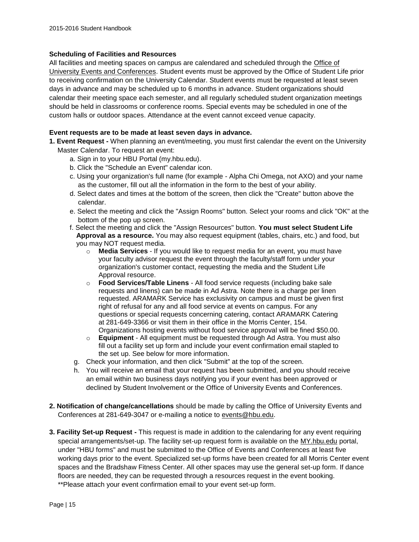#### **Scheduling of Facilities and Resources**

All facilities and meeting spaces on campus are calendared and scheduled through the [Office of](https://hbu.edu/About-HBU/Resources/University-Events-and-Conferences.aspx)  [University Events and Conferences.](https://hbu.edu/About-HBU/Resources/University-Events-and-Conferences.aspx) Student events must be approved by the Office of Student Life prior to receiving confirmation on the University Calendar. Student events must be requested at least seven days in advance and may be scheduled up to 6 months in advance. Student organizations should calendar their meeting space each semester, and all regularly scheduled student organization meetings should be held in classrooms or conference rooms. Special events may be scheduled in one of the custom halls or outdoor spaces. Attendance at the event cannot exceed venue capacity.

#### **Event requests are to be made at least seven days in advance.**

- **1. Event Request -** When planning an event/meeting, you must first calendar the event on the University Master Calendar. To request an event:
	- a. Sign in to your HBU Portal (my.hbu.edu).
	- b. Click the "Schedule an Event" calendar icon.
	- c. Using your organization's full name (for example Alpha Chi Omega, not AXO) and your name as the customer, fill out all the information in the form to the best of your ability.
	- d. Select dates and times at the bottom of the screen, then click the "Create" button above the calendar.
	- e. Select the meeting and click the "Assign Rooms" button. Select your rooms and click "OK" at the bottom of the pop up screen.
	- f. Select the meeting and click the "Assign Resources" button. **You must select Student Life Approval as a resource.** You may also request equipment (tables, chairs, etc.) and food, but you may NOT request media.
		- o **Media Services** If you would like to request media for an event, you must have your faculty advisor request the event through the faculty/staff form under your organization's customer contact, requesting the media and the Student Life Approval resource.
		- o **Food Services/Table Linens** All food service requests (including bake sale requests and linens) can be made in Ad Astra. Note there is a charge per linen requested. ARAMARK Service has exclusivity on campus and must be given first right of refusal for any and all food service at events on campus. For any questions or special requests concerning catering, contact ARAMARK Catering at 281-649-3366 or visit them in their office in the Morris Center, 154. Organizations hosting events without food service approval will be fined \$50.00.
		- o **Equipment** All equipment must be requested through Ad Astra. You must also fill out a facility set up form and include your event confirmation email stapled to the set up. See below for more information.
		- g. Check your information, and then click "Submit" at the top of the screen.
		- h. You will receive an email that your request has been submitted, and you should receive an email within two business days notifying you if your event has been approved or declined by Student Involvement or the Office of University Events and Conferences.
- **2. Notification of change/cancellations** should be made by calling the Office of University Events and Conferences at 281-649-3047 or e-mailing a notice to [events@hbu.edu.](mailto:events@hbu.edu)
- **3. Facility Set-up Request -** This request is made in addition to the calendaring for any event requiring special arrangements/set-up. The facility set-up request form is available on the [MY.hbu.edu](http://my.hbu.edu/) portal, under "HBU forms" and must be submitted to the Office of Events and Conferences at least five working days prior to the event. Specialized set-up forms have been created for all Morris Center event spaces and the Bradshaw Fitness Center. All other spaces may use the general set-up form. If dance floors are needed, they can be requested through a resources request in the event booking. \*\*Please attach your event confirmation email to your event set-up form.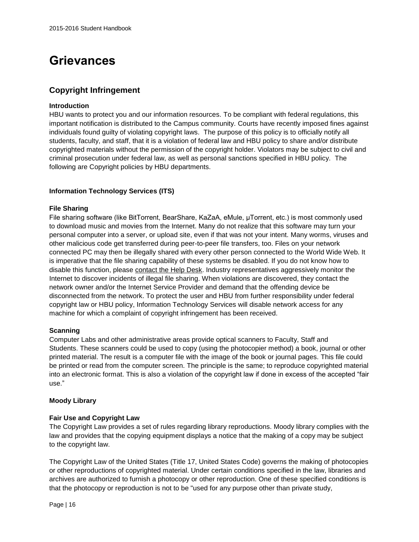# **Grievances**

# **Copyright Infringement**

#### **Introduction**

HBU wants to protect you and our information resources. To be compliant with federal regulations, this important notification is distributed to the Campus community. Courts have recently imposed fines against individuals found guilty of violating copyright laws. The purpose of this policy is to officially notify all students, faculty, and staff, that it is a violation of federal law and HBU policy to share and/or distribute copyrighted materials without the permission of the copyright holder. Violators may be subject to civil and criminal prosecution under federal law, as well as personal sanctions specified in HBU policy. The following are Copyright policies by HBU departments.

#### **Information Technology Services (ITS)**

#### **File Sharing**

File sharing software (like BitTorrent, BearShare, KaZaA, eMule, μTorrent, etc.) is most commonly used to download music and movies from the Internet. Many do not realize that this software may turn your personal computer into a server, or upload site, even if that was not your intent. Many worms, viruses and other malicious code get transferred during peer-to-peer file transfers, too. Files on your network connected PC may then be illegally shared with every other person connected to the World Wide Web. It is imperative that the file sharing capability of these systems be disabled. If you do not know how to disable this function, please [contact the Help Desk.](http://www.hbu.edu/Students-Alumni/Student-Resources/Information-Technology-Services-(ITS).aspx) Industry representatives aggressively monitor the Internet to discover incidents of illegal file sharing. When violations are discovered, they contact the network owner and/or the Internet Service Provider and demand that the offending device be disconnected from the network. To protect the user and HBU from further responsibility under federal copyright law or HBU policy, Information Technology Services will disable network access for any machine for which a complaint of copyright infringement has been received.

#### **Scanning**

Computer Labs and other administrative areas provide optical scanners to Faculty, Staff and Students. These scanners could be used to copy (using the photocopier method) a book, journal or other printed material. The result is a computer file with the image of the book or journal pages. This file could be printed or read from the computer screen. The principle is the same; to reproduce copyrighted material into an electronic format. This is also a violation of the copyright law if done in excess of the accepted "fair use."

#### **Moody Library**

#### **Fair Use and Copyright Law**

The Copyright Law provides a set of rules regarding library reproductions. Moody library complies with the law and provides that the copying equipment displays a notice that the making of a copy may be subject to the copyright law.

The Copyright Law of the United States (Title 17, United States Code) governs the making of photocopies or other reproductions of copyrighted material. Under certain conditions specified in the law, libraries and archives are authorized to furnish a photocopy or other reproduction. One of these specified conditions is that the photocopy or reproduction is not to be "used for any purpose other than private study,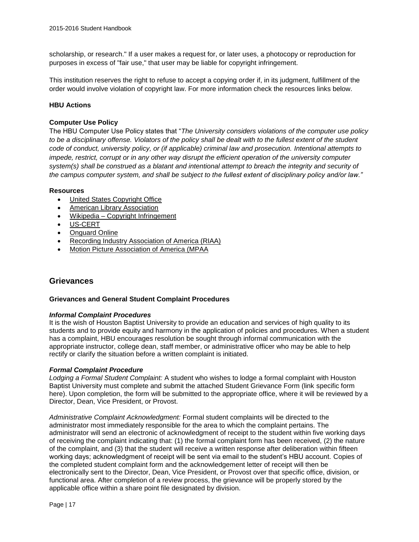scholarship, or research." If a user makes a request for, or later uses, a photocopy or reproduction for purposes in excess of "fair use," that user may be liable for copyright infringement.

This institution reserves the right to refuse to accept a copying order if, in its judgment, fulfillment of the order would involve violation of copyright law. For more information check the resources links below.

#### **HBU Actions**

#### **Computer Use Policy**

The HBU Computer Use Policy states that "*The University considers violations of the computer use policy to be a disciplinary offense. Violators of the policy shall be dealt with to the fullest extent of the student code of conduct, university policy, or (if applicable) criminal law and prosecution. Intentional attempts to impede, restrict, corrupt or in any other way disrupt the efficient operation of the university computer system(s) shall be construed as a blatant and intentional attempt to breach the integrity and security of the campus computer system, and shall be subject to the fullest extent of disciplinary policy and/or law."*

#### **Resources**

- [United States Copyright Office](http://www.copyright.gov/title17/92chap5.html#504)
- [American Library Association](http://www.ala.org/ala/aboutala/offices/wo/woissues/copyrightb/copyright.cfm)
- Wikipedia [Copyright Infringement](http://en.wikipedia.org/wiki/Copyright_infringement)
- [US-CERT](http://www.us-cert.gov/cas/tips/ST05-004.html)
- [Onguard Online](http://www.onguardonline.gov/topics/p2p-security.aspx)
- [Recording Industry Association of America \(RIAA\)](http://www.riaa.com/)
- [Motion Picture Association of America \(MPAA](http://www.mpaa.org/)

## **Grievances**

#### **Grievances and General Student Complaint Procedures**

#### *Informal Complaint Procedures*

It is the wish of Houston Baptist University to provide an education and services of high quality to its students and to provide equity and harmony in the application of policies and procedures. When a student has a complaint, HBU encourages resolution be sought through informal communication with the appropriate instructor, college dean, staff member, or administrative officer who may be able to help rectify or clarify the situation before a written complaint is initiated.

#### *Formal Complaint Procedure*

*Lodging a Formal Student Complaint:* A student who wishes to lodge a formal complaint with Houston Baptist University must complete and submit the attached Student Grievance Form (link specific form here). Upon completion, the form will be submitted to the appropriate office, where it will be reviewed by a Director, Dean, Vice President, or Provost.

*Administrative Complaint Acknowledgment:* Formal student complaints will be directed to the administrator most immediately responsible for the area to which the complaint pertains. The administrator will send an electronic of acknowledgment of receipt to the student within five working days of receiving the complaint indicating that: (1) the formal complaint form has been received, (2) the nature of the complaint, and (3) that the student will receive a written response after deliberation within fifteen working days; acknowledgment of receipt will be sent via email to the student's HBU account. Copies of the completed student complaint form and the acknowledgement letter of receipt will then be electronically sent to the Director, Dean, Vice President, or Provost over that specific office, division, or functional area. After completion of a review process, the grievance will be properly stored by the applicable office within a share point file designated by division.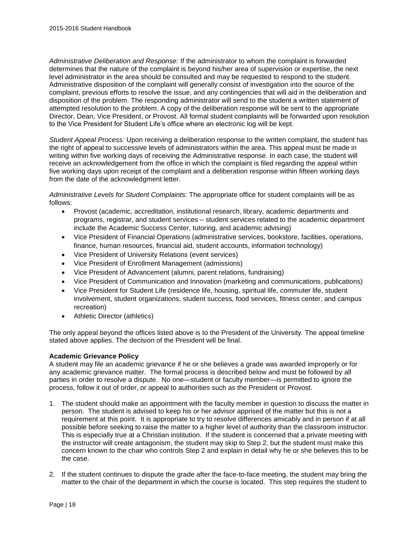*Administrative Deliberation and Response:* If the administrator to whom the complaint is forwarded determines that the nature of the complaint is beyond his/her area of supervision or expertise, the next level administrator in the area should be consulted and may be requested to respond to the student. Administrative disposition of the complaint will generally consist of investigation into the source of the complaint, previous efforts to resolve the issue, and any contingencies that will aid in the deliberation and disposition of the problem. The responding administrator will send to the student a written statement of attempted resolution to the problem. A copy of the deliberation response will be sent to the appropriate Director, Dean, Vice President, or Provost. All formal student complaints will be forwarded upon resolution to the Vice President for Student Life's office where an electronic log will be kept.

*Student Appeal Process:* Upon receiving a deliberation response to the written complaint, the student has the right of appeal to successive levels of administrators within the area. This appeal must be made in writing within five working days of receiving the Administrative response. In each case, the student will receive an acknowledgement from the office in which the complaint is filed regarding the appeal within five working days upon receipt of the complaint and a deliberation response within fifteen working days from the date of the acknowledgment letter.

*Administrative Levels for Student Complaints:* The appropriate office for student complaints will be as follows:

- Provost (academic, accreditation, institutional research, library, academic departments and programs, registrar, and student services – student services related to the academic department include the Academic Success Center, tutoring, and academic advising)
- Vice President of Financial Operations (administrative services, bookstore, facilities, operations, finance, human resources, financial aid, student accounts, information technology)
- Vice President of University Relations (event services)
- Vice President of Enrollment Management (admissions)
- Vice President of Advancement (alumni, parent relations, fundraising)
- Vice President of Communication and Innovation (marketing and communications, publications)
- Vice President for Student Life (residence life, housing, spiritual life, commuter life, student involvement, student organizations, student success, food services, fitness center, and campus recreation)
- Athletic Director (athletics)

The only appeal beyond the offices listed above is to the President of the University. The appeal timeline stated above applies. The decision of the President will be final.

#### **Academic Grievance Policy**

A student may file an academic grievance if he or she believes a grade was awarded improperly or for any academic grievance matter. The formal process is described below and must be followed by all parties in order to resolve a dispute. No one—student or faculty member—is permitted to ignore the process, follow it out of order, or appeal to authorities such as the President or Provost.

- 1. The student should make an appointment with the faculty member in question to discuss the matter in person. The student is advised to keep his or her advisor apprised of the matter but this is not a requirement at this point. It is appropriate to try to resolve differences amicably and in person if at all possible before seeking to raise the matter to a higher level of authority than the classroom instructor. This is especially true at a Christian institution. If the student is concerned that a private meeting with the instructor will create antagonism, the student may skip to Step 2, but the student must make this concern known to the chair who controls Step 2 and explain in detail why he or she believes this to be the case.
- 2. If the student continues to dispute the grade after the face-to-face meeting, the student may bring the matter to the chair of the department in which the course is located. This step requires the student to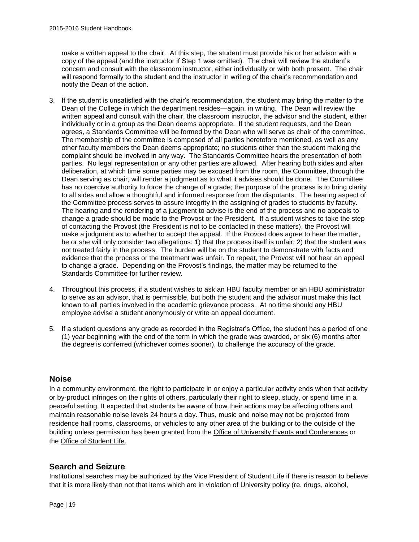make a written appeal to the chair. At this step, the student must provide his or her advisor with a copy of the appeal (and the instructor if Step 1 was omitted). The chair will review the student's concern and consult with the classroom instructor, either individually or with both present. The chair will respond formally to the student and the instructor in writing of the chair's recommendation and notify the Dean of the action.

- 3. If the student is unsatisfied with the chair's recommendation, the student may bring the matter to the Dean of the College in which the department resides—again, in writing. The Dean will review the written appeal and consult with the chair, the classroom instructor, the advisor and the student, either individually or in a group as the Dean deems appropriate. If the student requests, and the Dean agrees, a Standards Committee will be formed by the Dean who will serve as chair of the committee. The membership of the committee is composed of all parties heretofore mentioned, as well as any other faculty members the Dean deems appropriate; no students other than the student making the complaint should be involved in any way. The Standards Committee hears the presentation of both parties. No legal representation or any other parties are allowed. After hearing both sides and after deliberation, at which time some parties may be excused from the room, the Committee, through the Dean serving as chair, will render a judgment as to what it advises should be done. The Committee has no coercive authority to force the change of a grade; the purpose of the process is to bring clarity to all sides and allow a thoughtful and informed response from the disputants. The hearing aspect of the Committee process serves to assure integrity in the assigning of grades to students by faculty. The hearing and the rendering of a judgment to advise is the end of the process and no appeals to change a grade should be made to the Provost or the President. If a student wishes to take the step of contacting the Provost (the President is not to be contacted in these matters), the Provost will make a judgment as to whether to accept the appeal. If the Provost does agree to hear the matter, he or she will only consider two allegations: 1) that the process itself is unfair; 2) that the student was not treated fairly in the process. The burden will be on the student to demonstrate with facts and evidence that the process or the treatment was unfair. To repeat, the Provost will not hear an appeal to change a grade. Depending on the Provost's findings, the matter may be returned to the Standards Committee for further review.
- 4. Throughout this process, if a student wishes to ask an HBU faculty member or an HBU administrator to serve as an advisor, that is permissible, but both the student and the advisor must make this fact known to all parties involved in the academic grievance process. At no time should any HBU employee advise a student anonymously or write an appeal document.
- 5. If a student questions any grade as recorded in the Registrar's Office, the student has a period of one (1) year beginning with the end of the term in which the grade was awarded, or six (6) months after the degree is conferred (whichever comes sooner), to challenge the accuracy of the grade.

## **Noise**

In a community environment, the right to participate in or enjoy a particular activity ends when that activity or by-product infringes on the rights of others, particularly their right to sleep, study, or spend time in a peaceful setting. It expected that students be aware of how their actions may be affecting others and maintain reasonable noise levels 24 hours a day. Thus, music and noise may not be projected from residence hall rooms, classrooms, or vehicles to any other area of the building or to the outside of the building unless permission has been granted from the [Office of University Events and Conferences](https://hbu.edu/About-HBU/Resources/University-Events-and-Conferences.aspx) or the [Office of Student Life.](mailto:studentlife@hbu.edu)

## **Search and Seizure**

Institutional searches may be authorized by the Vice President of Student Life if there is reason to believe that it is more likely than not that items which are in violation of University policy (re. drugs, alcohol,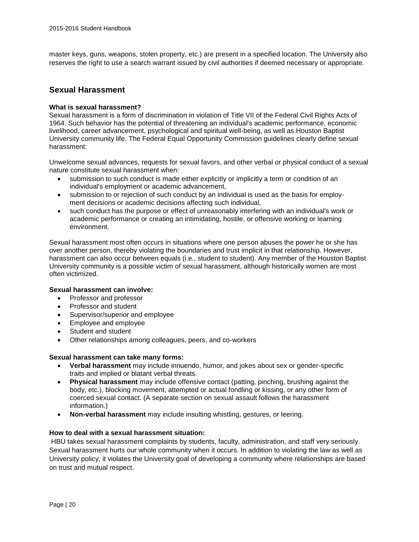master keys, guns, weapons, stolen property, etc.) are present in a specified location. The University also reserves the right to use a search warrant issued by civil authorities if deemed necessary or appropriate.

### **Sexual Harassment**

#### **What is sexual harassment?**

Sexual harassment is a form of discrimination in violation of Title VII of the Federal Civil Rights Acts of 1964. Such behavior has the potential of threatening an individual's academic performance, economic livelihood, career advancement, psychological and spiritual well-being, as well as Houston Baptist University community life. The Federal Equal Opportunity Commission guidelines clearly define sexual harassment:

Unwelcome sexual advances, requests for sexual favors, and other verbal or physical conduct of a sexual nature constitute sexual harassment when:

- submission to such conduct is made either explicitly or implicitly a term or condition of an individual's employment or academic advancement,
- submission to or rejection of such conduct by an individual is used as the basis for employment decisions or academic decisions affecting such individual,
- such conduct has the purpose or effect of unreasonably interfering with an individual's work or academic performance or creating an intimidating, hostile, or offensive working or learning environment.

Sexual harassment most often occurs in situations where one person abuses the power he or she has over another person, thereby violating the boundaries and trust implicit in that relationship. However, harassment can also occur between equals (i.e., student to student). Any member of the Houston Baptist University community is a possible victim of sexual harassment, although historically women are most often victimized.

#### **Sexual harassment can involve:**

- Professor and professor
- Professor and student
- Supervisor/superior and employee
- Employee and employee
- Student and student
- Other relationships among colleagues, peers, and co-workers

#### **Sexual harassment can take many forms:**

- **Verbal harassment** may include innuendo, humor, and jokes about sex or gender-specific traits and implied or blatant verbal threats.
- **Physical harassment** may include offensive contact (patting, pinching, brushing against the body, etc.), blocking movement, attempted or actual fondling or kissing, or any other form of coerced sexual contact. (A separate section on sexual assault follows the harassment information.)
- **Non-verbal harassment** may include insulting whistling, gestures, or leering.

#### **How to deal with a sexual harassment situation:**

HBU takes sexual harassment complaints by students, faculty, administration, and staff very seriously. Sexual harassment hurts our whole community when it occurs. In addition to violating the law as well as University policy, it violates the University goal of developing a community where relationships are based on trust and mutual respect.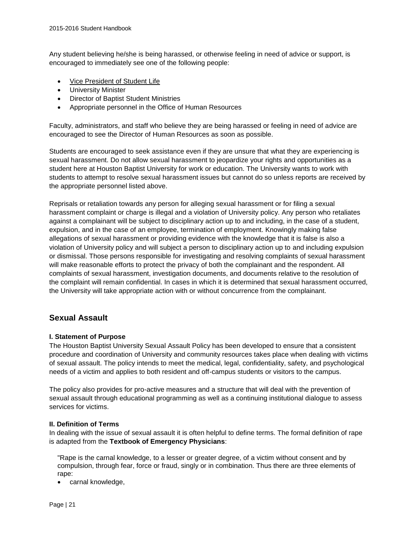Any student believing he/she is being harassed, or otherwise feeling in need of advice or support, is encouraged to immediately see one of the following people:

- [Vice President of Student Life](mailto:wgoodwin@hbu.edu)
- University Minister
- Director of Baptist Student Ministries
- Appropriate personnel in the Office of Human Resources

Faculty, administrators, and staff who believe they are being harassed or feeling in need of advice are encouraged to see the Director of Human Resources as soon as possible.

Students are encouraged to seek assistance even if they are unsure that what they are experiencing is sexual harassment. Do not allow sexual harassment to jeopardize your rights and opportunities as a student here at Houston Baptist University for work or education. The University wants to work with students to attempt to resolve sexual harassment issues but cannot do so unless reports are received by the appropriate personnel listed above.

Reprisals or retaliation towards any person for alleging sexual harassment or for filing a sexual harassment complaint or charge is illegal and a violation of University policy. Any person who retaliates against a complainant will be subject to disciplinary action up to and including, in the case of a student, expulsion, and in the case of an employee, termination of employment. Knowingly making false allegations of sexual harassment or providing evidence with the knowledge that it is false is also a violation of University policy and will subject a person to disciplinary action up to and including expulsion or dismissal. Those persons responsible for investigating and resolving complaints of sexual harassment will make reasonable efforts to protect the privacy of both the complainant and the respondent. All complaints of sexual harassment, investigation documents, and documents relative to the resolution of the complaint will remain confidential. In cases in which it is determined that sexual harassment occurred, the University will take appropriate action with or without concurrence from the complainant.

## **Sexual Assault**

#### **I. Statement of Purpose**

The Houston Baptist University Sexual Assault Policy has been developed to ensure that a consistent procedure and coordination of University and community resources takes place when dealing with victims of sexual assault. The policy intends to meet the medical, legal, confidentiality, safety, and psychological needs of a victim and applies to both resident and off-campus students or visitors to the campus.

The policy also provides for pro-active measures and a structure that will deal with the prevention of sexual assault through educational programming as well as a continuing institutional dialogue to assess services for victims.

#### **II. Definition of Terms**

In dealing with the issue of sexual assault it is often helpful to define terms. The formal definition of rape is adapted from the **Textbook of Emergency Physicians**:

"Rape is the carnal knowledge, to a lesser or greater degree, of a victim without consent and by compulsion, through fear, force or fraud, singly or in combination. Thus there are three elements of rape:

• carnal knowledge,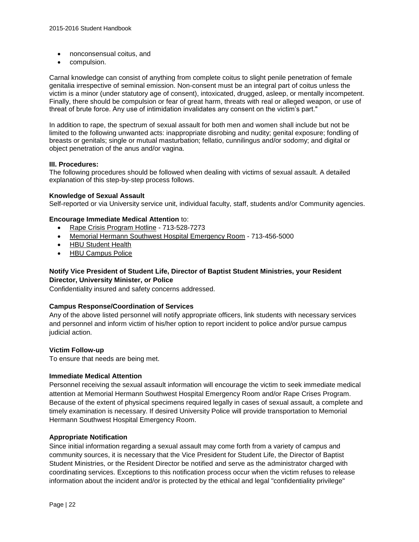- nonconsensual coitus, and
- compulsion.

Carnal knowledge can consist of anything from complete coitus to slight penile penetration of female genitalia irrespective of seminal emission. Non-consent must be an integral part of coitus unless the victim is a minor (under statutory age of consent), intoxicated, drugged, asleep, or mentally incompetent. Finally, there should be compulsion or fear of great harm, threats with real or alleged weapon, or use of threat of brute force. Any use of intimidation invalidates any consent on the victim's part."

In addition to rape, the spectrum of sexual assault for both men and women shall include but not be limited to the following unwanted acts: inappropriate disrobing and nudity; genital exposure; fondling of breasts or genitals; single or mutual masturbation; fellatio, cunnilingus and/or sodomy; and digital or object penetration of the anus and/or vagina.

#### **III. Procedures:**

The following procedures should be followed when dealing with victims of sexual assault. A detailed explanation of this step-by-step process follows.

#### **Knowledge of Sexual Assault**

Self-reported or via University service unit, individual faculty, staff, students and/or Community agencies.

#### **Encourage Immediate Medical Attention** to:

- [Rape Crisis Program Hotline](http://www.hawc.org/) 713-528-7273
- [Memorial Hermann Southwest Hospital Emergency Room](http://www.memorialhermann.org/locations/southwest/) 713-456-5000
- [HBU Student Health](http://www.hbu.edu/Students-Alumni/Student-Resources/Health-Services.aspx)
- [HBU Campus Police](http://www.hbu.edu/About-HBU/The-Campus/Police-Parking.aspx)

#### **Notify Vice President of Student Life, Director of Baptist Student Ministries, your Resident Director, University Minister, or Police**

Confidentiality insured and safety concerns addressed.

#### **Campus Response/Coordination of Services**

Any of the above listed personnel will notify appropriate officers, link students with necessary services and personnel and inform victim of his/her option to report incident to police and/or pursue campus judicial action.

#### **Victim Follow-up**

To ensure that needs are being met.

#### **Immediate Medical Attention**

Personnel receiving the sexual assault information will encourage the victim to seek immediate medical attention at Memorial Hermann Southwest Hospital Emergency Room and/or Rape Crises Program. Because of the extent of physical specimens required legally in cases of sexual assault, a complete and timely examination is necessary. If desired University Police will provide transportation to Memorial Hermann Southwest Hospital Emergency Room.

#### **Appropriate Notification**

Since initial information regarding a sexual assault may come forth from a variety of campus and community sources, it is necessary that the Vice President for Student Life, the Director of Baptist Student Ministries, or the Resident Director be notified and serve as the administrator charged with coordinating services. Exceptions to this notification process occur when the victim refuses to release information about the incident and/or is protected by the ethical and legal "confidentiality privilege"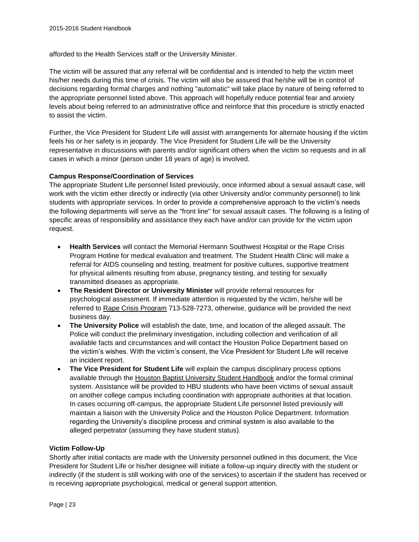afforded to the Health Services staff or the University Minister.

The victim will be assured that any referral will be confidential and is intended to help the victim meet his/her needs during this time of crisis. The victim will also be assured that he/she will be in control of decisions regarding formal charges and nothing "automatic" will take place by nature of being referred to the appropriate personnel listed above. This approach will hopefully reduce potential fear and anxiety levels about being referred to an administrative office and reinforce that this procedure is strictly enacted to assist the victim.

Further, the Vice President for Student Life will assist with arrangements for alternate housing if the victim feels his or her safety is in jeopardy. The Vice President for Student Life will be the University representative in discussions with parents and/or significant others when the victim so requests and in all cases in which a minor (person under 18 years of age) is involved.

#### **Campus Response/Coordination of Services**

The appropriate Student Life personnel listed previously, once informed about a sexual assault case, will work with the victim either directly or indirectly (via other University and/or community personnel) to link students with appropriate services. In order to provide a comprehensive approach to the victim's needs the following departments will serve as the "front line" for sexual assault cases. The following is a listing of specific areas of responsibility and assistance they each have and/or can provide for the victim upon request.

- **Health Services** will contact the Memorial Hermann Southwest Hospital or the Rape Crisis Program Hotline for medical evaluation and treatment. The Student Health Clinic will make a referral for AIDS counseling and testing, treatment for positive cultures, supportive treatment for physical ailments resulting from abuse, pregnancy testing, and testing for sexually transmitted diseases as appropriate.
- **The Resident Director or University Minister** will provide referral resources for psychological assessment. If immediate attention is requested by the victim, he/she will be referred to [Rape Crisis Program](http://www.hawc.org/) 713-528-7273, otherwise, guidance will be provided the next business day.
- **The University Police** will establish the date, time, and location of the alleged assault. The Police will conduct the preliminary investigation, including collection and verification of all available facts and circumstances and will contact the Houston Police Department based on the victim's wishes. With the victim's consent, the Vice President for Student Life will receive an incident report.
- **The Vice President for Student Life** will explain the campus disciplinary process options available through the [Houston Baptist University Student Handbook](http://www.hbu.edu/HBU/media/HBU/publications/academics/StudentHandbook_current.pdf) and/or the formal criminal system. Assistance will be provided to HBU students who have been victims of sexual assault on another college campus including coordination with appropriate authorities at that location. In cases occurring off-campus, the appropriate Student Life personnel listed previously will maintain a liaison with the University Police and the Houston Police Department. Information regarding the University's discipline process and criminal system is also available to the alleged perpetrator (assuming they have student status).

#### **Victim Follow-Up**

Shortly after initial contacts are made with the University personnel outlined in this document, the Vice President for Student Life or his/her designee will initiate a follow-up inquiry directly with the student or indirectly (if the student is still working with one of the services) to ascertain if the student has received or is receiving appropriate psychological, medical or general support attention.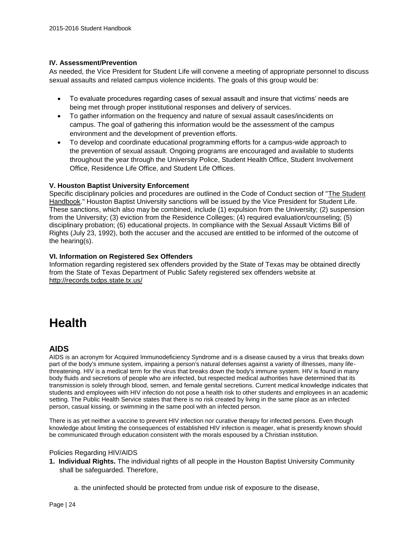#### **IV. Assessment/Prevention**

As needed, the Vice President for Student Life will convene a meeting of appropriate personnel to discuss sexual assaults and related campus violence incidents. The goals of this group would be:

- To evaluate procedures regarding cases of sexual assault and insure that victims' needs are being met through proper institutional responses and delivery of services.
- To gather information on the frequency and nature of sexual assault cases/incidents on campus. The goal of gathering this information would be the assessment of the campus environment and the development of prevention efforts.
- To develop and coordinate educational programming efforts for a campus-wide approach to the prevention of sexual assault. Ongoing programs are encouraged and available to students throughout the year through the University Police, Student Health Office, Student Involvement Office, Residence Life Office, and Student Life Offices.

#### **V. Houston Baptist University Enforcement**

Specific disciplinary policies and procedures are outlined in the Code of Conduct section of ["The Student](http://www.hbu.edu/HBU/media/HBU/publications/academics/StudentHandbook_current.pdf)  [Handbook.](http://www.hbu.edu/HBU/media/HBU/publications/academics/StudentHandbook_current.pdf)" Houston Baptist University sanctions will be issued by the Vice President for Student Life. These sanctions, which also may be combined, include (1) expulsion from the University; (2) suspension from the University; (3) eviction from the Residence Colleges; (4) required evaluation/counseling; (5) disciplinary probation; (6) educational projects. In compliance with the Sexual Assault Victims Bill of Rights (July 23, 1992), both the accuser and the accused are entitled to be informed of the outcome of the hearing(s).

#### **VI. Information on Registered Sex Offenders**

Information regarding registered sex offenders provided by the State of Texas may be obtained directly from the State of Texas Department of Public Safety registered sex offenders website at <http://records.txdps.state.tx.us/>

# **Health**

## **AIDS**

AIDS is an acronym for Acquired Immunodeficiency Syndrome and is a disease caused by a virus that breaks down part of the body's immune system, impairing a person's natural defenses against a variety of illnesses, many lifethreatening. HIV is a medical term for the virus that breaks down the body's immune system. HIV is found in many body fluids and secretions of people who are infected, but respected medical authorities have determined that its transmission is solely through blood, semen, and female genital secretions. Current medical knowledge indicates that students and employees with HIV infection do not pose a health risk to other students and employees in an academic setting. The Public Health Service states that there is no risk created by living in the same place as an infected person, casual kissing, or swimming in the same pool with an infected person.

There is as yet neither a vaccine to prevent HIV infection nor curative therapy for infected persons. Even though knowledge about limiting the consequences of established HIV infection is meager, what is presently known should be communicated through education consistent with the morals espoused by a Christian institution.

#### Policies Regarding HIV/AIDS

- **1. Individual Rights.** The individual rights of all people in the Houston Baptist University Community shall be safeguarded. Therefore,
	- a. the uninfected should be protected from undue risk of exposure to the disease,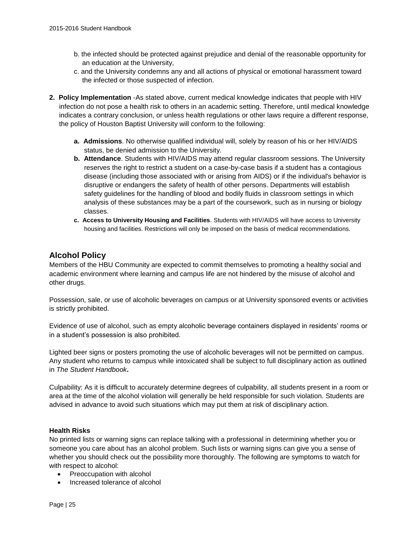- b. the infected should be protected against prejudice and denial of the reasonable opportunity for an education at the University,
- c. and the University condemns any and all actions of physical or emotional harassment toward the infected or those suspected of infection.
- **2. Policy Implementation** -As stated above, current medical knowledge indicates that people with HIV infection do not pose a health risk to others in an academic setting. Therefore, until medical knowledge indicates a contrary conclusion, or unless health regulations or other laws require a different response, the policy of Houston Baptist University will conform to the following:
	- **a. Admissions**. No otherwise qualified individual will, solely by reason of his or her HIV/AIDS status, be denied admission to the University.
	- **b. Attendance**. Students with HIV/AIDS may attend regular classroom sessions. The University reserves the right to restrict a student on a case-by-case basis if a student has a contagious disease (including those associated with or arising from AIDS) or if the individual's behavior is disruptive or endangers the safety of health of other persons. Departments will establish safety guidelines for the handling of blood and bodily fluids in classroom settings in which analysis of these substances may be a part of the coursework, such as in nursing or biology classes.
	- **c. Access to University Housing and Facilities**. Students with HIV/AIDS will have access to University housing and facilities. Restrictions will only be imposed on the basis of medical recommendations.

# **Alcohol Policy**

Members of the HBU Community are expected to commit themselves to promoting a healthy social and academic environment where learning and campus life are not hindered by the misuse of alcohol and other drugs.

Possession, sale, or use of alcoholic beverages on campus or at University sponsored events or activities is strictly prohibited.

Evidence of use of alcohol, such as empty alcoholic beverage containers displayed in residents' rooms or in a student's possession is also prohibited.

Lighted beer signs or posters promoting the use of alcoholic beverages will not be permitted on campus. Any student who returns to campus while intoxicated shall be subject to full disciplinary action as outlined in *The Student Handbook***.**

Culpability: As it is difficult to accurately determine degrees of culpability, all students present in a room or area at the time of the alcohol violation will generally be held responsible for such violation. Students are advised in advance to avoid such situations which may put them at risk of disciplinary action.

#### **Health Risks**

No printed lists or warning signs can replace talking with a professional in determining whether you or someone you care about has an alcohol problem. Such lists or warning signs can give you a sense of whether you should check out the possibility more thoroughly. The following are symptoms to watch for with respect to alcohol:

- Preoccupation with alcohol
- Increased tolerance of alcohol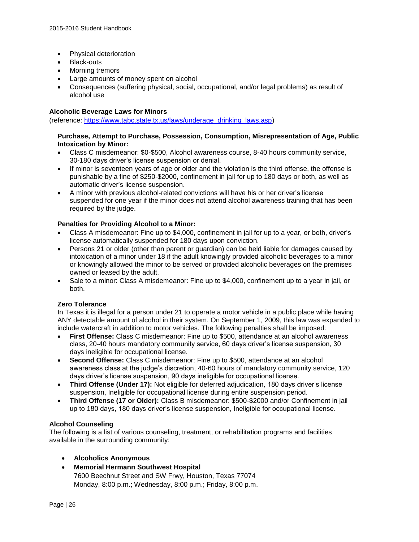- Physical deterioration
- Black-outs
- Morning tremors
- Large amounts of money spent on alcohol
- Consequences (suffering physical, social, occupational, and/or legal problems) as result of alcohol use

#### **Alcoholic Beverage Laws for Minors**

(reference: [https://www.tabc.state.tx.us/laws/underage\\_drinking\\_laws.asp\)](https://www.tabc.state.tx.us/laws/underage_drinking_laws.asp)

#### **Purchase, Attempt to Purchase, Possession, Consumption, Misrepresentation of Age, Public Intoxication by Minor:**

- Class C misdemeanor: \$0-\$500, Alcohol awareness course, 8-40 hours community service, 30-180 days driver's license suspension or denial.
- If minor is seventeen years of age or older and the violation is the third offense, the offense is punishable by a fine of \$250-\$2000, confinement in jail for up to 180 days or both, as well as automatic driver's license suspension.
- A minor with previous alcohol-related convictions will have his or her driver's license suspended for one year if the minor does not attend alcohol awareness training that has been required by the judge.

#### **Penalties for Providing Alcohol to a Minor:**

- Class A misdemeanor: Fine up to \$4,000, confinement in jail for up to a year, or both, driver's license automatically suspended for 180 days upon conviction.
- Persons 21 or older (other than parent or guardian) can be held liable for damages caused by intoxication of a minor under 18 if the adult knowingly provided alcoholic beverages to a minor or knowingly allowed the minor to be served or provided alcoholic beverages on the premises owned or leased by the adult.
- Sale to a minor: Class A misdemeanor: Fine up to \$4,000, confinement up to a year in jail, or both.

#### **Zero Tolerance**

In Texas it is illegal for a person under 21 to operate a motor vehicle in a public place while having ANY detectable amount of alcohol in their system. On September 1, 2009, this law was expanded to include watercraft in addition to motor vehicles. The following penalties shall be imposed:

- **First Offense:** Class C misdemeanor: Fine up to \$500, attendance at an alcohol awareness class, 20-40 hours mandatory community service, 60 days driver's license suspension, 30 days ineligible for occupational license.
- **Second Offense:** Class C misdemeanor: Fine up to \$500, attendance at an alcohol awareness class at the judge's discretion, 40-60 hours of mandatory community service, 120 days driver's license suspension, 90 days ineligible for occupational license.
- **Third Offense (Under 17):** Not eligible for deferred adjudication, 180 days driver's license suspension, Ineligible for occupational license during entire suspension period.
- **Third Offense (17 or Older):** Class B misdemeanor: \$500-\$2000 and/or Confinement in jail up to 180 days, 180 days driver's license suspension, Ineligible for occupational license.

#### **Alcohol Counseling**

The following is a list of various counseling, treatment, or rehabilitation programs and facilities available in the surrounding community:

#### **Alcoholics Anonymous**

**Memorial Hermann Southwest Hospital**

7600 Beechnut Street and SW Frwy, Houston, Texas 77074 Monday, 8:00 p.m.; Wednesday, 8:00 p.m.; Friday, 8:00 p.m.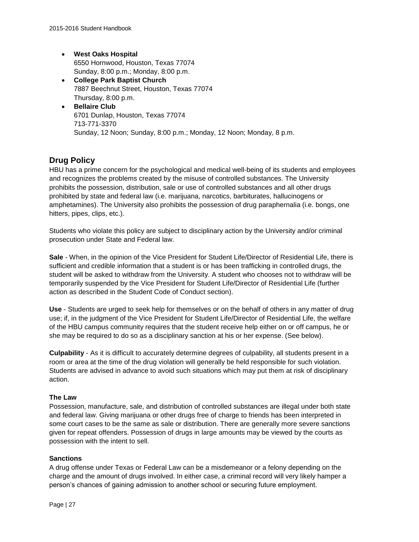- **West Oaks Hospital** 6550 Hornwood, Houston, Texas 77074 Sunday, 8:00 p.m.; Monday, 8:00 p.m.
- **College Park Baptist Church** 7887 Beechnut Street, Houston, Texas 77074 Thursday, 8:00 p.m.
- **•** Bellaire Club 6701 Dunlap, Houston, Texas 77074 713-771-3370 Sunday, 12 Noon; Sunday, 8:00 p.m.; Monday, 12 Noon; Monday, 8 p.m.

# **Drug Policy**

HBU has a prime concern for the psychological and medical well-being of its students and employees and recognizes the problems created by the misuse of controlled substances. The University prohibits the possession, distribution, sale or use of controlled substances and all other drugs prohibited by state and federal law (i.e. marijuana, narcotics, barbiturates, hallucinogens or amphetamines). The University also prohibits the possession of drug paraphernalia (i.e. bongs, one hitters, pipes, clips, etc.).

Students who violate this policy are subject to disciplinary action by the University and/or criminal prosecution under State and Federal law.

**Sale** - When, in the opinion of the Vice President for Student Life/Director of Residential Life, there is sufficient and credible information that a student is or has been trafficking in controlled drugs, the student will be asked to withdraw from the University. A student who chooses not to withdraw will be temporarily suspended by the Vice President for Student Life/Director of Residential Life (further action as described in the Student Code of Conduct section).

**Use** - Students are urged to seek help for themselves or on the behalf of others in any matter of drug use; if, in the judgment of the Vice President for Student Life/Director of Residential Life, the welfare of the HBU campus community requires that the student receive help either on or off campus, he or she may be required to do so as a disciplinary sanction at his or her expense. (See below).

**Culpability** - As it is difficult to accurately determine degrees of culpability, all students present in a room or area at the time of the drug violation will generally be held responsible for such violation. Students are advised in advance to avoid such situations which may put them at risk of disciplinary action.

#### **The Law**

Possession, manufacture, sale, and distribution of controlled substances are illegal under both state and federal law. Giving marijuana or other drugs free of charge to friends has been interpreted in some court cases to be the same as sale or distribution. There are generally more severe sanctions given for repeat offenders. Possession of drugs in large amounts may be viewed by the courts as possession with the intent to sell.

#### **Sanctions**

A drug offense under Texas or Federal Law can be a misdemeanor or a felony depending on the charge and the amount of drugs involved. In either case, a criminal record will very likely hamper a person's chances of gaining admission to another school or securing future employment.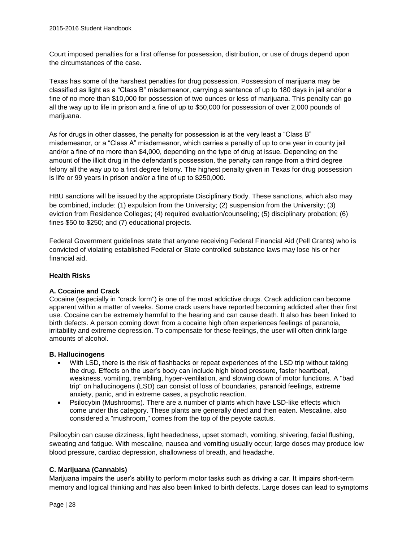Court imposed penalties for a first offense for possession, distribution, or use of drugs depend upon the circumstances of the case.

Texas has some of the harshest penalties for drug possession. Possession of marijuana may be classified as light as a "Class B" misdemeanor, carrying a sentence of up to 180 days in jail and/or a fine of no more than \$10,000 for possession of two ounces or less of marijuana. This penalty can go all the way up to life in prison and a fine of up to \$50,000 for possession of over 2,000 pounds of marijuana.

As for drugs in other classes, the penalty for possession is at the very least a "Class B" misdemeanor, or a "Class A" misdemeanor, which carries a penalty of up to one year in county jail and/or a fine of no more than \$4,000, depending on the type of drug at issue. Depending on the amount of the illicit drug in the defendant's possession, the penalty can range from a third degree felony all the way up to a first degree felony. The highest penalty given in Texas for drug possession is life or 99 years in prison and/or a fine of up to \$250,000.

HBU sanctions will be issued by the appropriate Disciplinary Body. These sanctions, which also may be combined, include: (1) expulsion from the University; (2) suspension from the University; (3) eviction from Residence Colleges; (4) required evaluation/counseling; (5) disciplinary probation; (6) fines \$50 to \$250; and (7) educational projects.

Federal Government guidelines state that anyone receiving Federal Financial Aid (Pell Grants) who is convicted of violating established Federal or State controlled substance laws may lose his or her financial aid.

#### **Health Risks**

#### **A. Cocaine and Crack**

Cocaine (especially in "crack form") is one of the most addictive drugs. Crack addiction can become apparent within a matter of weeks. Some crack users have reported becoming addicted after their first use. Cocaine can be extremely harmful to the hearing and can cause death. It also has been linked to birth defects. A person coming down from a cocaine high often experiences feelings of paranoia, irritability and extreme depression. To compensate for these feelings, the user will often drink large amounts of alcohol.

#### **B. Hallucinogens**

- With LSD, there is the risk of flashbacks or repeat experiences of the LSD trip without taking the drug. Effects on the user's body can include high blood pressure, faster heartbeat, weakness, vomiting, trembling, hyper-ventilation, and slowing down of motor functions. A "bad trip" on hallucinogens (LSD) can consist of loss of boundaries, paranoid feelings, extreme anxiety, panic, and in extreme cases, a psychotic reaction.
- Psilocybin (Mushrooms). There are a number of plants which have LSD-like effects which come under this category. These plants are generally dried and then eaten. Mescaline, also considered a "mushroom," comes from the top of the peyote cactus.

Psilocybin can cause dizziness, light headedness, upset stomach, vomiting, shivering, facial flushing, sweating and fatigue. With mescaline, nausea and vomiting usually occur; large doses may produce low blood pressure, cardiac depression, shallowness of breath, and headache.

#### **C. Marijuana (Cannabis)**

Marijuana impairs the user's ability to perform motor tasks such as driving a car. It impairs short-term memory and logical thinking and has also been linked to birth defects. Large doses can lead to symptoms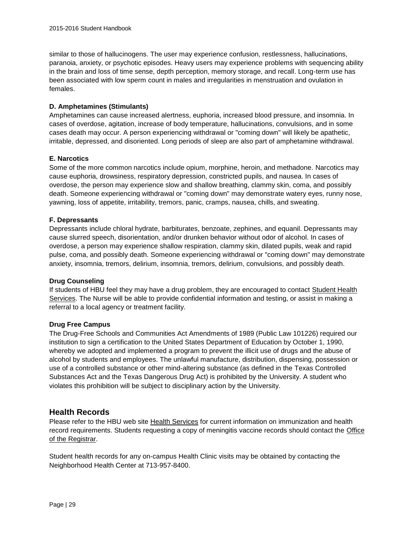similar to those of hallucinogens. The user may experience confusion, restlessness, hallucinations, paranoia, anxiety, or psychotic episodes. Heavy users may experience problems with sequencing ability in the brain and loss of time sense, depth perception, memory storage, and recall. Long-term use has been associated with low sperm count in males and irregularities in menstruation and ovulation in females.

#### **D. Amphetamines (Stimulants)**

Amphetamines can cause increased alertness, euphoria, increased blood pressure, and insomnia. In cases of overdose, agitation, increase of body temperature, hallucinations, convulsions, and in some cases death may occur. A person experiencing withdrawal or "coming down" will likely be apathetic, irritable, depressed, and disoriented. Long periods of sleep are also part of amphetamine withdrawal.

#### **E. Narcotics**

Some of the more common narcotics include opium, morphine, heroin, and methadone. Narcotics may cause euphoria, drowsiness, respiratory depression, constricted pupils, and nausea. In cases of overdose, the person may experience slow and shallow breathing, clammy skin, coma, and possibly death. Someone experiencing withdrawal or "coming down" may demonstrate watery eyes, runny nose, yawning, loss of appetite, irritability, tremors, panic, cramps, nausea, chills, and sweating.

#### **F. Depressants**

Depressants include chloral hydrate, barbiturates, benzoate, zephines, and equanil. Depressants may cause slurred speech, disorientation, and/or drunken behavior without odor of alcohol. In cases of overdose, a person may experience shallow respiration, clammy skin, dilated pupils, weak and rapid pulse, coma, and possibly death. Someone experiencing withdrawal or "coming down" may demonstrate anxiety, insomnia, tremors, delirium, insomnia, tremors, delirium, convulsions, and possibly death.

#### **Drug Counseling**

If students of HBU feel they may have a drug problem, they are encouraged to contact Student Health [Services.](http://www.hbu.edu/About-HBU/Resources/Health-Services.aspx) The Nurse will be able to provide confidential information and testing, or assist in making a referral to a local agency or treatment facility.

#### **Drug Free Campus**

The Drug-Free Schools and Communities Act Amendments of 1989 (Public Law 101226) required our institution to sign a certification to the United States Department of Education by October 1, 1990, whereby we adopted and implemented a program to prevent the illicit use of drugs and the abuse of alcohol by students and employees. The unlawful manufacture, distribution, dispensing, possession or use of a controlled substance or other mind-altering substance (as defined in the Texas Controlled Substances Act and the Texas Dangerous Drug Act) is prohibited by the University. A student who violates this prohibition will be subject to disciplinary action by the University.

## **Health Records**

Please refer to the HBU web site [Health Services](https://hbu.edu/About-HBU/Resources/Health-Services/New-Student-Requirements.aspx) for current information on immunization and health record requirements. Students requesting a copy of meningitis vaccine records should contact the [Office](mailto:registrar@hbu.edu)  [of the Registrar.](mailto:registrar@hbu.edu)

Student health records for any on-campus Health Clinic visits may be obtained by contacting the Neighborhood Health Center at 713-957-8400.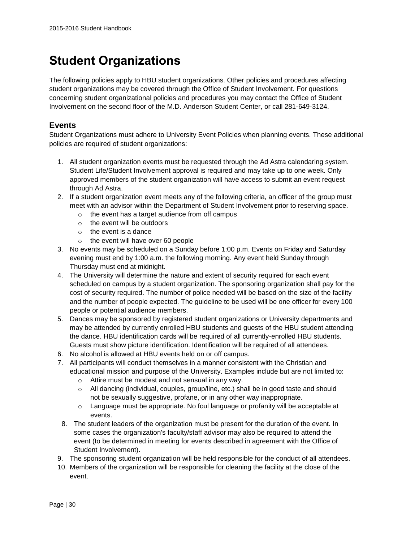# **Student Organizations**

The following policies apply to HBU student organizations. Other policies and procedures affecting student organizations may be covered through the Office of Student Involvement. For questions concerning student organizational policies and procedures you may contact the Office of Student Involvement on the second floor of the M.D. Anderson Student Center, or call 281-649-3124.

# **Events**

Student Organizations must adhere to University Event Policies when planning events. These additional policies are required of student organizations:

- 1. All student organization events must be requested through the Ad Astra calendaring system. Student Life/Student Involvement approval is required and may take up to one week. Only approved members of the student organization will have access to submit an event request through Ad Astra.
- 2. If a student organization event meets any of the following criteria, an officer of the group must meet with an advisor within the Department of Student Involvement prior to reserving space.
	- o the event has a target audience from off campus
	- o the event will be outdoors
	- $\circ$  the event is a dance
	- o the event will have over 60 people
- 3. No events may be scheduled on a Sunday before 1:00 p.m. Events on Friday and Saturday evening must end by 1:00 a.m. the following morning. Any event held Sunday through Thursday must end at midnight.
- 4. The University will determine the nature and extent of security required for each event scheduled on campus by a student organization. The sponsoring organization shall pay for the cost of security required. The number of police needed will be based on the size of the facility and the number of people expected. The guideline to be used will be one officer for every 100 people or potential audience members.
- 5. Dances may be sponsored by registered student organizations or University departments and may be attended by currently enrolled HBU students and guests of the HBU student attending the dance. HBU identification cards will be required of all currently-enrolled HBU students. Guests must show picture identification. Identification will be required of all attendees.
- 6. No alcohol is allowed at HBU events held on or off campus.
- 7. All participants will conduct themselves in a manner consistent with the Christian and educational mission and purpose of the University. Examples include but are not limited to:
	- o Attire must be modest and not sensual in any way.
	- $\circ$  All dancing (individual, couples, group/line, etc.) shall be in good taste and should not be sexually suggestive, profane, or in any other way inappropriate.
	- o Language must be appropriate. No foul language or profanity will be acceptable at events.
	- 8. The student leaders of the organization must be present for the duration of the event. In some cases the organization's faculty/staff advisor may also be required to attend the event (to be determined in meeting for events described in agreement with the Office of Student Involvement).
- 9. The sponsoring student organization will be held responsible for the conduct of all attendees.
- 10. Members of the organization will be responsible for cleaning the facility at the close of the event.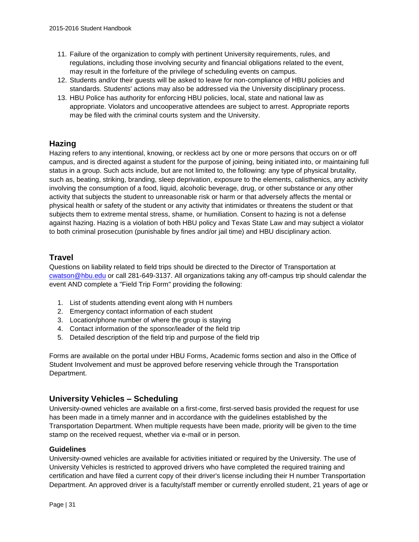- 11. Failure of the organization to comply with pertinent University requirements, rules, and regulations, including those involving security and financial obligations related to the event, may result in the forfeiture of the privilege of scheduling events on campus.
- 12. Students and/or their guests will be asked to leave for non-compliance of HBU policies and standards. Students' actions may also be addressed via the University disciplinary process.
- 13. HBU Police has authority for enforcing HBU policies, local, state and national law as appropriate. Violators and uncooperative attendees are subject to arrest. Appropriate reports may be filed with the criminal courts system and the University.

# **Hazing**

Hazing refers to any intentional, knowing, or reckless act by one or more persons that occurs on or off campus, and is directed against a student for the purpose of joining, being initiated into, or maintaining full status in a group. Such acts include, but are not limited to, the following: any type of physical brutality, such as, beating, striking, branding, sleep deprivation, exposure to the elements, calisthenics, any activity involving the consumption of a food, liquid, alcoholic beverage, drug, or other substance or any other activity that subjects the student to unreasonable risk or harm or that adversely affects the mental or physical health or safety of the student or any activity that intimidates or threatens the student or that subjects them to extreme mental stress, shame, or humiliation. Consent to hazing is not a defense against hazing. Hazing is a violation of both HBU policy and Texas State Law and may subject a violator to both criminal prosecution (punishable by fines and/or jail time) and HBU disciplinary action.

# **Travel**

Questions on liability related to field trips should be directed to the Director of Transportation at [cwatson@hbu.edu](mailto:cwatson@hbu.edu) or call 281-649-3137. All organizations taking any off-campus trip should calendar the event AND complete a "Field Trip Form" providing the following:

- 1. List of students attending event along with H numbers
- 2. Emergency contact information of each student
- 3. Location/phone number of where the group is staying
- 4. Contact information of the sponsor/leader of the field trip
- 5. Detailed description of the field trip and purpose of the field trip

Forms are available on the portal under HBU Forms, Academic forms section and also in the Office of Student Involvement and must be approved before reserving vehicle through the Transportation Department.

# **University Vehicles – Scheduling**

University-owned vehicles are available on a first-come, first-served basis provided the request for use has been made in a timely manner and in accordance with the guidelines established by the Transportation Department. When multiple requests have been made, priority will be given to the time stamp on the received request, whether via e-mail or in person.

#### **Guidelines**

University-owned vehicles are available for activities initiated or required by the University. The use of University Vehicles is restricted to approved drivers who have completed the required training and certification and have filed a current copy of their driver's license including their H number Transportation Department. An approved driver is a faculty/staff member or currently enrolled student, 21 years of age or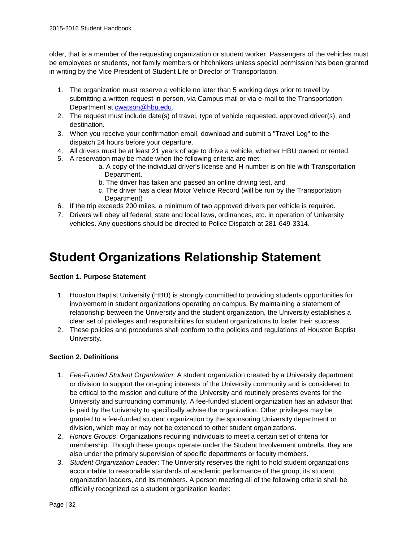older, that is a member of the requesting organization or student worker. Passengers of the vehicles must be employees or students, not family members or hitchhikers unless special permission has been granted in writing by the Vice President of Student Life or Director of Transportation.

- 1. The organization must reserve a vehicle no later than 5 working days prior to travel by submitting a written request in person, via Campus mail or via e-mail to the Transportation Department at [cwatson@hbu.edu.](mailto:cwatson@hbu.edu)
- 2. The request must include date(s) of travel, type of vehicle requested, approved driver(s), and destination.
- 3. When you receive your confirmation email, download and submit a "Travel Log" to the dispatch 24 hours before your departure.
- 4. All drivers must be at least 21 years of age to drive a vehicle, whether HBU owned or rented.
- 5. A reservation may be made when the following criteria are met:
	- a. A copy of the individual driver's license and H number is on file with Transportation Department.
	- b. The driver has taken and passed an online driving test, and
	- c. The driver has a clear Motor Vehicle Record (will be run by the Transportation Department)
- 6. If the trip exceeds 200 miles, a minimum of two approved drivers per vehicle is required.
- 7. Drivers will obey all federal, state and local laws, ordinances, etc. in operation of University vehicles. Any questions should be directed to Police Dispatch at 281-649-3314.

# **Student Organizations Relationship Statement**

#### **Section 1. Purpose Statement**

- 1. Houston Baptist University (HBU) is strongly committed to providing students opportunities for involvement in student organizations operating on campus. By maintaining a statement of relationship between the University and the student organization, the University establishes a clear set of privileges and responsibilities for student organizations to foster their success.
- 2. These policies and procedures shall conform to the policies and regulations of Houston Baptist University.

#### **Section 2. Definitions**

- 1. *Fee-Funded Student Organization*: A student organization created by a University department or division to support the on-going interests of the University community and is considered to be critical to the mission and culture of the University and routinely presents events for the University and surrounding community. A fee-funded student organization has an advisor that is paid by the University to specifically advise the organization. Other privileges may be granted to a fee-funded student organization by the sponsoring University department or division, which may or may not be extended to other student organizations.
- 2. *Honors Groups*: Organizations requiring individuals to meet a certain set of criteria for membership. Though these groups operate under the Student Involvement umbrella, they are also under the primary supervision of specific departments or faculty members.
- 3. *Student Organization Leader*: The University reserves the right to hold student organizations accountable to reasonable standards of academic performance of the group, its student organization leaders, and its members. A person meeting all of the following criteria shall be officially recognized as a student organization leader: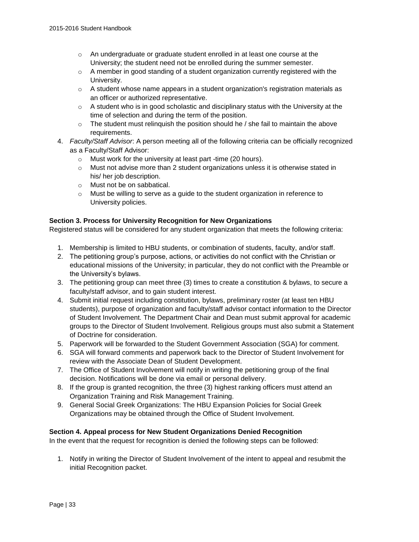- $\circ$  An undergraduate or graduate student enrolled in at least one course at the University; the student need not be enrolled during the summer semester.
- $\circ$  A member in good standing of a student organization currently registered with the University.
- $\circ$  A student whose name appears in a student organization's registration materials as an officer or authorized representative.
- $\circ$  A student who is in good scholastic and disciplinary status with the University at the time of selection and during the term of the position.
- $\circ$  The student must relinguish the position should he / she fail to maintain the above requirements.
- 4. *Faculty/Staff Advisor*: A person meeting all of the following criteria can be officially recognized as a Faculty/Staff Advisor:
	- o Must work for the university at least part -time (20 hours).
	- $\circ$  Must not advise more than 2 student organizations unless it is otherwise stated in his/ her job description.
	- o Must not be on sabbatical.
	- $\circ$  Must be willing to serve as a guide to the student organization in reference to University policies.

#### **Section 3. Process for University Recognition for New Organizations**

Registered status will be considered for any student organization that meets the following criteria:

- 1. Membership is limited to HBU students, or combination of students, faculty, and/or staff.
- 2. The petitioning group's purpose, actions, or activities do not conflict with the Christian or educational missions of the University; in particular, they do not conflict with the Preamble or the University's bylaws.
- 3. The petitioning group can meet three (3) times to create a constitution & bylaws, to secure a faculty/staff advisor, and to gain student interest.
- 4. Submit initial request including constitution, bylaws, preliminary roster (at least ten HBU students), purpose of organization and faculty/staff advisor contact information to the Director of Student Involvement. The Department Chair and Dean must submit approval for academic groups to the Director of Student Involvement. Religious groups must also submit a Statement of Doctrine for consideration.
- 5. Paperwork will be forwarded to the Student Government Association (SGA) for comment.
- 6. SGA will forward comments and paperwork back to the Director of Student Involvement for review with the Associate Dean of Student Development.
- 7. The Office of Student Involvement will notify in writing the petitioning group of the final decision. Notifications will be done via email or personal delivery.
- 8. If the group is granted recognition, the three (3) highest ranking officers must attend an Organization Training and Risk Management Training.
- 9. General Social Greek Organizations: The HBU Expansion Policies for Social Greek Organizations may be obtained through the Office of Student Involvement.

#### **Section 4. Appeal process for New Student Organizations Denied Recognition**

In the event that the request for recognition is denied the following steps can be followed:

1. Notify in writing the Director of Student Involvement of the intent to appeal and resubmit the initial Recognition packet.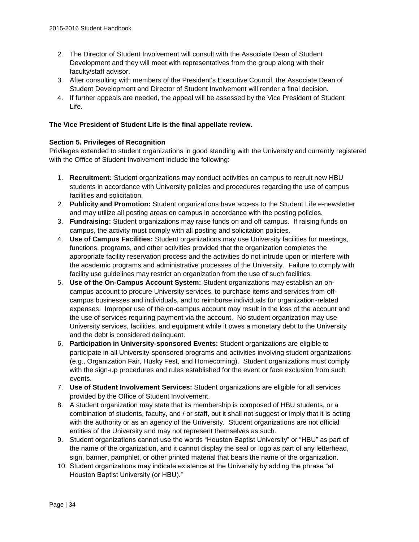- 2. The Director of Student Involvement will consult with the Associate Dean of Student Development and they will meet with representatives from the group along with their faculty/staff advisor.
- 3. After consulting with members of the President's Executive Council, the Associate Dean of Student Development and Director of Student Involvement will render a final decision.
- 4. If further appeals are needed, the appeal will be assessed by the Vice President of Student Life.

#### **The Vice President of Student Life is the final appellate review.**

#### **Section 5. Privileges of Recognition**

Privileges extended to student organizations in good standing with the University and currently registered with the Office of Student Involvement include the following:

- 1. **Recruitment:** Student organizations may conduct activities on campus to recruit new HBU students in accordance with University policies and procedures regarding the use of campus facilities and solicitation.
- 2. **Publicity and Promotion:** Student organizations have access to the Student Life e-newsletter and may utilize all posting areas on campus in accordance with the posting policies.
- 3. **Fundraising:** Student organizations may raise funds on and off campus. If raising funds on campus, the activity must comply with all posting and solicitation policies.
- 4. **Use of Campus Facilities:** Student organizations may use University facilities for meetings, functions, programs, and other activities provided that the organization completes the appropriate facility reservation process and the activities do not intrude upon or interfere with the academic programs and administrative processes of the University. Failure to comply with facility use guidelines may restrict an organization from the use of such facilities.
- 5. **Use of the On-Campus Account System:** Student organizations may establish an oncampus account to procure University services, to purchase items and services from offcampus businesses and individuals, and to reimburse individuals for organization-related expenses. Improper use of the on-campus account may result in the loss of the account and the use of services requiring payment via the account. No student organization may use University services, facilities, and equipment while it owes a monetary debt to the University and the debt is considered delinquent.
- 6. **Participation in University-sponsored Events:** Student organizations are eligible to participate in all University-sponsored programs and activities involving student organizations (e.g., Organization Fair, Husky Fest, and Homecoming). Student organizations must comply with the sign-up procedures and rules established for the event or face exclusion from such events.
- 7. **Use of Student Involvement Services:** Student organizations are eligible for all services provided by the Office of Student Involvement.
- 8. A student organization may state that its membership is composed of HBU students, or a combination of students, faculty, and / or staff, but it shall not suggest or imply that it is acting with the authority or as an agency of the University. Student organizations are not official entities of the University and may not represent themselves as such.
- 9. Student organizations cannot use the words "Houston Baptist University" or "HBU" as part of the name of the organization, and it cannot display the seal or logo as part of any letterhead, sign, banner, pamphlet, or other printed material that bears the name of the organization.
- 10. Student organizations may indicate existence at the University by adding the phrase "at Houston Baptist University (or HBU)."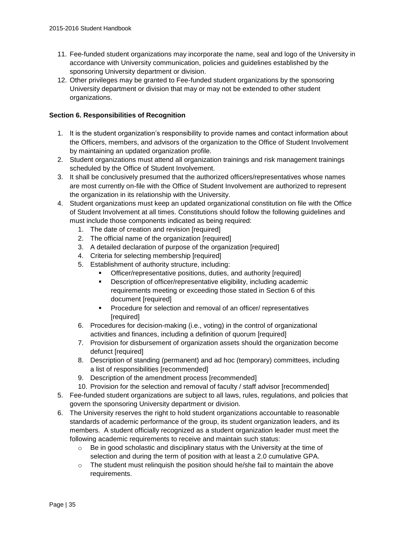- 11. Fee-funded student organizations may incorporate the name, seal and logo of the University in accordance with University communication, policies and guidelines established by the sponsoring University department or division.
- 12. Other privileges may be granted to Fee-funded student organizations by the sponsoring University department or division that may or may not be extended to other student organizations.

#### **Section 6. Responsibilities of Recognition**

- 1. It is the student organization's responsibility to provide names and contact information about the Officers, members, and advisors of the organization to the Office of Student Involvement by maintaining an updated organization profile.
- 2. Student organizations must attend all organization trainings and risk management trainings scheduled by the Office of Student Involvement.
- 3. It shall be conclusively presumed that the authorized officers/representatives whose names are most currently on-file with the Office of Student Involvement are authorized to represent the organization in its relationship with the University.
- 4. Student organizations must keep an updated organizational constitution on file with the Office of Student Involvement at all times. Constitutions should follow the following guidelines and must include those components indicated as being required:
	- 1. The date of creation and revision [required]
	- 2. The official name of the organization [required]
	- 3. A detailed declaration of purpose of the organization [required]
	- 4. Criteria for selecting membership [required]
	- 5. Establishment of authority structure, including:
		- Officer/representative positions, duties, and authority [required]
		- Description of officer/representative eligibility, including academic requirements meeting or exceeding those stated in Section 6 of this document [required]
		- **Procedure for selection and removal of an officer/ representatives** [required]
	- 6. Procedures for decision-making (i.e., voting) in the control of organizational activities and finances, including a definition of quorum [required]
	- 7. Provision for disbursement of organization assets should the organization become defunct [required]
	- 8. Description of standing (permanent) and ad hoc (temporary) committees, including a list of responsibilities [recommended]
	- 9. Description of the amendment process [recommended]
	- 10. Provision for the selection and removal of faculty / staff advisor [recommended]
- 5. Fee-funded student organizations are subject to all laws, rules, regulations, and policies that govern the sponsoring University department or division.
- 6. The University reserves the right to hold student organizations accountable to reasonable standards of academic performance of the group, its student organization leaders, and its members. A student officially recognized as a student organization leader must meet the following academic requirements to receive and maintain such status:
	- $\circ$  Be in good scholastic and disciplinary status with the University at the time of selection and during the term of position with at least a 2.0 cumulative GPA.
	- o The student must relinquish the position should he/she fail to maintain the above requirements.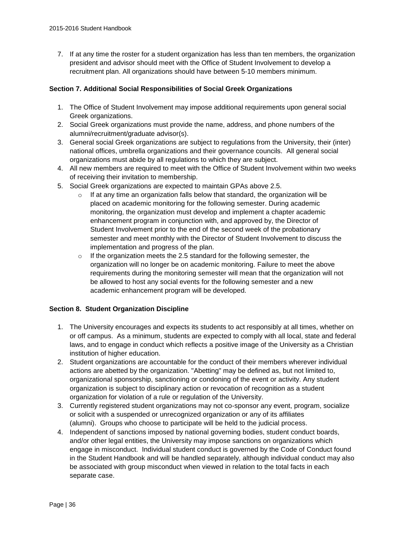7. If at any time the roster for a student organization has less than ten members, the organization president and advisor should meet with the Office of Student Involvement to develop a recruitment plan. All organizations should have between 5-10 members minimum.

#### **Section 7. Additional Social Responsibilities of Social Greek Organizations**

- 1. The Office of Student Involvement may impose additional requirements upon general social Greek organizations.
- 2. Social Greek organizations must provide the name, address, and phone numbers of the alumni/recruitment/graduate advisor(s).
- 3. General social Greek organizations are subject to regulations from the University, their (inter) national offices, umbrella organizations and their governance councils. All general social organizations must abide by all regulations to which they are subject.
- 4. All new members are required to meet with the Office of Student Involvement within two weeks of receiving their invitation to membership.
- 5. Social Greek organizations are expected to maintain GPAs above 2.5.
	- $\circ$  If at any time an organization falls below that standard, the organization will be placed on academic monitoring for the following semester. During academic monitoring, the organization must develop and implement a chapter academic enhancement program in conjunction with, and approved by, the Director of Student Involvement prior to the end of the second week of the probationary semester and meet monthly with the Director of Student Involvement to discuss the implementation and progress of the plan.
	- o If the organization meets the 2.5 standard for the following semester, the organization will no longer be on academic monitoring. Failure to meet the above requirements during the monitoring semester will mean that the organization will not be allowed to host any social events for the following semester and a new academic enhancement program will be developed.

#### **Section 8. Student Organization Discipline**

- 1. The University encourages and expects its students to act responsibly at all times, whether on or off campus. As a minimum, students are expected to comply with all local, state and federal laws, and to engage in conduct which reflects a positive image of the University as a Christian institution of higher education.
- 2. Student organizations are accountable for the conduct of their members wherever individual actions are abetted by the organization. "Abetting" may be defined as, but not limited to, organizational sponsorship, sanctioning or condoning of the event or activity. Any student organization is subject to disciplinary action or revocation of recognition as a student organization for violation of a rule or regulation of the University.
- 3. Currently registered student organizations may not co-sponsor any event, program, socialize or solicit with a suspended or unrecognized organization or any of its affiliates (alumni). Groups who choose to participate will be held to the judicial process.
- 4. Independent of sanctions imposed by national governing bodies, student conduct boards, and/or other legal entities, the University may impose sanctions on organizations which engage in misconduct. Individual student conduct is governed by the Code of Conduct found in the Student Handbook and will be handled separately, although individual conduct may also be associated with group misconduct when viewed in relation to the total facts in each separate case.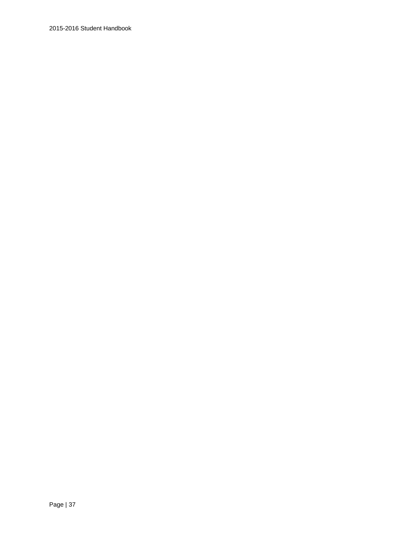2015-2016 Student Handbook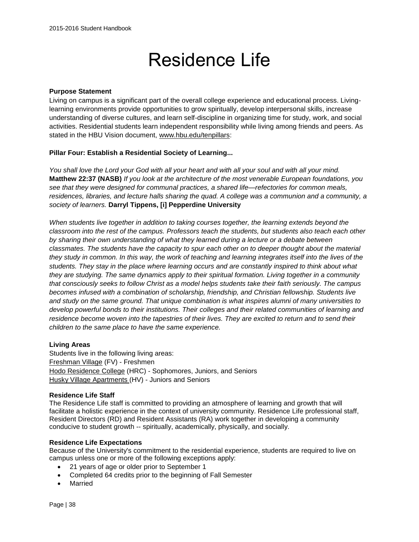# Residence Life

#### **Purpose Statement**

Living on campus is a significant part of the overall college experience and educational process. Livinglearning environments provide opportunities to grow spiritually, develop interpersonal skills, increase understanding of diverse cultures, and learn self-discipline in organizing time for study, work, and social activities. Residential students learn independent responsibility while living among friends and peers. As stated in the HBU Vision document, [www.hbu.edu/tenpillars:](https://hbu.edu/About-HBU/General-Information/The-Ten-Pillars.aspx)

#### **[Pillar Four: Establish a Residential Society of Learning...](https://hbu.edu/About-HBU/General-Information/The-Ten-Pillars/A-Residential-Society.aspx)**

*You shall love the Lord your God with all your heart and with all your soul and with all your mind.*  **Matthew 22:37 (NASB)** *If you look at the architecture of the most venerable European foundations, you see that they were designed for communal practices, a shared life—refectories for common meals, residences, libraries, and lecture halls sharing the quad. A college was a communion and a community, a society of learners.* **Darryl Tippens, [i] Pepperdine University** 

When students live together in addition to taking courses together, the learning extends beyond the *classroom into the rest of the campus. Professors teach the students, but students also teach each other by sharing their own understanding of what they learned during a lecture or a debate between classmates. The students have the capacity to spur each other on to deeper thought about the material they study in common. In this way, the work of teaching and learning integrates itself into the lives of the students. They stay in the place where learning occurs and are constantly inspired to think about what they are studying. The same dynamics apply to their spiritual formation. Living together in a community that consciously seeks to follow Christ as a model helps students take their faith seriously. The campus becomes infused with a combination of scholarship, friendship, and Christian fellowship. Students live and study on the same ground. That unique combination is what inspires alumni of many universities to develop powerful bonds to their institutions. Their colleges and their related communities of learning and residence become woven into the tapestries of their lives. They are excited to return and to send their children to the same place to have the same experience.* 

#### **Living Areas**

Students live in the following living areas: [Freshman Village](https://hbu.edu/Students-Alumni/Student-Information/Residence-Life/Residence-Housing/Residence-Colleges.aspx) (FV) - Freshmen [Hodo Residence College](https://hbu.edu/Students-Alumni/Student-Information/Residence-Life/Residence-Housing/The-Lake-House.aspx) (HRC) - Sophomores, Juniors, and Seniors [Husky Village Apartments \(](https://hbu.edu/Students-Alumni/Student-Information/Residence-Life/Residence-Housing/Husky-Village.aspx)HV) - Juniors and Seniors

#### **Residence Life Staff**

The Residence Life staff is committed to providing an atmosphere of learning and growth that will facilitate a holistic experience in the context of university community. Residence Life professional staff, Resident Directors (RD) and Resident Assistants (RA) work together in developing a community conducive to student growth -- spiritually, academically, physically, and socially.

#### **Residence Life Expectations**

Because of the University's commitment to the residential experience, students are required to live on campus unless one or more of the following exceptions apply:

- 21 years of age or older prior to September 1
- Completed 64 credits prior to the beginning of Fall Semester
- Married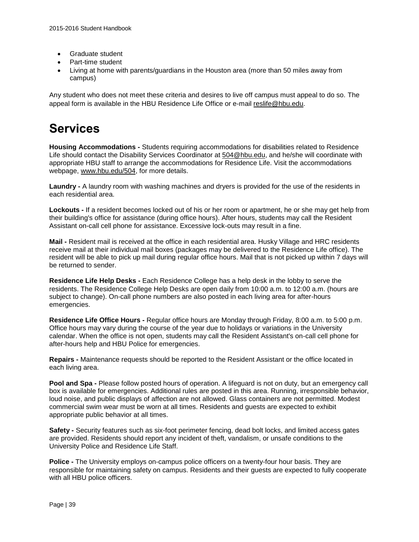- Graduate student
- Part-time student
- Living at home with parents/guardians in the Houston area (more than 50 miles away from campus)

Any student who does not meet these criteria and desires to live off campus must appeal to do so. The appeal form is available in the HBU Residence Life Office or e-mail [reslife@hbu.edu.](mailto:reslife@hbu.edu)

# **Services**

**Housing Accommodations -** Students requiring accommodations for disabilities related to Residence Life should contact the Disability Services Coordinator at [504@hbu.edu,](mailto:504@hbu.edu) and he/she will coordinate with appropriate HBU staff to arrange the accommodations for Residence Life. Visit the accommodations webpage, [www.hbu.edu/504,](http://www.hbu.edu/504) for more details.

**Laundry -** A laundry room with washing machines and dryers is provided for the use of the residents in each residential area.

**Lockouts -** If a resident becomes locked out of his or her room or apartment, he or she may get help from their building's office for assistance (during office hours). After hours, students may call the Resident Assistant on-call cell phone for assistance. Excessive lock-outs may result in a fine.

**Mail -** Resident mail is received at the office in each residential area. Husky Village and HRC residents receive mail at their individual mail boxes (packages may be delivered to the Residence Life office). The resident will be able to pick up mail during regular office hours. Mail that is not picked up within 7 days will be returned to sender.

**Residence Life Help Desks -** Each Residence College has a help desk in the lobby to serve the residents. The Residence College Help Desks are open daily from 10:00 a.m. to 12:00 a.m. (hours are subject to change). On-call phone numbers are also posted in each living area for after-hours emergencies.

**Residence Life Office Hours -** Regular office hours are Monday through Friday, 8:00 a.m. to 5:00 p.m. Office hours may vary during the course of the year due to holidays or variations in the University calendar. When the office is not open, students may call the Resident Assistant's on-call cell phone for after-hours help and HBU Police for emergencies.

**Repairs -** Maintenance requests should be reported to the Resident Assistant or the office located in each living area.

**Pool and Spa -** Please follow posted hours of operation. A lifeguard is not on duty, but an emergency call box is available for emergencies. Additional rules are posted in this area. Running, irresponsible behavior, loud noise, and public displays of affection are not allowed. Glass containers are not permitted. Modest commercial swim wear must be worn at all times. Residents and guests are expected to exhibit appropriate public behavior at all times.

**Safety -** Security features such as six-foot perimeter fencing, dead bolt locks, and limited access gates are provided. Residents should report any incident of theft, vandalism, or unsafe conditions to the University Police and Residence Life Staff.

**Police -** The University employs on-campus police officers on a twenty-four hour basis. They are responsible for maintaining safety on campus. Residents and their guests are expected to fully cooperate with all HBU police officers.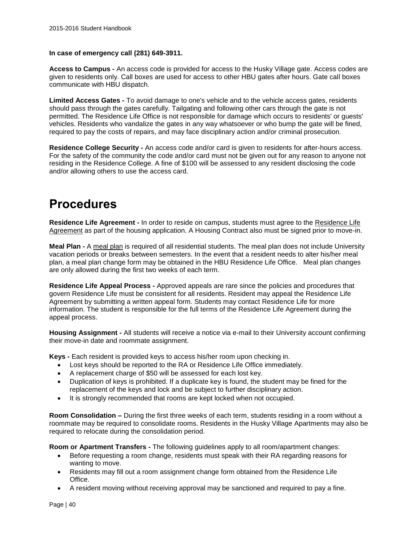#### **In case of emergency call (281) 649-3911.**

**Access to Campus -** An access code is provided for access to the Husky Village gate. Access codes are given to residents only. Call boxes are used for access to other HBU gates after hours. Gate call boxes communicate with HBU dispatch.

**Limited Access Gates -** To avoid damage to one's vehicle and to the vehicle access gates, residents should pass through the gates carefully. Tailgating and following other cars through the gate is not permitted. The Residence Life Office is not responsible for damage which occurs to residents' or guests' vehicles. Residents who vandalize the gates in any way whatsoever or who bump the gate will be fined, required to pay the costs of repairs, and may face disciplinary action and/or criminal prosecution.

**Residence College Security -** An access code and/or card is given to residents for after-hours access. For the safety of the community the code and/or card must not be given out for any reason to anyone not residing in the Residence College. A fine of \$100 will be assessed to any resident disclosing the code and/or allowing others to use the access card.

# **Procedures**

**Residence Life Agreement -** In order to reside on campus, students must agree to the [Residence Life](https://hbu.edu/Students-Alumni/Student-Information/Residence-Life/Residence-Housing/Housing-Details/Housing-Agreement.aspx)  [Agreement](https://hbu.edu/Students-Alumni/Student-Information/Residence-Life/Residence-Housing/Housing-Details/Housing-Agreement.aspx) as part of the housing application. A Housing Contract also must be signed prior to move-in.

**Meal Plan -** A [meal plan](https://hbu.edu/Students-Alumni/Student-Information/Residence-Life/Residence-Housing/Housing-Details/Dining-Memberships.aspx) is required of all residential students. The meal plan does not include University vacation periods or breaks between semesters. In the event that a resident needs to alter his/her meal plan, a meal plan change form may be obtained in the HBU Residence Life Office. Meal plan changes are only allowed during the first two weeks of each term.

**Residence Life Appeal Process -** Approved appeals are rare since the policies and procedures that govern Residence Life must be consistent for all residents. Resident may appeal the Residence Life Agreement by submitting a written appeal form. Students may contact Residence Life for more information. The student is responsible for the full terms of the Residence Life Agreement during the appeal process.

**Housing Assignment -** All students will receive a notice via e-mail to their University account confirming their move-in date and roommate assignment.

**Keys -** Each resident is provided keys to access his/her room upon checking in.

- Lost keys should be reported to the RA or Residence Life Office immediately.
- A replacement charge of \$50 will be assessed for each lost key.
- Duplication of keys is prohibited. If a duplicate key is found, the student may be fined for the replacement of the keys and lock and be subject to further disciplinary action.
- It is strongly recommended that rooms are kept locked when not occupied.

**Room Consolidation –** During the first three weeks of each term, students residing in a room without a roommate may be required to consolidate rooms. Residents in the Husky Village Apartments may also be required to relocate during the consolidation period.

**Room or Apartment Transfers -** The following guidelines apply to all room/apartment changes:

- Before requesting a room change, residents must speak with their RA regarding reasons for wanting to move.
- Residents may fill out a room assignment change form obtained from the Residence Life Office.
- A resident moving without receiving approval may be sanctioned and required to pay a fine.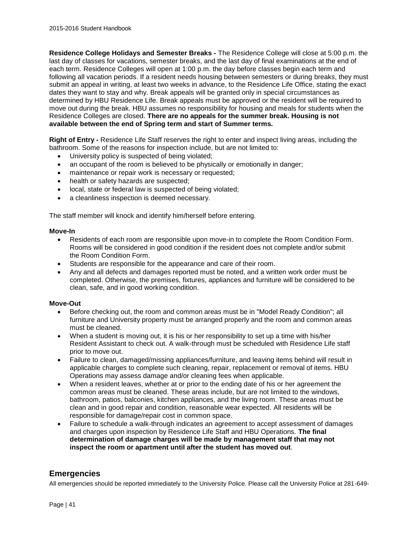**Residence College Holidays and Semester Breaks -** The Residence College will close at 5:00 p.m. the last day of classes for vacations, semester breaks, and the last day of final examinations at the end of each term. Residence Colleges will open at 1:00 p.m. the day before classes begin each term and following all vacation periods. If a resident needs housing between semesters or during breaks, they must submit an appeal in writing, at least two weeks in advance, to the Residence Life Office, stating the exact dates they want to stay and why. Break appeals will be granted only in special circumstances as determined by HBU Residence Life. Break appeals must be approved or the resident will be required to move out during the break. HBU assumes no responsibility for housing and meals for students when the Residence Colleges are closed. **There are no appeals for the summer break. Housing is not available between the end of Spring term and start of Summer terms.**

**Right of Entry -** Residence Life Staff reserves the right to enter and inspect living areas, including the bathroom. Some of the reasons for inspection include, but are not limited to:

- University policy is suspected of being violated;
- an occupant of the room is believed to be physically or emotionally in danger;
- maintenance or repair work is necessary or requested;
- health or safety hazards are suspected;
- local, state or federal law is suspected of being violated;
- a cleanliness inspection is deemed necessary.

The staff member will knock and identify him/herself before entering.

#### **Move-In**

- Residents of each room are responsible upon move-in to complete the Room Condition Form. Rooms will be considered in good condition if the resident does not complete and/or submit the Room Condition Form.
- Students are responsible for the appearance and care of their room.
- Any and all defects and damages reported must be noted, and a written work order must be completed. Otherwise, the premises, fixtures, appliances and furniture will be considered to be clean, safe, and in good working condition.

#### **Move-Out**

- Before checking out, the room and common areas must be in "Model Ready Condition"; all furniture and University property must be arranged properly and the room and common areas must be cleaned.
- When a student is moving out, it is his or her responsibility to set up a time with his/her Resident Assistant to check out. A walk-through must be scheduled with Residence Life staff prior to move out.
- Failure to clean, damaged/missing appliances/furniture, and leaving items behind will result in applicable charges to complete such cleaning, repair, replacement or removal of items. HBU Operations may assess damage and/or cleaning fees when applicable.
- When a resident leaves, whether at or prior to the ending date of his or her agreement the common areas must be cleaned. These areas include, but are not limited to the windows, bathroom, patios, balconies, kitchen appliances, and the living room. These areas must be clean and in good repair and condition, reasonable wear expected. All residents will be responsible for damage/repair cost in common space.
- Failure to schedule a walk-through indicates an agreement to accept assessment of damages and charges upon inspection by Residence Life Staff and HBU Operations. **The final determination of damage charges will be made by management staff that may not inspect the room or apartment until after the student has moved out**.

# **Emergencies**

All emergencies should be reported immediately to the University Police. Please call the University Police at 281-649-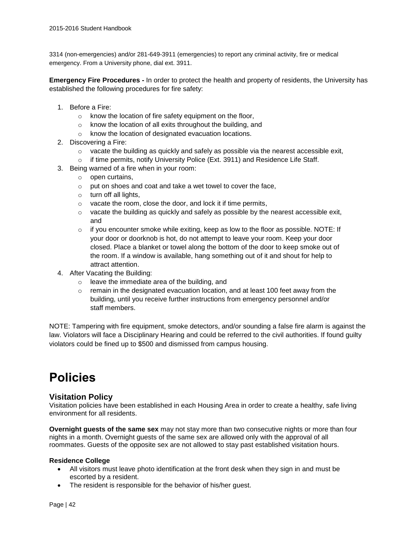3314 (non-emergencies) and/or 281-649-3911 (emergencies) to report any criminal activity, fire or medical emergency. From a University phone, dial ext. 3911.

**Emergency Fire Procedures -** In order to protect the health and property of residents, the University has established the following procedures for fire safety:

- 1. Before a Fire:
	- o know the location of fire safety equipment on the floor,
	- o know the location of all exits throughout the building, and
	- o know the location of designated evacuation locations.
- 2. Discovering a Fire:
	- $\circ$  vacate the building as quickly and safely as possible via the nearest accessible exit,
	- o if time permits, notify University Police (Ext. 3911) and Residence Life Staff.
- 3. Being warned of a fire when in your room:
	- o open curtains,
	- o put on shoes and coat and take a wet towel to cover the face,
	- turn off all lights,
	- o vacate the room, close the door, and lock it if time permits,
	- $\circ$  vacate the building as quickly and safely as possible by the nearest accessible exit, and
	- $\circ$  if you encounter smoke while exiting, keep as low to the floor as possible. NOTE: If your door or doorknob is hot, do not attempt to leave your room. Keep your door closed. Place a blanket or towel along the bottom of the door to keep smoke out of the room. If a window is available, hang something out of it and shout for help to attract attention.
- 4. After Vacating the Building:
	- o leave the immediate area of the building, and
	- $\circ$  remain in the designated evacuation location, and at least 100 feet away from the building, until you receive further instructions from emergency personnel and/or staff members.

NOTE: Tampering with fire equipment, smoke detectors, and/or sounding a false fire alarm is against the law. Violators will face a Disciplinary Hearing and could be referred to the civil authorities. If found guilty violators could be fined up to \$500 and dismissed from campus housing.

# **Policies**

# **Visitation Policy**

Visitation policies have been established in each Housing Area in order to create a healthy, safe living environment for all residents.

**Overnight guests of the same sex** may not stay more than two consecutive nights or more than four nights in a month. Overnight guests of the same sex are allowed only with the approval of all roommates. Guests of the opposite sex are not allowed to stay past established visitation hours.

#### **Residence College**

- All visitors must leave photo identification at the front desk when they sign in and must be escorted by a resident.
- The resident is responsible for the behavior of his/her guest.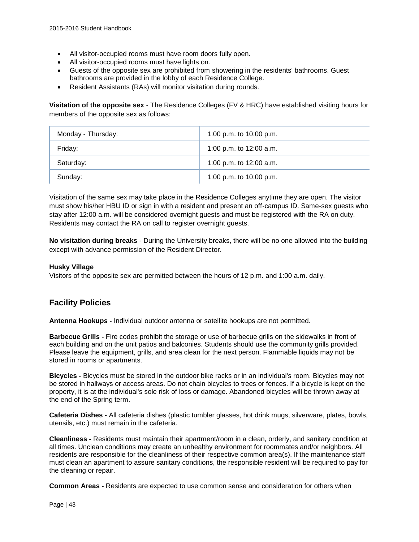- All visitor-occupied rooms must have room doors fully open.
- All visitor-occupied rooms must have lights on.
- Guests of the opposite sex are prohibited from showering in the residents' bathrooms. Guest bathrooms are provided in the lobby of each Residence College.
- Resident Assistants (RAs) will monitor visitation during rounds.

**Visitation of the opposite sex** - The Residence Colleges (FV & HRC) have established visiting hours for members of the opposite sex as follows:

| Monday - Thursday: | 1:00 p.m. to 10:00 p.m.   |
|--------------------|---------------------------|
| Friday:            | 1:00 p.m. to $12:00$ a.m. |
| Saturday:          | 1:00 p.m. to $12:00$ a.m. |
| Sunday:            | 1:00 p.m. to 10:00 p.m.   |

Visitation of the same sex may take place in the Residence Colleges anytime they are open. The visitor must show his/her HBU ID or sign in with a resident and present an off-campus ID. Same-sex guests who stay after 12:00 a.m. will be considered overnight guests and must be registered with the RA on duty. Residents may contact the RA on call to register overnight guests.

**No visitation during breaks** - During the University breaks, there will be no one allowed into the building except with advance permission of the Resident Director.

#### **Husky Village**

Visitors of the opposite sex are permitted between the hours of 12 p.m. and 1:00 a.m. daily.

# **Facility Policies**

**Antenna Hookups -** Individual outdoor antenna or satellite hookups are not permitted.

**Barbecue Grills -** Fire codes prohibit the storage or use of barbecue grills on the sidewalks in front of each building and on the unit patios and balconies. Students should use the community grills provided. Please leave the equipment, grills, and area clean for the next person. Flammable liquids may not be stored in rooms or apartments.

**Bicycles -** Bicycles must be stored in the outdoor bike racks or in an individual's room. Bicycles may not be stored in hallways or access areas. Do not chain bicycles to trees or fences. If a bicycle is kept on the property, it is at the individual's sole risk of loss or damage. Abandoned bicycles will be thrown away at the end of the Spring term.

**Cafeteria Dishes -** All cafeteria dishes (plastic tumbler glasses, hot drink mugs, silverware, plates, bowls, utensils, etc.) must remain in the cafeteria.

**Cleanliness -** Residents must maintain their apartment/room in a clean, orderly, and sanitary condition at all times. Unclean conditions may create an unhealthy environment for roommates and/or neighbors. All residents are responsible for the cleanliness of their respective common area(s). If the maintenance staff must clean an apartment to assure sanitary conditions, the responsible resident will be required to pay for the cleaning or repair.

**Common Areas -** Residents are expected to use common sense and consideration for others when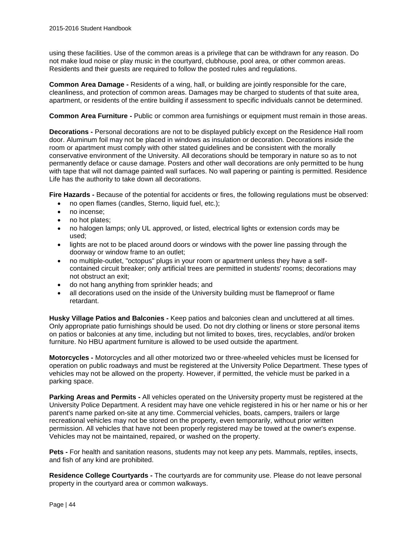using these facilities. Use of the common areas is a privilege that can be withdrawn for any reason. Do not make loud noise or play music in the courtyard, clubhouse, pool area, or other common areas. Residents and their guests are required to follow the posted rules and regulations.

**Common Area Damage -** Residents of a wing, hall, or building are jointly responsible for the care, cleanliness, and protection of common areas. Damages may be charged to students of that suite area, apartment, or residents of the entire building if assessment to specific individuals cannot be determined.

**Common Area Furniture -** Public or common area furnishings or equipment must remain in those areas.

**Decorations -** Personal decorations are not to be displayed publicly except on the Residence Hall room door. Aluminum foil may not be placed in windows as insulation or decoration. Decorations inside the room or apartment must comply with other stated guidelines and be consistent with the morally conservative environment of the University. All decorations should be temporary in nature so as to not permanently deface or cause damage. Posters and other wall decorations are only permitted to be hung with tape that will not damage painted wall surfaces. No wall papering or painting is permitted. Residence Life has the authority to take down all decorations.

**Fire Hazards -** Because of the potential for accidents or fires, the following regulations must be observed:

- no open flames (candles, Sterno, liquid fuel, etc.);
- no incense;
- no hot plates;
- no halogen lamps; only UL approved, or listed, electrical lights or extension cords may be used;
- lights are not to be placed around doors or windows with the power line passing through the doorway or window frame to an outlet;
- no multiple-outlet, "octopus" plugs in your room or apartment unless they have a selfcontained circuit breaker; only artificial trees are permitted in students' rooms; decorations may not obstruct an exit;
- do not hang anything from sprinkler heads; and
- all decorations used on the inside of the University building must be flameproof or flame retardant.

**Husky Village Patios and Balconies -** Keep patios and balconies clean and uncluttered at all times. Only appropriate patio furnishings should be used. Do not dry clothing or linens or store personal items on patios or balconies at any time, including but not limited to boxes, tires, recyclables, and/or broken furniture. No HBU apartment furniture is allowed to be used outside the apartment.

**Motorcycles -** Motorcycles and all other motorized two or three-wheeled vehicles must be licensed for operation on public roadways and must be registered at the University Police Department. These types of vehicles may not be allowed on the property. However, if permitted, the vehicle must be parked in a parking space.

**Parking Areas and Permits -** All vehicles operated on the University property must be registered at the University Police Department. A resident may have one vehicle registered in his or her name or his or her parent's name parked on-site at any time. Commercial vehicles, boats, campers, trailers or large recreational vehicles may not be stored on the property, even temporarily, without prior written permission. All vehicles that have not been properly registered may be towed at the owner's expense. Vehicles may not be maintained, repaired, or washed on the property.

**Pets -** For health and sanitation reasons, students may not keep any pets. Mammals, reptiles, insects, and fish of any kind are prohibited.

**Residence College Courtyards -** The courtyards are for community use. Please do not leave personal property in the courtyard area or common walkways.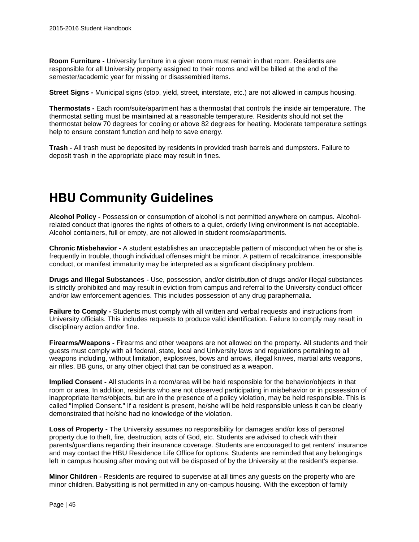**Room Furniture -** University furniture in a given room must remain in that room. Residents are responsible for all University property assigned to their rooms and will be billed at the end of the semester/academic year for missing or disassembled items.

**Street Signs -** Municipal signs (stop, yield, street, interstate, etc.) are not allowed in campus housing.

**Thermostats -** Each room/suite/apartment has a thermostat that controls the inside air temperature. The thermostat setting must be maintained at a reasonable temperature. Residents should not set the thermostat below 70 degrees for cooling or above 82 degrees for heating. Moderate temperature settings help to ensure constant function and help to save energy.

**Trash -** All trash must be deposited by residents in provided trash barrels and dumpsters. Failure to deposit trash in the appropriate place may result in fines.

# **HBU Community Guidelines**

**Alcohol Policy -** Possession or consumption of alcohol is not permitted anywhere on campus. Alcoholrelated conduct that ignores the rights of others to a quiet, orderly living environment is not acceptable. Alcohol containers, full or empty, are not allowed in student rooms/apartments.

**Chronic Misbehavior -** A student establishes an unacceptable pattern of misconduct when he or she is frequently in trouble, though individual offenses might be minor. A pattern of recalcitrance, irresponsible conduct, or manifest immaturity may be interpreted as a significant disciplinary problem.

**Drugs and Illegal Substances -** Use, possession, and/or distribution of drugs and/or illegal substances is strictly prohibited and may result in eviction from campus and referral to the University conduct officer and/or law enforcement agencies. This includes possession of any drug paraphernalia.

**Failure to Comply -** Students must comply with all written and verbal requests and instructions from University officials. This includes requests to produce valid identification. Failure to comply may result in disciplinary action and/or fine.

**Firearms/Weapons -** Firearms and other weapons are not allowed on the property. All students and their guests must comply with all federal, state, local and University laws and regulations pertaining to all weapons including, without limitation, explosives, bows and arrows, illegal knives, martial arts weapons, air rifles, BB guns, or any other object that can be construed as a weapon.

**Implied Consent -** All students in a room/area will be held responsible for the behavior/objects in that room or area. In addition, residents who are not observed participating in misbehavior or in possession of inappropriate items/objects, but are in the presence of a policy violation, may be held responsible. This is called "Implied Consent." If a resident is present, he/she will be held responsible unless it can be clearly demonstrated that he/she had no knowledge of the violation.

**Loss of Property -** The University assumes no responsibility for damages and/or loss of personal property due to theft, fire, destruction, acts of God, etc. Students are advised to check with their parents/guardians regarding their insurance coverage. Students are encouraged to get renters' insurance and may contact the HBU Residence Life Office for options. Students are reminded that any belongings left in campus housing after moving out will be disposed of by the University at the resident's expense.

**Minor Children -** Residents are required to supervise at all times any guests on the property who are minor children. Babysitting is not permitted in any on-campus housing. With the exception of family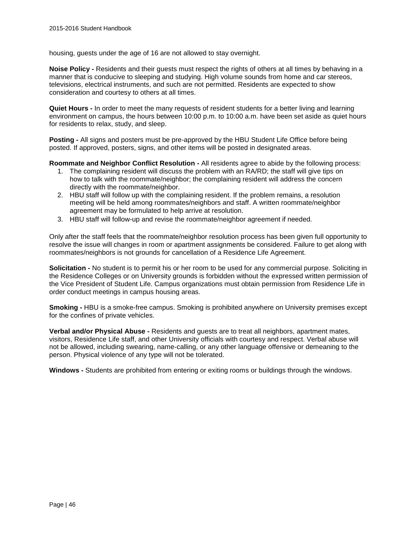housing, guests under the age of 16 are not allowed to stay overnight.

**Noise Policy -** Residents and their guests must respect the rights of others at all times by behaving in a manner that is conducive to sleeping and studying. High volume sounds from home and car stereos, televisions, electrical instruments, and such are not permitted. Residents are expected to show consideration and courtesy to others at all times.

**Quiet Hours -** In order to meet the many requests of resident students for a better living and learning environment on campus, the hours between 10:00 p.m. to 10:00 a.m. have been set aside as quiet hours for residents to relax, study, and sleep.

**Posting -** All signs and posters must be pre-approved by the HBU Student Life Office before being posted. If approved, posters, signs, and other items will be posted in designated areas.

**Roommate and Neighbor Conflict Resolution -** All residents agree to abide by the following process:

- 1. The complaining resident will discuss the problem with an RA/RD; the staff will give tips on how to talk with the roommate/neighbor; the complaining resident will address the concern directly with the roommate/neighbor.
- 2. HBU staff will follow up with the complaining resident. If the problem remains, a resolution meeting will be held among roommates/neighbors and staff. A written roommate/neighbor agreement may be formulated to help arrive at resolution.
- 3. HBU staff will follow-up and revise the roommate/neighbor agreement if needed.

Only after the staff feels that the roommate/neighbor resolution process has been given full opportunity to resolve the issue will changes in room or apartment assignments be considered. Failure to get along with roommates/neighbors is not grounds for cancellation of a Residence Life Agreement.

**Solicitation -** No student is to permit his or her room to be used for any commercial purpose. Soliciting in the Residence Colleges or on University grounds is forbidden without the expressed written permission of the Vice President of Student Life. Campus organizations must obtain permission from Residence Life in order conduct meetings in campus housing areas.

**Smoking -** HBU is a smoke-free campus. Smoking is prohibited anywhere on University premises except for the confines of private vehicles.

**Verbal and/or Physical Abuse -** Residents and guests are to treat all neighbors, apartment mates, visitors, Residence Life staff, and other University officials with courtesy and respect. Verbal abuse will not be allowed, including swearing, name-calling, or any other language offensive or demeaning to the person. Physical violence of any type will not be tolerated.

**Windows -** Students are prohibited from entering or exiting rooms or buildings through the windows.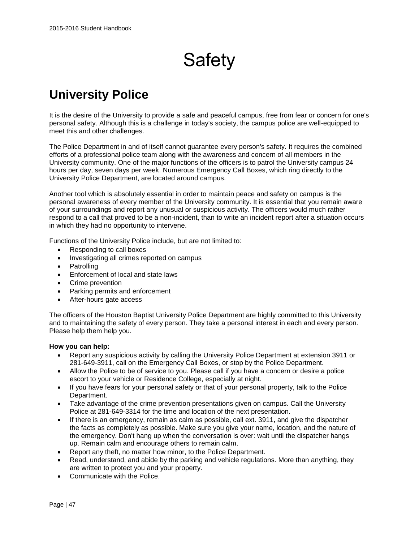# **Safety**

# **University Police**

It is the desire of the University to provide a safe and peaceful campus, free from fear or concern for one's personal safety. Although this is a challenge in today's society, the campus police are well-equipped to meet this and other challenges.

The Police Department in and of itself cannot guarantee every person's safety. It requires the combined efforts of a professional police team along with the awareness and concern of all members in the University community. One of the major functions of the officers is to patrol the University campus 24 hours per day, seven days per week. Numerous Emergency Call Boxes, which ring directly to the University Police Department, are located around campus.

Another tool which is absolutely essential in order to maintain peace and safety on campus is the personal awareness of every member of the University community. It is essential that you remain aware of your surroundings and report any unusual or suspicious activity. The officers would much rather respond to a call that proved to be a non-incident, than to write an incident report after a situation occurs in which they had no opportunity to intervene.

Functions of the University Police include, but are not limited to:

- Responding to call boxes
- Investigating all crimes reported on campus
- Patrolling
- Enforcement of local and state laws
- Crime prevention
- Parking permits and enforcement
- After-hours gate access

The officers of the Houston Baptist University Police Department are highly committed to this University and to maintaining the safety of every person. They take a personal interest in each and every person. Please help them help you.

#### **How you can help:**

- Report any suspicious activity by calling the University Police Department at extension 3911 or 281-649-3911, call on the Emergency Call Boxes, or stop by the Police Department.
- Allow the Police to be of service to you. Please call if you have a concern or desire a police escort to your vehicle or Residence College, especially at night.
- If you have fears for your personal safety or that of your personal property, talk to the Police Department.
- Take advantage of the crime prevention presentations given on campus. Call the University Police at 281-649-3314 for the time and location of the next presentation.
- If there is an emergency, remain as calm as possible, call ext. 3911, and give the dispatcher the facts as completely as possible. Make sure you give your name, location, and the nature of the emergency. Don't hang up when the conversation is over: wait until the dispatcher hangs up. Remain calm and encourage others to remain calm.
- Report any theft, no matter how minor, to the Police Department.
- Read, understand, and abide by the parking and vehicle regulations. More than anything, they are written to protect you and your property.
- Communicate with the Police.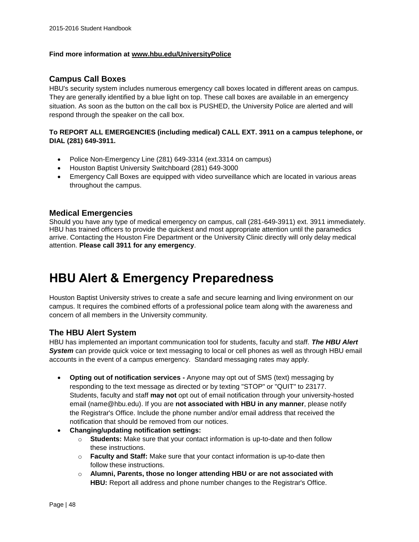#### **Find more information at [www.hbu.edu/UniversityPolice](http://www.hbu.edu/UniversityPolice)**

### **Campus Call Boxes**

HBU's security system includes numerous emergency call boxes located in different areas on campus. They are generally identified by a blue light on top. These call boxes are available in an emergency situation. As soon as the button on the call box is PUSHED, the University Police are alerted and will respond through the speaker on the call box.

### **To REPORT ALL EMERGENCIES (including medical) CALL EXT. 3911 on a campus telephone, or DIAL (281) 649-3911.**

- Police Non-Emergency Line (281) 649-3314 (ext.3314 on campus)
- Houston Baptist University Switchboard (281) 649-3000
- Emergency Call Boxes are equipped with video surveillance which are located in various areas throughout the campus.

### **Medical Emergencies**

Should you have any type of medical emergency on campus, call (281-649-3911) ext. 3911 immediately. HBU has trained officers to provide the quickest and most appropriate attention until the paramedics arrive. Contacting the Houston Fire Department or the University Clinic directly will only delay medical attention. **Please call 3911 for any emergency**.

# **HBU Alert & Emergency Preparedness**

Houston Baptist University strives to create a safe and secure learning and living environment on our campus. It requires the combined efforts of a professional police team along with the awareness and concern of all members in the University community.

# **The HBU Alert System**

HBU has implemented an important communication tool for students, faculty and staff. *The HBU Alert*  **System** can provide quick voice or text messaging to local or cell phones as well as through HBU email accounts in the event of a campus emergency. Standard messaging rates may apply.

- **Opting out of notification services -** Anyone may opt out of SMS (text) messaging by responding to the text message as directed or by texting "STOP" or "QUIT" to 23177. Students, faculty and staff **may not** opt out of email notification through your university-hosted email (name@hbu.edu). If you are **not associated with HBU in any manner**, please notify the Registrar's Office. Include the phone number and/or email address that received the notification that should be removed from our notices.
- **Changing/updating notification settings:**
	- o **Students:** Make sure that your contact information is up-to-date and then follow these instructions.
	- o **Faculty and Staff:** Make sure that your contact information is up-to-date then follow these instructions.
	- o **Alumni, Parents, those no longer attending HBU or are not associated with HBU:** Report all address and phone number changes to the Registrar's Office.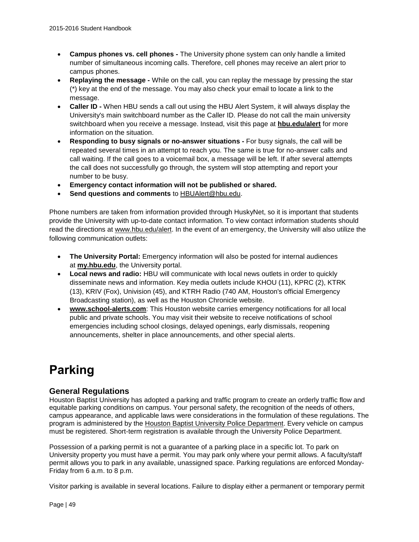- **Campus phones vs. cell phones -** The University phone system can only handle a limited number of simultaneous incoming calls. Therefore, cell phones may receive an alert prior to campus phones.
- **Replaying the message -** While on the call, you can replay the message by pressing the star (\*) key at the end of the message. You may also check your email to locate a link to the message.
- **Caller ID -** When HBU sends a call out using the HBU Alert System, it will always display the University's main switchboard number as the Caller ID. Please do not call the main university switchboard when you receive a message. Instead, visit this page at **[hbu.edu/alert](http://hbu.edu/alert)** for more information on the situation.
- **Responding to busy signals or no-answer situations -** For busy signals, the call will be repeated several times in an attempt to reach you. The same is true for no-answer calls and call waiting. If the call goes to a voicemail box, a message will be left. If after several attempts the call does not successfully go through, the system will stop attempting and report your number to be busy.
- **Emergency contact information will not be published or shared.**
- **Send questions and comments** to [HBUAlert@hbu.edu.](mailto:HBUAlert@hbu.edu)

Phone numbers are taken from information provided through HuskyNet, so it is important that students provide the University with up-to-date contact information. To view contact information students should read the directions at [www.hbu.edu/alert.](http://www.hbu.edu/alert) In the event of an emergency, the University will also utilize the following communication outlets:

- **The University Portal:** Emergency information will also be posted for internal audiences at **[my.hbu.edu](http://my.hbu.edu/)**, the University portal.
- **Local news and radio:** HBU will communicate with local news outlets in order to quickly disseminate news and information. Key media outlets include KHOU (11), KPRC (2), KTRK (13), KRIV (Fox), Univision (45), and KTRH Radio (740 AM, Houston's official Emergency Broadcasting station), as well as the Houston Chronicle website.
- **[www.school-alerts.com](http://www.school-alerts.com/)**: This Houston website carries emergency notifications for all local public and private schools. You may visit their website to receive notifications of school emergencies including school closings, delayed openings, early dismissals, reopening announcements, shelter in place announcements, and other special alerts.

# **Parking**

# **General Regulations**

Houston Baptist University has adopted a parking and traffic program to create an orderly traffic flow and equitable parking conditions on campus. Your personal safety, the recognition of the needs of others, campus appearance, and applicable laws were considerations in the formulation of these regulations. The program is administered by the [Houston Baptist University Police Department.](http://www.hbu.edu/About-HBU/The-Campus/Police-Parking) Every vehicle on campus must be registered. Short-term registration is available through the University Police Department.

Possession of a parking permit is not a guarantee of a parking place in a specific lot. To park on University property you must have a permit. You may park only where your permit allows. A faculty/staff permit allows you to park in any available, unassigned space. Parking regulations are enforced Monday-Friday from 6 a.m. to 8 p.m.

Visitor parking is available in several locations. Failure to display either a permanent or temporary permit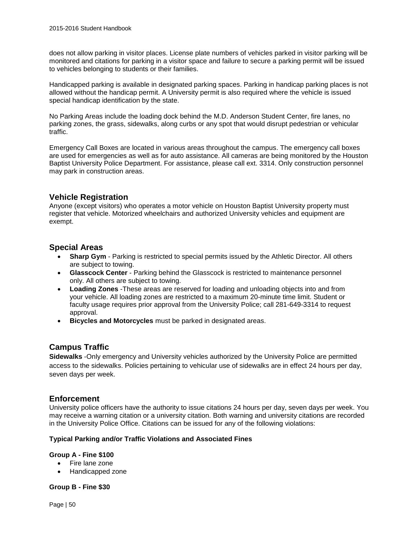does not allow parking in visitor places. License plate numbers of vehicles parked in visitor parking will be monitored and citations for parking in a visitor space and failure to secure a parking permit will be issued to vehicles belonging to students or their families.

Handicapped parking is available in designated parking spaces. Parking in handicap parking places is not allowed without the handicap permit. A University permit is also required where the vehicle is issued special handicap identification by the state.

No Parking Areas include the loading dock behind the M.D. Anderson Student Center, fire lanes, no parking zones, the grass, sidewalks, along curbs or any spot that would disrupt pedestrian or vehicular traffic.

Emergency Call Boxes are located in various areas throughout the campus. The emergency call boxes are used for emergencies as well as for auto assistance. All cameras are being monitored by the Houston Baptist University Police Department. For assistance, please call ext. 3314. Only construction personnel may park in construction areas.

# **Vehicle Registration**

Anyone (except visitors) who operates a motor vehicle on Houston Baptist University property must register that vehicle. Motorized wheelchairs and authorized University vehicles and equipment are exempt.

# **Special Areas**

- **Sharp Gym** Parking is restricted to special permits issued by the Athletic Director. All others are subject to towing.
- **Glasscock Center** Parking behind the Glasscock is restricted to maintenance personnel only. All others are subject to towing.
- **Loading Zones** -These areas are reserved for loading and unloading objects into and from your vehicle. All loading zones are restricted to a maximum 20-minute time limit. Student or faculty usage requires prior approval from the University Police; call 281-649-3314 to request approval.
- **Bicycles and Motorcycles** must be parked in designated areas.

# **Campus Traffic**

**Sidewalks** -Only emergency and University vehicles authorized by the University Police are permitted access to the sidewalks. Policies pertaining to vehicular use of sidewalks are in effect 24 hours per day, seven days per week.

# **Enforcement**

University police officers have the authority to issue citations 24 hours per day, seven days per week. You may receive a warning citation or a university citation. Both warning and university citations are recorded in the University Police Office. Citations can be issued for any of the following violations:

### **Typical Parking and/or Traffic Violations and Associated Fines**

### **Group A - Fine \$100**

- Fire lane zone
- Handicapped zone

### **Group B - Fine \$30**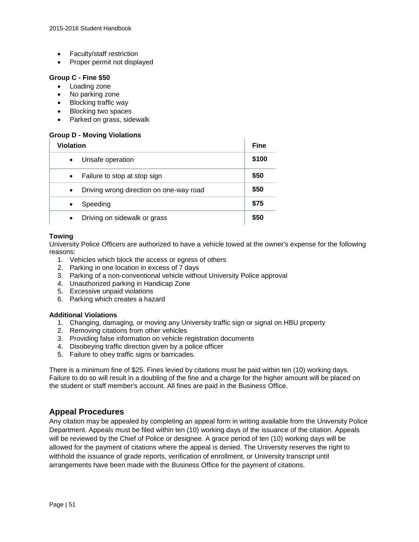- Faculty/staff restriction
- Proper permit not displayed

#### **Group C - Fine \$50**

- Loading zone
- No parking zone
- Blocking traffic way
- Blocking two spaces
- Parked on grass, sidewalk

#### **Group D - Moving Violations**

| Violation                                            |       |
|------------------------------------------------------|-------|
| Unsafe operation<br>$\bullet$                        | \$100 |
| Failure to stop at stop sign<br>$\bullet$            | \$50  |
| Driving wrong direction on one-way road<br>$\bullet$ | \$50  |
| Speeding<br>$\bullet$                                | \$75  |
| Driving on sidewalk or grass                         | \$50  |

#### **Towing**

University Police Officers are authorized to have a vehicle towed at the owner's expense for the following reasons:

- 1. Vehicles which block the access or egress of others
- 2. Parking in one location in excess of 7 days
- 3. Parking of a non-conventional vehicle without University Police approval
- 4. Unauthorized parking in Handicap Zone
- 5. Excessive unpaid violations
- 6. Parking which creates a hazard

#### **Additional Violations**

- 1. Changing, damaging, or moving any University traffic sign or signal on HBU property
- 2. Removing citations from other vehicles
- 3. Providing false information on vehicle registration documents
- 4. Disobeying traffic direction given by a police officer
- 5. Failure to obey traffic signs or barricades.

There is a minimum fine of \$25. Fines levied by citations must be paid within ten (10) working days. Failure to do so will result in a doubling of the fine and a charge for the higher amount will be placed on the student or staff member's account. All fines are paid in the Business Office.

# **Appeal Procedures**

Any citation may be appealed by completing an appeal form in writing available from the University Police Department. Appeals must be filed within ten (10) working days of the issuance of the citation. Appeals will be reviewed by the Chief of Police or designee. A grace period of ten (10) working days will be allowed for the payment of citations where the appeal is denied. The University reserves the right to withhold the issuance of grade reports, verification of enrollment, or University transcript until arrangements have been made with the Business Office for the payment of citations.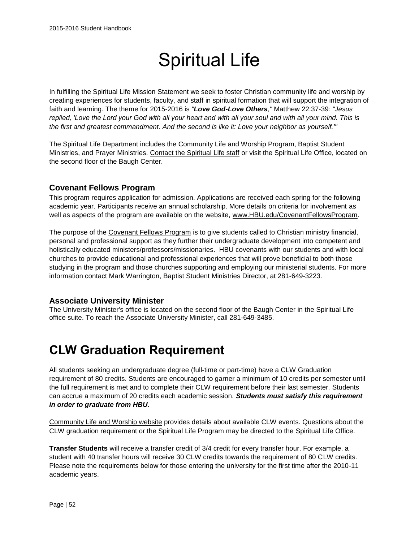# Spiritual Life

In fulfilling the Spiritual Life Mission Statement we seek to foster Christian community life and worship by creating experiences for students, faculty, and staff in spiritual formation that will support the integration of faith and learning. The theme for 2015-2016 is *"Love God-Love Others,"* Matthew 22:37-39*: "Jesus replied, 'Love the Lord your God with all your heart and with all your soul and with all your mind. This is the first and greatest commandment. And the second is like it: Love your neighbor as yourself.'"*

The Spiritual Life Department includes the Community Life and Worship Program, Baptist Student Ministries, and Prayer Ministries. [Contact the Spiritual Life staff](https://www.hbu.edu/Students-Alumni/Student-Information/Spiritual-Life/Spiritual-Life-Department/Contact-Us.aspx) or visit the Spiritual Life Office, located on the second floor of the Baugh Center.

# **Covenant Fellows Program**

This program requires application for admission. Applications are received each spring for the following academic year. Participants receive an annual scholarship. More details on criteria for involvement as well as aspects of the program are available on the website, [www.HBU.edu/CovenantFellowsProgram.](https://www.hbu.edu/CovenantFellowsProgram)

The purpose of the [Covenant Fellows Program](http://www.hbu.edu/CovenantFellowsProgram) is to give students called to Christian ministry financial, personal and professional support as they further their undergraduate development into competent and holistically educated ministers/professors/missionaries. HBU covenants with our students and with local churches to provide educational and professional experiences that will prove beneficial to both those studying in the program and those churches supporting and employing our ministerial students. For more information contact [Mark](mailto:dmiller@hbu.edu) Warrington, Baptist Student Ministries Director, at 281-649-3223.

# **Associate University Minister**

The University Minister's office is located on the second floor of the Baugh Center in the Spiritual Life office suite. To reach the Associate University Minister, call 281-649-3485.

# **CLW Graduation Requirement**

All students seeking an undergraduate degree (full-time or part-time) have a CLW Graduation requirement of 80 credits. Students are encouraged to garner a minimum of 10 credits per semester until the full requirement is met and to complete their CLW requirement before their last semester. Students can accrue a maximum of 20 credits each academic session. *Students must satisfy this requirement in order to graduate from HBU.*

Community Life [and Worship website](https://hbu.edu/Students-Alumni/Student-Information/Spiritual-Life/Community-Life-and-Worship.aspx) provides details about available CLW events. Questions about the CLW graduation requirement or the Spiritual Life Program may be directed to the [Spiritual Life Office.](https://www.hbu.edu/Students-Alumni/Student-Information/Spiritual-Life/Spiritual-Life-Department/Contact-Us.aspx)

**Transfer Students** will receive a transfer credit of 3/4 credit for every transfer hour. For example, a student with 40 transfer hours will receive 30 CLW credits towards the requirement of 80 CLW credits. Please note the requirements below for those entering the university for the first time after the 2010-11 academic years.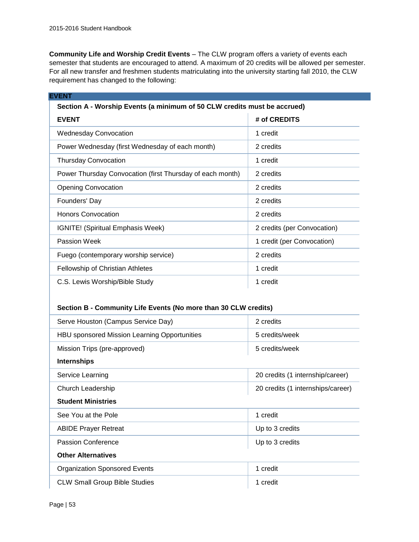**Community Life and Worship Credit Events** – The CLW program offers a variety of events each semester that students are encouraged to attend. A maximum of 20 credits will be allowed per semester. For all new transfer and freshmen students matriculating into the university starting fall 2010, the CLW requirement has changed to the following:

| <b>EVENT</b>                                                             |                             |  |
|--------------------------------------------------------------------------|-----------------------------|--|
| Section A - Worship Events (a minimum of 50 CLW credits must be accrued) |                             |  |
| <b>EVENT</b>                                                             | # of CREDITS                |  |
| <b>Wednesday Convocation</b>                                             | 1 credit                    |  |
| Power Wednesday (first Wednesday of each month)                          | 2 credits                   |  |
| <b>Thursday Convocation</b>                                              | 1 credit                    |  |
| Power Thursday Convocation (first Thursday of each month)                | 2 credits                   |  |
| <b>Opening Convocation</b>                                               | 2 credits                   |  |
| Founders' Day                                                            | 2 credits                   |  |
| Honors Convocation                                                       | 2 credits                   |  |
| IGNITE! (Spiritual Emphasis Week)                                        | 2 credits (per Convocation) |  |
| Passion Week                                                             | 1 credit (per Convocation)  |  |
| Fuego (contemporary worship service)                                     | 2 credits                   |  |
| <b>Fellowship of Christian Athletes</b>                                  | 1 credit                    |  |
| C.S. Lewis Worship/Bible Study                                           | 1 credit                    |  |

#### **Section B - Community Life Events (No more than 30 CLW credits)**

| Serve Houston (Campus Service Day)           | 2 credits                         |
|----------------------------------------------|-----------------------------------|
| HBU sponsored Mission Learning Opportunities | 5 credits/week                    |
| Mission Trips (pre-approved)                 | 5 credits/week                    |
| <b>Internships</b>                           |                                   |
| Service Learning                             | 20 credits (1 internship/career)  |
| Church Leadership                            | 20 credits (1 internships/career) |
| <b>Student Ministries</b>                    |                                   |
| See You at the Pole                          | 1 credit                          |
| <b>ABIDE Prayer Retreat</b>                  | Up to 3 credits                   |
| <b>Passion Conference</b>                    | Up to 3 credits                   |
| <b>Other Alternatives</b>                    |                                   |
| <b>Organization Sponsored Events</b>         | 1 credit                          |
| <b>CLW Small Group Bible Studies</b>         | 1 credit                          |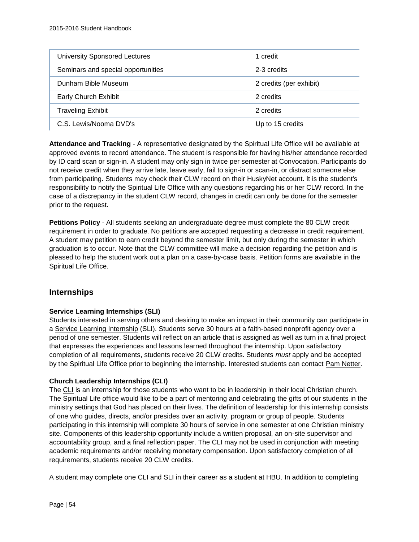| <b>University Sponsored Lectures</b> | 1 credit                |
|--------------------------------------|-------------------------|
| Seminars and special opportunities   | 2-3 credits             |
| Dunham Bible Museum                  | 2 credits (per exhibit) |
| Early Church Exhibit                 | 2 credits               |
| <b>Traveling Exhibit</b>             | 2 credits               |
| C.S. Lewis/Nooma DVD's               | Up to 15 credits        |

**Attendance and Tracking** - A representative designated by the Spiritual Life Office will be available at approved events to record attendance. The student is responsible for having his/her attendance recorded by ID card scan or sign-in. A student may only sign in twice per semester at Convocation. Participants do not receive credit when they arrive late, leave early, fail to sign-in or scan-in, or distract someone else from participating. Students may check their CLW record on their HuskyNet account. It is the student's responsibility to notify the Spiritual Life Office with any questions regarding his or her CLW record. In the case of a discrepancy in the student CLW record, changes in credit can only be done for the semester prior to the request.

**Petitions Policy** - All students seeking an undergraduate degree must complete the 80 CLW credit requirement in order to graduate. No petitions are accepted requesting a decrease in credit requirement. A student may petition to earn credit beyond the semester limit, but only during the semester in which graduation is to occur. Note that the CLW committee will make a decision regarding the petition and is pleased to help the student work out a plan on a case-by-case basis. Petition forms are available in the Spiritual Life Office.

# **Internships**

### **Service Learning Internships (SLI)**

Students interested in serving others and desiring to make an impact in their community can participate in a [Service Learning Internship](https://hbu.edu/Students-Alumni/Student-Information/Spiritual-Life/Community-Life-and-Worship/Ministry-Opportunities/Service-Learning-Internship.aspx) (SLI). Students serve 30 hours at a faith-based nonprofit agency over a period of one semester. Students will reflect on an article that is assigned as well as turn in a final project that expresses the experiences and lessons learned throughout the internship. Upon satisfactory completion of all requirements, students receive 20 CLW credits. Students *must* apply and be accepted by the Spiritual Life Office prior to beginning the internship. Interested students can contact [Pam Netter.](mailto:pnetter@hbu.edu)

### **Church Leadership Internships (CLI)**

The [CLI](https://hbu.edu/Students-Alumni/Student-Information/Spiritual-Life/Community-Life-and-Worship/Ministry-Opportunities/Church-Leadership-Internships.aspx) is an internship for those students who want to be in leadership in their local Christian church. The Spiritual Life office would like to be a part of mentoring and celebrating the gifts of our students in the ministry settings that God has placed on their lives. The definition of leadership for this internship consists of one who guides, directs, and/or presides over an activity, program or group of people. Students participating in this internship will complete 30 hours of service in one semester at one Christian ministry site. Components of this leadership opportunity include a written proposal, an on-site supervisor and accountability group, and a final reflection paper. The CLI may not be used in conjunction with meeting academic requirements and/or receiving monetary compensation. Upon satisfactory completion of all requirements, students receive 20 CLW credits.

A student may complete one CLI and SLI in their career as a student at HBU. In addition to completing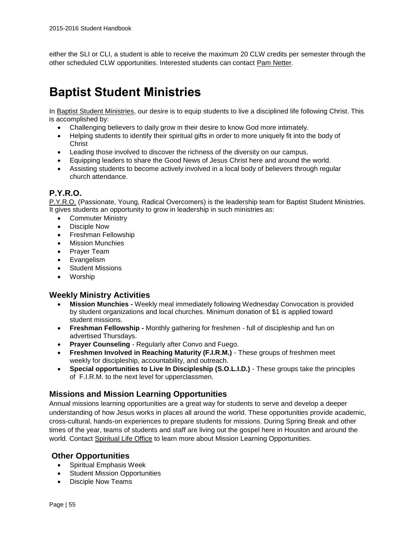either the SLI or CLI, a student is able to receive the maximum 20 CLW credits per semester through the other scheduled CLW opportunities. Interested students can contact [Pam Netter.](mailto:pnetter@hbu.edu)

# **Baptist Student Ministries**

In [Baptist Student Ministries,](https://hbu.edu/Students-Alumni/Student-Life/Spiritual-Life/Community-Life-and-Worship/Ministry-Opportunities/Baptist-Student-Ministries.aspx) our desire is to equip students to live a disciplined life following Christ. This is accomplished by:

- Challenging believers to daily grow in their desire to know God more intimately.
- Helping students to identify their spiritual gifts in order to more uniquely fit into the body of Christ
- Leading those involved to discover the richness of the diversity on our campus.
- Equipping leaders to share the Good News of Jesus Christ here and around the world.
- Assisting students to become actively involved in a local body of believers through regular church attendance.

# **P.Y.R.O.**

[P.Y.R.O.](http://www.hbu.edu/Students-Alumni/Student-Life/Spiritual-Life/Community-Life-and-Worship/Ministry-Opportunities/LeadershipTeam-PYRO.aspx) (Passionate, Young, Radical Overcomers) is the leadership team for Baptist Student Ministries. It gives students an opportunity to grow in leadership in such ministries as:

- Commuter Ministry
- Disciple Now
- Freshman Fellowship
- **•** Mission Munchies
- Praver Team
- Evangelism
- Student Missions
- Worship

### **Weekly Ministry Activities**

- **Mission Munchies -** Weekly meal immediately following Wednesday Convocation is provided by student organizations and local churches. Minimum donation of \$1 is applied toward student missions.
- **Freshman Fellowship -** Monthly gathering for freshmen full of discipleship and fun on advertised Thursdays.
- **Prayer Counseling** Regularly after Convo and Fuego.
- **Freshmen Involved in Reaching Maturity (F.I.R.M.)** These groups of freshmen meet weekly for discipleship, accountability, and outreach.
- **Special opportunities to Live In Discipleship (S.O.L.I.D.)** These groups take the principles of F.I.R.M. to the next level for upperclassmen.

# **Missions and Mission Learning Opportunities**

Annual missions learning opportunities are a great way for students to serve and develop a deeper understanding of how Jesus works in places all around the world. These opportunities provide academic, cross-cultural, hands-on experiences to prepare students for missions. During Spring Break and other times of the year, teams of students and staff are living out the gospel here in Houston and around the world. Contact [Spiritual Life Office](https://www.hbu.edu/Students-Alumni/Student-Information/Spiritual-Life/Spiritual-Life-Department/Contact-Us.aspx) to learn more about Mission Learning Opportunities.

# **Other Opportunities**

- Spiritual Emphasis Week
- Student Mission Opportunities
- Disciple Now Teams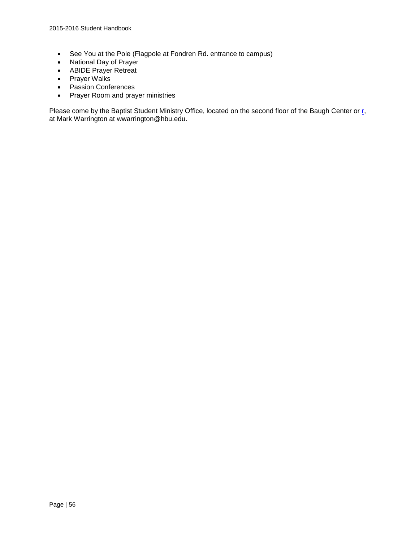- See You at the Pole (Flagpole at Fondren Rd. entrance to campus)
- National Day of Prayer
- ABIDE Prayer Retreat
- Prayer Walks
- Passion Conferences
- Prayer Room and prayer ministries

Please come by the Baptist Student Ministry Office, located on the second floor of the Baugh Center or  $\underline{r}$ , at Mark Warrington at wwarrington@hbu.edu.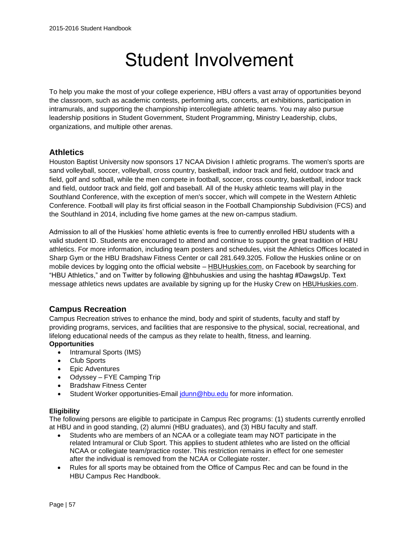# Student Involvement

To help you make the most of your college experience, HBU offers a vast array of opportunities beyond the classroom, such as academic contests, performing arts, concerts, art exhibitions, participation in intramurals, and supporting the championship intercollegiate athletic teams. You may also pursue leadership positions in Student Government, Student Programming, Ministry Leadership, clubs, organizations, and multiple other arenas.

# **Athletics**

Houston Baptist University now sponsors 17 NCAA Division I athletic programs. The women's sports are sand volleyball, soccer, volleyball, cross country, basketball, indoor track and field, outdoor track and field, golf and softball, while the men compete in football, soccer, cross country, basketball, indoor track and field, outdoor track and field, golf and baseball. All of the Husky athletic teams will play in the Southland Conference, with the exception of men's soccer, which will compete in the Western Athletic Conference. Football will play its first official season in the Football Championship Subdivision (FCS) and the Southland in 2014, including five home games at the new on-campus stadium.

Admission to all of the Huskies' home athletic events is free to currently enrolled HBU students with a valid student ID. Students are encouraged to attend and continue to support the great tradition of HBU athletics. For more information, including team posters and schedules, visit the Athletics Offices located in Sharp Gym or the HBU Bradshaw Fitness Center or call 281.649.3205. Follow the Huskies online or on mobile devices by logging onto the official website - [HBUHuskies.com,](http://www.hbuhuskies.com/) on Facebook by searching for "HBU Athletics," and on Twitter by following @hbuhuskies and using the hashtag #DawgsUp. Text message athletics news updates are available by signing up for the Husky Crew on [HBUHuskies.com.](http://www.hbuhuskies.com/)

# **Campus Recreation**

Campus Recreation strives to enhance the mind, body and spirit of students, faculty and staff by providing programs, services, and facilities that are responsive to the physical, social, recreational, and lifelong educational needs of the campus as they relate to health, fitness, and learning. **Opportunities**

- Intramural Sports (IMS)
- Club Sports
- Epic Adventures
- Odyssey FYE Camping Trip
- Bradshaw Fitness Center
- Student Worker opportunities-Email [jdunn@hbu.edu](mailto:jdunn@hbu.edu) for more information.

### **Eligibility**

The following persons are eligible to participate in Campus Rec programs: (1) students currently enrolled at HBU and in good standing, (2) alumni (HBU graduates), and (3) HBU faculty and staff.

- Students who are members of an NCAA or a collegiate team may NOT participate in the related Intramural or Club Sport. This applies to student athletes who are listed on the official NCAA or collegiate team/practice roster. This restriction remains in effect for one semester after the individual is removed from the NCAA or Collegiate roster.
- Rules for all sports may be obtained from the Office of Campus Rec and can be found in the HBU Campus Rec Handbook.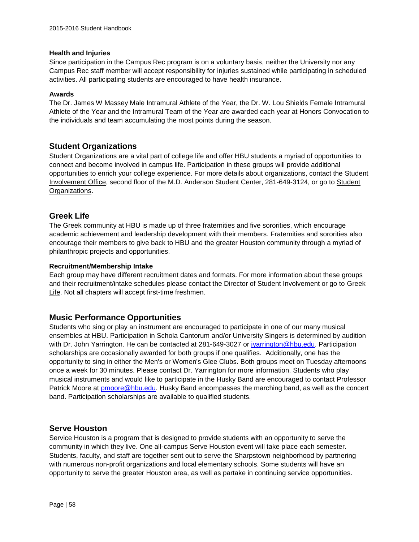#### **Health and Injuries**

Since participation in the Campus Rec program is on a voluntary basis, neither the University nor any Campus Rec staff member will accept responsibility for injuries sustained while participating in scheduled activities. All participating students are encouraged to have health insurance.

#### **Awards**

The Dr. James W Massey Male Intramural Athlete of the Year, the Dr. W. Lou Shields Female Intramural Athlete of the Year and the Intramural Team of the Year are awarded each year at Honors Convocation to the individuals and team accumulating the most points during the season.

# **Student Organizations**

Student Organizations are a vital part of college life and offer HBU students a myriad of opportunities to connect and become involved in campus life. Participation in these groups will provide additional opportunities to enrich your college experience. For more details about organizations, contact the [Student](https://hbu.edu/Students-Alumni/Student-Information/Student-Life/Student-Involvement.aspx)  [Involvement Office,](https://hbu.edu/Students-Alumni/Student-Information/Student-Life/Student-Involvement.aspx) second floor of the M.D. Anderson Student Center, 281-649-3124, or go to [Student](https://hbu.edu/Students-Alumni/Student-Information/Student-Organizations.aspx)  [Organizations.](https://hbu.edu/Students-Alumni/Student-Information/Student-Organizations.aspx)

# **Greek Life**

The Greek community at HBU is made up of three fraternities and five sororities, which encourage academic achievement and leadership development with their members. Fraternities and sororities also encourage their members to give back to HBU and the greater Houston community through a myriad of philanthropic projects and opportunities.

#### **Recruitment/Membership Intake**

Each group may have different recruitment dates and formats. For more information about these groups and their recruitment/intake schedules please contact the Director of Student Involvement or go to [Greek](https://hbu.edu/Students-Alumni/Student-Information/Student-Organizations/Greek.aspx)  [Life.](https://hbu.edu/Students-Alumni/Student-Information/Student-Organizations/Greek.aspx) Not all chapters will accept first-time freshmen.

# **Music Performance Opportunities**

Students who sing or play an instrument are encouraged to participate in one of our many musical ensembles at HBU. Participation in Schola Cantorum and/or University Singers is determined by audition with Dr. John Yarrington. He can be contacted at 281-649-3027 or [jyarrington@hbu.edu.](mailto:jyarrington@hbu.edu) Participation scholarships are occasionally awarded for both groups if one qualifies. Additionally, one has the opportunity to sing in either the Men's or Women's Glee Clubs. Both groups meet on Tuesday afternoons once a week for 30 minutes. Please contact Dr. Yarrington for more information. Students who play musical instruments and would like to participate in the Husky Band are encouraged to contact Professor Patrick Moore at [pmoore@hbu.edu.](mailto:pmoore@hbu.edu) Husky Band encompasses the marching band, as well as the concert band. Participation scholarships are available to qualified students.

# **Serve Houston**

Service Houston is a program that is designed to provide students with an opportunity to serve the community in which they live. One all-campus Serve Houston event will take place each semester. Students, faculty, and staff are together sent out to serve the Sharpstown neighborhood by partnering with numerous non-profit organizations and local elementary schools. Some students will have an opportunity to serve the greater Houston area, as well as partake in continuing service opportunities.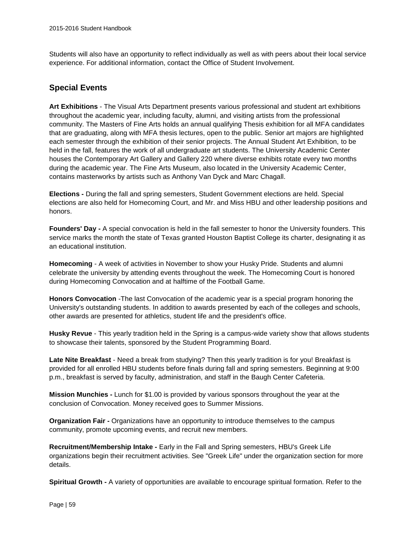Students will also have an opportunity to reflect individually as well as with peers about their local service experience. For additional information, contact the Office of Student Involvement.

# **Special Events**

**Art Exhibitions** - The Visual Arts Department presents various professional and student art exhibitions throughout the academic year, including faculty, alumni, and visiting artists from the professional community. The Masters of Fine Arts holds an annual qualifying Thesis exhibition for all MFA candidates that are graduating, along with MFA thesis lectures, open to the public. Senior art majors are highlighted each semester through the exhibition of their senior projects. The Annual Student Art Exhibition, to be held in the fall, features the work of all undergraduate art students. The University Academic Center houses the Contemporary Art Gallery and Gallery 220 where diverse exhibits rotate every two months during the academic year. The Fine Arts Museum, also located in the University Academic Center, contains masterworks by artists such as Anthony Van Dyck and Marc Chagall.

**Elections -** During the fall and spring semesters, Student Government elections are held. Special elections are also held for Homecoming Court, and Mr. and Miss HBU and other leadership positions and honors.

**Founders' Day -** A special convocation is held in the fall semester to honor the University founders. This service marks the month the state of Texas granted Houston Baptist College its charter, designating it as an educational institution.

**Homecoming** - A week of activities in November to show your Husky Pride. Students and alumni celebrate the university by attending events throughout the week. The Homecoming Court is honored during Homecoming Convocation and at halftime of the Football Game.

**Honors Convocation** -The last Convocation of the academic year is a special program honoring the University's outstanding students. In addition to awards presented by each of the colleges and schools, other awards are presented for athletics, student life and the president's office.

**Husky Revue** - This yearly tradition held in the Spring is a campus-wide variety show that allows students to showcase their talents, sponsored by the Student Programming Board.

**Late Nite Breakfast** - Need a break from studying? Then this yearly tradition is for you! Breakfast is provided for all enrolled HBU students before finals during fall and spring semesters. Beginning at 9:00 p.m., breakfast is served by faculty, administration, and staff in the Baugh Center Cafeteria.

**Mission Munchies -** Lunch for \$1.00 is provided by various sponsors throughout the year at the conclusion of Convocation. Money received goes to Summer Missions.

**Organization Fair -** Organizations have an opportunity to introduce themselves to the campus community, promote upcoming events, and recruit new members.

**Recruitment/Membership Intake -** Early in the Fall and Spring semesters, HBU's Greek Life organizations begin their recruitment activities. See "Greek Life" under the organization section for more details.

**Spiritual Growth -** A variety of opportunities are available to encourage spiritual formation. Refer to the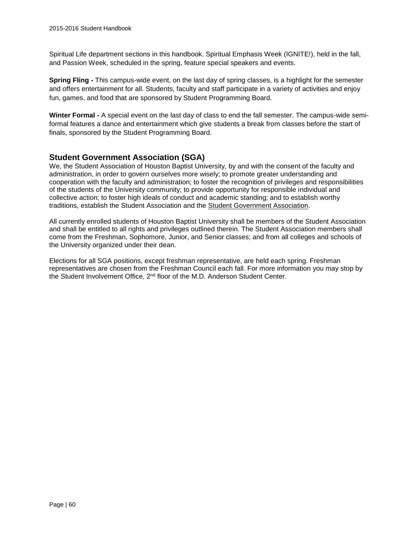Spiritual Life department sections in this handbook. Spiritual Emphasis Week (IGNITE!), held in the fall, and Passion Week, scheduled in the spring, feature special speakers and events.

**Spring Fling -** This campus-wide event, on the last day of spring classes, is a highlight for the semester and offers entertainment for all. Students, faculty and staff participate in a variety of activities and enjoy fun, games, and food that are sponsored by Student Programming Board.

**Winter Formal -** A special event on the last day of class to end the fall semester. The campus-wide semiformal features a dance and entertainment which give students a break from classes before the start of finals, sponsored by the Student Programming Board.

# **Student Government Association (SGA)**

We, the Student Association of Houston Baptist University, by and with the consent of the faculty and administration, in order to govern ourselves more wisely; to promote greater understanding and cooperation with the faculty and administration; to foster the recognition of privileges and responsibilities of the students of the University community; to provide opportunity for responsible individual and collective action; to foster high ideals of conduct and academic standing; and to establish worthy traditions, establish the Student Association and the [Student Government Association.](http://orgsync.com/38407/chapter)

All currently enrolled students of Houston Baptist University shall be members of the Student Association and shall be entitled to all rights and privileges outlined therein. The Student Association members shall come from the Freshman, Sophomore, Junior, and Senior classes; and from all colleges and schools of the University organized under their dean.

Elections for all SGA positions, except freshman representative, are held each spring. Freshman representatives are chosen from the Freshman Council each fall. For more information you may stop by the Student Involvement Office, 2<sup>nd</sup> floor of the M.D. Anderson Student Center.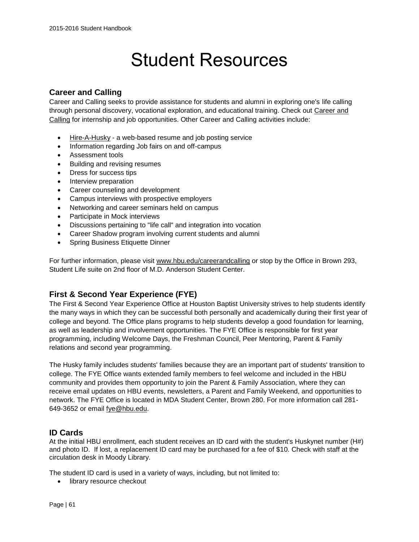# Student Resources

# **Career and Calling**

Career and Calling seeks to provide assistance for students and alumni in exploring one's life calling through personal discovery, vocational exploration, and educational training. Check out [Career and](http://www.hbu.edu/careerandcalling)  [Calling](http://www.hbu.edu/careerandcalling) for internship and job opportunities. Other Career and Calling activities include:

- [Hire-A-Husky](https://www.myinterfase.com/hbu/student/) a web-based resume and job posting service
- Information regarding Job fairs on and off-campus
- Assessment tools
- Building and revising resumes
- Dress for success tips
- Interview preparation
- Career counseling and development
- Campus interviews with prospective employers
- Networking and career seminars held on campus
- Participate in Mock interviews
- Discussions pertaining to "life call" and integration into vocation
- Career Shadow program involving current students and alumni
- Spring Business Etiquette Dinner

For further information, please visit [www.hbu.edu/careerandcalling](http://www.hbu.edu/careerandcalling) or stop by the Office in Brown 293, Student Life suite on 2nd floor of M.D. Anderson Student Center.

# **First & Second Year Experience (FYE)**

The First & Second Year Experience Office at Houston Baptist University strives to help students identify the many ways in which they can be successful both personally and academically during their first year of college and beyond. The Office plans programs to help students develop a good foundation for learning, as well as leadership and involvement opportunities. The FYE Office is responsible for first year programming, including Welcome Days, the Freshman Council, Peer Mentoring, Parent & Family relations and second year programming.

The Husky family includes students' families because they are an important part of students' transition to college. The FYE Office wants extended family members to feel welcome and included in the HBU community and provides them opportunity to join the Parent & Family Association, where they can receive email updates on HBU events, newsletters, a Parent and Family Weekend, and opportunities to network. The FYE Office is located in MDA Student Center, Brown 280. For more information call 281- 649-3652 or email [fye@hbu.edu.](mailto:fye@hbu.edu)

# **ID Cards**

At the initial HBU enrollment, each student receives an ID card with the student's Huskynet number (H#) and photo ID. If lost, a replacement ID card may be purchased for a fee of \$10. Check with staff at the circulation desk in Moody Library.

The student ID card is used in a variety of ways, including, but not limited to:

• library resource checkout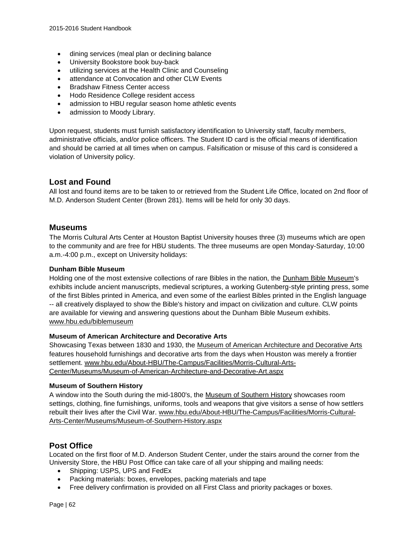- dining services (meal plan or declining balance
- University Bookstore book buy-back
- utilizing services at the Health Clinic and Counseling
- attendance at Convocation and other CLW Events
- Bradshaw Fitness Center access
- Hodo Residence College resident access
- admission to HBU regular season home athletic events
- admission to Moody Library.

Upon request, students must furnish satisfactory identification to University staff, faculty members, administrative officials, and/or police officers. The Student ID card is the official means of identification and should be carried at all times when on campus. Falsification or misuse of this card is considered a violation of University policy.

# **Lost and Found**

All lost and found items are to be taken to or retrieved from the Student Life Office, located on 2nd floor of M.D. Anderson Student Center (Brown 281). Items will be held for only 30 days.

### **Museums**

The Morris Cultural Arts Center at Houston Baptist University houses three (3) museums which are open to the community and are free for HBU students. The three museums are open Monday-Saturday, 10:00 a.m.-4:00 p.m., except on University holidays:

#### **Dunham Bible Museum**

Holding one of the most extensive collections of rare Bibles in the nation, the [Dunham Bible Museum'](http://www.hbu.edu/About-HBU/The-Campus/Facilities/Morris-Cultural-Arts-Center/Museums/Dunham-Bible-Museum.aspx)s exhibits include ancient manuscripts, medieval scriptures, a working Gutenberg-style printing press, some of the first Bibles printed in America, and even some of the earliest Bibles printed in the English language -- all creatively displayed to show the Bible's history and impact on civilization and culture. CLW points are available for viewing and answering questions about the Dunham Bible Museum exhibits. [www.hbu.edu/biblemuseum](http://www.hbu.edu/biblemuseum)

#### **Museum of American Architecture and Decorative Arts**

Showcasing Texas between 1830 and 1930, the [Museum of American Architecture and Decorative Arts](http://www.hbu.edu/About-HBU/The-Campus/Facilities/Morris-Cultural-Arts-Center/Museums/Museum-of-American-Architecture-and-Decorative-Art.aspx) features household furnishings and decorative arts from the days when Houston was merely a frontier settlement. [www.hbu.edu/About-HBU/The-Campus/Facilities/Morris-Cultural-Arts-](http://www.hbu.edu/About-HBU/The-Campus/Facilities/Morris-Cultural-Arts-Center/Museums/Museum-of-American-Architecture-and-Decorative-Art.aspx)[Center/Museums/Museum-of-American-Architecture-and-Decorative-Art.aspx](http://www.hbu.edu/About-HBU/The-Campus/Facilities/Morris-Cultural-Arts-Center/Museums/Museum-of-American-Architecture-and-Decorative-Art.aspx)

#### **Museum of Southern History**

A window into the South during the mid-1800's, the [Museum of Southern History](http://www.hbu.edu/About-HBU/The-Campus/Facilities/Morris-Cultural-Arts-Center/Museums/Museum-of-Southern-History.aspx) showcases room settings, clothing, fine furnishings, uniforms, tools and weapons that give visitors a sense of how settlers rebuilt their lives after the Civil War. [www.hbu.edu/About-HBU/The-Campus/Facilities/Morris-Cultural-](http://www.hbu.edu/About-HBU/The-Campus/Facilities/Morris-Cultural-Arts-Center/Museums/Museum-of-Southern-History.aspx)[Arts-Center/Museums/Museum-of-Southern-History.aspx](http://www.hbu.edu/About-HBU/The-Campus/Facilities/Morris-Cultural-Arts-Center/Museums/Museum-of-Southern-History.aspx)

# **Post Office**

Located on the first floor of M.D. Anderson Student Center, under the stairs around the corner from the University Store, the HBU Post Office can take care of all your shipping and mailing needs:

- Shipping: USPS, UPS and FedEx
- Packing materials: boxes, envelopes, packing materials and tape
- Free delivery confirmation is provided on all First Class and priority packages or boxes.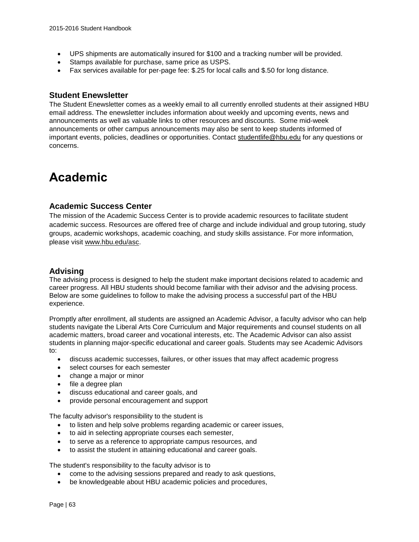- UPS shipments are automatically insured for \$100 and a tracking number will be provided.
- Stamps available for purchase, same price as USPS.
- Fax services available for per-page fee: \$.25 for local calls and \$.50 for long distance.

# **Student Enewsletter**

The Student Enewsletter comes as a weekly email to all currently enrolled students at their assigned HBU email address. The enewsletter includes information about weekly and upcoming events, news and announcements as well as valuable links to other resources and discounts. Some mid-week announcements or other campus announcements may also be sent to keep students informed of important events, policies, deadlines or opportunities. Contact [studentlife@hbu.edu](mailto:studentlife@hbu.edu) for any questions or concerns.

# **Academic**

# **Academic Success Center**

The mission of the Academic Success Center is to provide academic resources to facilitate student academic success. Resources are offered free of charge and include individual and group tutoring, study groups, academic workshops, academic coaching, and study skills assistance. For more information, please visit [www.hbu.edu/asc.](http://www.hbu.edu/asc)

# **Advising**

The advising process is designed to help the student make important decisions related to academic and career progress. All HBU students should become familiar with their advisor and the advising process. Below are some guidelines to follow to make the advising process a successful part of the HBU experience.

Promptly after enrollment, all students are assigned an Academic Advisor, a faculty advisor who can help students navigate the Liberal Arts Core Curriculum and Major requirements and counsel students on all academic matters, broad career and vocational interests, etc. The Academic Advisor can also assist students in planning major-specific educational and career goals. Students may see Academic Advisors to:

- discuss academic successes, failures, or other issues that may affect academic progress
- select courses for each semester
- change a major or minor
- file a degree plan
- discuss educational and career goals, and
- provide personal encouragement and support

The faculty advisor's responsibility to the student is

- to listen and help solve problems regarding academic or career issues,
- to aid in selecting appropriate courses each semester,
- to serve as a reference to appropriate campus resources, and
- to assist the student in attaining educational and career goals.

The student's responsibility to the faculty advisor is to

- come to the advising sessions prepared and ready to ask questions,
- be knowledgeable about HBU academic policies and procedures,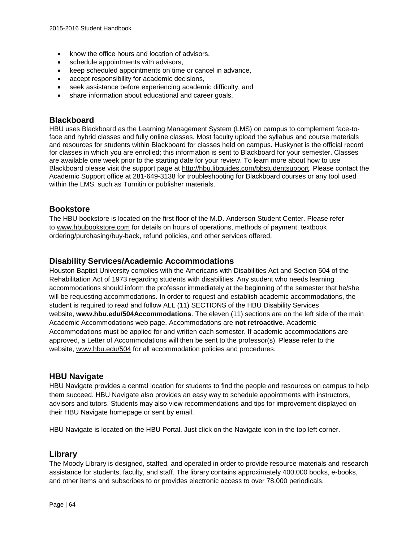- know the office hours and location of advisors,
- schedule appointments with advisors,
- keep scheduled appointments on time or cancel in advance,
- accept responsibility for academic decisions,
- seek assistance before experiencing academic difficulty, and
- share information about educational and career goals.

# **Blackboard**

HBU uses Blackboard as the Learning Management System (LMS) on campus to complement face-toface and hybrid classes and fully online classes. Most faculty upload the syllabus and course materials and resources for students within Blackboard for classes held on campus. Huskynet is the official record for classes in which you are enrolled; this information is sent to Blackboard for your semester. Classes are available one week prior to the starting date for your review. To learn more about how to use Blackboard please visit the support page at [http://hbu.libguides.com/bbstudentsupport.](http://hbu.libguides.com/bbstudentsupport) Please contact the Academic Support office at 281-649-3138 for troubleshooting for Blackboard courses or any tool used within the LMS, such as Turnitin or publisher materials.

# **Bookstore**

The HBU bookstore is located on the first floor of the M.D. Anderson Student Center. Please refer to [www.hbubookstore.com](http://www.hbubookstore.com/) for details on hours of operations, methods of payment, textbook ordering/purchasing/buy-back, refund policies, and other services offered.

# **Disability Services/Academic Accommodations**

Houston Baptist University complies with the Americans with Disabilities Act and Section 504 of the Rehabilitation Act of 1973 regarding students with disabilities. Any student who needs learning accommodations should inform the professor immediately at the beginning of the semester that he/she will be requesting accommodations. In order to request and establish academic accommodations, the student is required to read and follow ALL (11) SECTIONS of the HBU Disability Services website, **[www.hbu.edu/504Accommodations](http://www.hbu.edu/504Accommodations)**. The eleven (11) sections are on the left side of the main Academic Accommodations web page. Accommodations are **not retroactive**. Academic Accommodations must be applied for and written each semester. If academic accommodations are approved, a Letter of Accommodations will then be sent to the professor(s). Please refer to the website, [www.hbu.edu/504](http://www.hbu.edu/504) for all accommodation policies and procedures.

# **HBU Navigate**

HBU Navigate provides a central location for students to find the people and resources on campus to help them succeed. HBU Navigate also provides an easy way to schedule appointments with instructors, advisors and tutors. Students may also view recommendations and tips for improvement displayed on their HBU Navigate homepage or sent by email.

HBU Navigate is located on the HBU Portal. Just click on the Navigate icon in the top left corner.

# **Library**

The Moody Library is designed, staffed, and operated in order to provide resource materials and research assistance for students, faculty, and staff. The library contains approximately 400,000 books, e-books, and other items and subscribes to or provides electronic access to over 78,000 periodicals.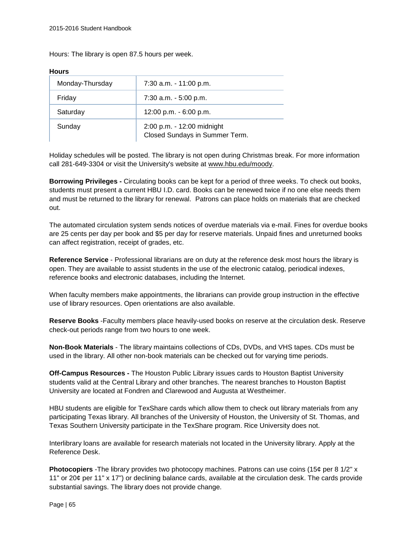Hours: The library is open 87.5 hours per week.

#### **Hours**

| Monday-Thursday | 7:30 a.m. - 11:00 p.m.                                       |
|-----------------|--------------------------------------------------------------|
| Friday          | $7:30$ a.m. $-5:00$ p.m.                                     |
| Saturday        | 12:00 p.m. - 6:00 p.m.                                       |
| Sunday          | 2:00 p.m. - 12:00 midnight<br>Closed Sundays in Summer Term. |

Holiday schedules will be posted. The library is not open during Christmas break. For more information call 281-649-3304 or visit the University's website at [www.hbu.edu/moody.](http://www.hbu.edu/moody)

**Borrowing Privileges -** Circulating books can be kept for a period of three weeks. To check out books, students must present a current HBU I.D. card. Books can be renewed twice if no one else needs them and must be returned to the library for renewal. Patrons can place holds on materials that are checked out.

The automated circulation system sends notices of overdue materials via e-mail. Fines for overdue books are 25 cents per day per book and \$5 per day for reserve materials. Unpaid fines and unreturned books can affect registration, receipt of grades, etc.

**Reference Service** - Professional librarians are on duty at the reference desk most hours the library is open. They are available to assist students in the use of the electronic catalog, periodical indexes, reference books and electronic databases, including the Internet.

When faculty members make appointments, the librarians can provide group instruction in the effective use of library resources. Open orientations are also available.

**Reserve Books** -Faculty members place heavily-used books on reserve at the circulation desk. Reserve check-out periods range from two hours to one week.

**Non-Book Materials** - The library maintains collections of CDs, DVDs, and VHS tapes. CDs must be used in the library. All other non-book materials can be checked out for varying time periods.

**Off-Campus Resources -** The Houston Public Library issues cards to Houston Baptist University students valid at the Central Library and other branches. The nearest branches to Houston Baptist University are located at Fondren and Clarewood and Augusta at Westheimer.

HBU students are eligible for TexShare cards which allow them to check out library materials from any participating Texas library. All branches of the University of Houston, the University of St. Thomas, and Texas Southern University participate in the TexShare program. Rice University does not.

Interlibrary loans are available for research materials not located in the University library. Apply at the Reference Desk.

**Photocopiers** -The library provides two photocopy machines. Patrons can use coins (15¢ per 8 1/2" x 11" or 20¢ per 11" x 17") or declining balance cards, available at the circulation desk. The cards provide substantial savings. The library does not provide change.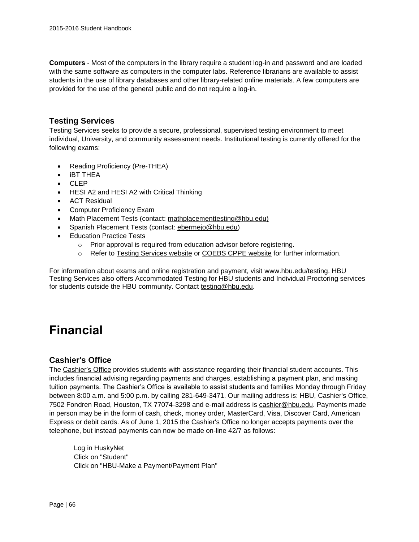**Computers** - Most of the computers in the library require a student log-in and password and are loaded with the same software as computers in the computer labs. Reference librarians are available to assist students in the use of library databases and other library-related online materials. A few computers are provided for the use of the general public and do not require a log-in.

# **Testing Services**

Testing Services seeks to provide a secure, professional, supervised testing environment to meet individual, University, and community assessment needs. Institutional testing is currently offered for the following exams:

- Reading Proficiency (Pre-THEA)
- iBT THEA
- $\bullet$  CLEP
- HESI A2 and HESI A2 with Critical Thinking
- ACT Residual
- Computer Proficiency Exam
- Math Placement Tests (contact: [mathplacementtesting@hbu.edu\)](mailto:mathplacementtesting@hbu.edu)
- Spanish Placement Tests (contact: [ebermejo@hbu.edu\)](mailto:ebermejo@hbu.edu)
- Education Practice Tests
	- o Prior approval is required from education advisor before registering.
	- o Refer to [Testing Services website](http://www.hbu.edu/testing) or [COEBS CPPE website](http://www.hbu.edu/Choosing-HBU/Academics/Colleges-Schools/School-of-Education/Center-for-the-Preparation-of-Professional-Edu.aspx) for further information.

For information about exams and online registration and payment, visit [www.hbu.edu/testing.](http://www.hbu.edu/testing) HBU Testing Services also offers Accommodated Testing for HBU students and Individual Proctoring services for students outside the HBU community. Contact [testing@hbu.edu.](mailto:testing@hbu.edu)

# **Financial**

# **Cashier's Office**

The [Cashier's Office](http://www.hbu.edu/Choosing-HBU/Admissions/Financing-Your-Education/Payments.aspx) provides students with assistance regarding their financial student accounts. This includes financial advising regarding payments and charges, establishing a payment plan, and making tuition payments. The Cashier's Office is available to assist students and families Monday through Friday between 8:00 a.m. and 5:00 p.m. by calling 281-649-3471. Our mailing address is: HBU, Cashier's Office, 7502 Fondren Road, Houston, TX 77074-3298 and e-mail address is [cashier@hbu.edu.](mailto:cashier@hbu.edu) Payments made in person may be in the form of cash, check, money order, MasterCard, Visa, Discover Card, American Express or debit cards. As of June 1, 2015 the Cashier's Office no longer accepts payments over the telephone, but instead payments can now be made on-line 42/7 as follows:

Log in HuskyNet Click on "Student" Click on "HBU-Make a Payment/Payment Plan"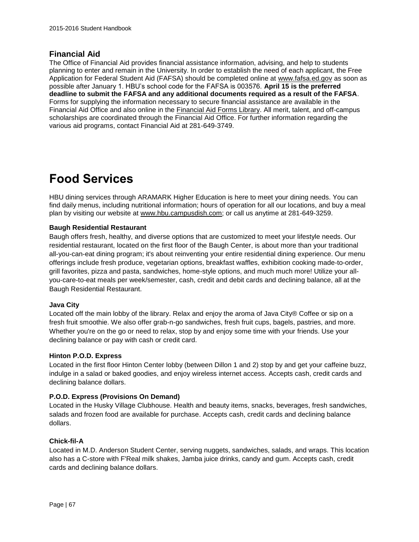# **Financial Aid**

The Office of Financial Aid provides financial assistance information, advising, and help to students planning to enter and remain in the University. In order to establish the need of each applicant, the Free Application for Federal Student Aid (FAFSA) should be completed online at [www.fafsa.ed.gov](http://www.fafsa.ed.gov/) as soon as possible after January 1. HBU's school code for the FAFSA is 003576. **April 15 is the preferred deadline to submit the FAFSA and any additional documents required as a result of the FAFSA**. Forms for supplying the information necessary to secure financial assistance are available in the Financial Aid Office and also online in the [Financial Aid Forms Library.](https://hbu.edu/Choosing-HBU/Admissions/Financing-Your-Education/Forms.aspx) All merit, talent, and off-campus scholarships are coordinated through the Financial Aid Office. For further information regarding the various aid programs, contact Financial Aid at 281-649-3749.

# **Food Services**

HBU dining services through ARAMARK Higher Education is here to meet your dining needs. You can find daily menus, including nutritional information; hours of operation for all our locations, and buy a meal plan by visiting our website at [www.hbu.campusdish.com;](http://www.hbu.campusdish.com/) or call us anytime at 281-649-3259.

### **Baugh Residential Restaurant**

Baugh offers fresh, healthy, and diverse options that are customized to meet your lifestyle needs. Our residential restaurant, located on the first floor of the Baugh Center, is about more than your traditional all-you-can-eat dining program; it's about reinventing your entire residential dining experience. Our menu offerings include fresh produce, vegetarian options, breakfast waffles, exhibition cooking made-to-order, grill favorites, pizza and pasta, sandwiches, home-style options, and much much more! Utilize your allyou-care-to-eat meals per week/semester, cash, credit and debit cards and declining balance, all at the Baugh Residential Restaurant.

### **Java City**

Located off the main lobby of the library. Relax and enjoy the aroma of Java City® Coffee or sip on a fresh fruit smoothie. We also offer grab-n-go sandwiches, fresh fruit cups, bagels, pastries, and more. Whether you're on the go or need to relax, stop by and enjoy some time with your friends. Use your declining balance or pay with cash or credit card.

### **Hinton P.O.D. Express**

Located in the first floor Hinton Center lobby (between Dillon 1 and 2) stop by and get your caffeine buzz, indulge in a salad or baked goodies, and enjoy wireless internet access. Accepts cash, credit cards and declining balance dollars.

### **P.O.D. Express (Provisions On Demand)**

Located in the Husky Village Clubhouse. Health and beauty items, snacks, beverages, fresh sandwiches, salads and frozen food are available for purchase. Accepts cash, credit cards and declining balance dollars.

### **Chick-fil-A**

Located in M.D. Anderson Student Center, serving nuggets, sandwiches, salads, and wraps. This location also has a C-store with F'Real milk shakes, Jamba juice drinks, candy and gum. Accepts cash, credit cards and declining balance dollars.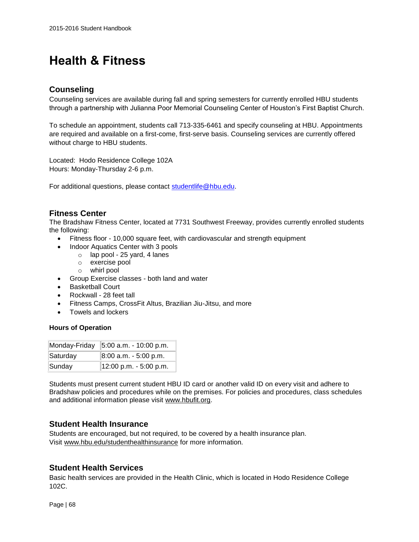# **Health & Fitness**

# **Counseling**

Counseling services are available during fall and spring semesters for currently enrolled HBU students through a partnership with Julianna Poor Memorial Counseling Center of Houston's First Baptist Church.

To schedule an appointment, students call 713-335-6461 and specify counseling at HBU. Appointments are required and available on a first-come, first-serve basis. Counseling services are currently offered without charge to HBU students.

Located: Hodo Residence College 102A Hours: Monday-Thursday 2-6 p.m.

For additional questions, please contact [studentlife@hbu.edu.](mailto:studentlife@hbu.edu)

### **Fitness Center**

The Bradshaw Fitness Center, located at 7731 Southwest Freeway, provides currently enrolled students the following:

- Fitness floor 10,000 square feet, with cardiovascular and strength equipment
- Indoor Aquatics Center with 3 pools
	- o lap pool 25 yard, 4 lanes
	- o exercise pool
	- o whirl pool
- Group Exercise classes both land and water
- Basketball Court
- Rockwall 28 feet tall
- Fitness Camps, CrossFit Altus, Brazilian Jiu-Jitsu, and more
- Towels and lockers

#### **Hours of Operation**

|          | Monday-Friday 5:00 a.m. - 10:00 p.m. |
|----------|--------------------------------------|
| Saturday | 8:00 a.m. - 5:00 p.m.                |
| Sunday   | 12:00 p.m. - 5:00 p.m.               |

Students must present current student HBU ID card or another valid ID on every visit and adhere to Bradshaw policies and procedures while on the premises. For policies and procedures, class schedules and additional information please visit [www.hbufit.org.](http://www.hbufit.org/)

### **Student Health Insurance**

Students are encouraged, but not required, to be covered by a health insurance plan. Visit [www.hbu.edu/studenthealthinsurance](http://www.hbu.edu/studenthealthinsurance) for more information.

### **Student Health Services**

Basic health services are provided in the Health Clinic, which is located in Hodo Residence College 102C.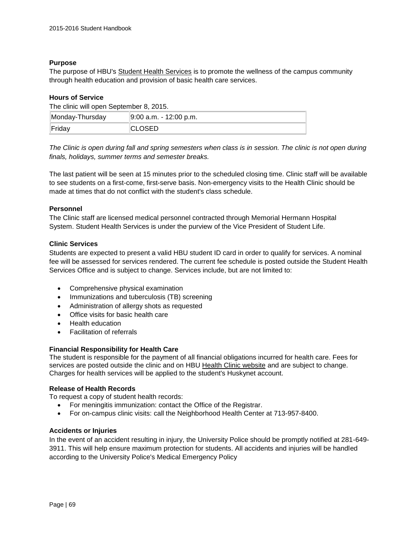#### **Purpose**

The purpose of HBU's [Student Health Services](http://www.hbu.edu/studenthealth) is to promote the wellness of the campus community through health education and provision of basic health care services.

#### **Hours of Service**

The clinic will open September 8, 2015.

| Monday-Thursday | 9:00 a.m. - 12:00 p.m. |
|-----------------|------------------------|
| Friday          | <b>CLOSED</b>          |

*The Clinic is open during fall and spring semesters when class is in session. The clinic is not open during finals, holidays, summer terms and semester breaks.*

The last patient will be seen at 15 minutes prior to the scheduled closing time. Clinic staff will be available to see students on a first-come, first-serve basis. Non-emergency visits to the Health Clinic should be made at times that do not conflict with the student's class schedule.

#### **Personnel**

The Clinic staff are licensed medical personnel contracted through Memorial Hermann Hospital System. Student Health Services is under the purview of the Vice President of Student Life.

#### **Clinic Services**

Students are expected to present a valid HBU student ID card in order to qualify for services. A nominal fee will be assessed for services rendered. The current fee schedule is posted outside the Student Health Services Office and is subject to change. Services include, but are not limited to:

- Comprehensive physical examination
- Immunizations and tuberculosis (TB) screening
- Administration of allergy shots as requested
- Office visits for basic health care
- Health education
- Facilitation of referrals

#### **Financial Responsibility for Health Care**

The student is responsible for the payment of all financial obligations incurred for health care. Fees for services are posted outside the clinic and on HBU [Health Clinic website](http://www.hbu.edu/Students-Alumni/Student-Resources/Health-Services/Health-Clinic.aspx) and are subject to change. Charges for health services will be applied to the student's Huskynet account.

#### **Release of Health Records**

To request a copy of student health records:

- For meningitis immunization: contact the Office of the Registrar.
- For on-campus clinic visits: call the Neighborhood Health Center at 713-957-8400.

#### **Accidents or Injuries**

In the event of an accident resulting in injury, the University Police should be promptly notified at 281-649- 3911. This will help ensure maximum protection for students. All accidents and injuries will be handled according to the University Police's Medical Emergency Policy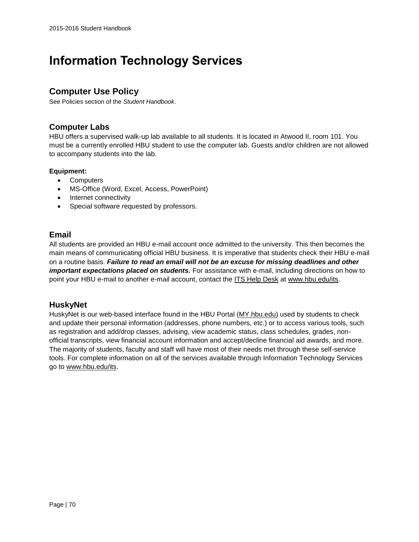# **Information Technology Services**

# **Computer Use Policy**

See Policies section of the *Student Handbook*.

# **Computer Labs**

HBU offers a supervised walk-up lab available to all students. It is located in Atwood II, room 101. You must be a currently enrolled HBU student to use the computer lab. Guests and/or children are not allowed to accompany students into the lab.

### **Equipment:**

- Computers
- MS-Office (Word, Excel, Access, PowerPoint)
- Internet connectivity
- Special software requested by professors.

# **Email**

All students are provided an HBU e-mail account once admitted to the university. This then becomes the main means of communicating official HBU business. It is imperative that students check their HBU e-mail on a routine basis. *Failure to read an email will not be an excuse for missing deadlines and other important expectations placed on students.* For assistance with e-mail, including directions on how to point your HBU e-mail to another e-mail account, contact the [ITS Help Desk](https://hbu.edu/Students-Alumni/Student-Resources/Information-Technology-Services-(ITS).aspx) at [www.hbu.edu/its.](https://hbu.edu/Students-Alumni/Student-Resources/Student-Handbook/Student-Resources/www.hbu.edu/its)

# **HuskyNet**

HuskyNet is our web-based interface found in the HBU Portal [\(MY.hbu.edu\)](http://my.hbu.edu/) used by students to check and update their personal information (addresses, phone numbers, etc.) or to access various tools, such as registration and add/drop classes, advising, view academic status, class schedules, grades, nonofficial transcripts, view financial account information and accept/decline financial aid awards, and more. The majority of students, faculty and staff will have most of their needs met through these self-service tools. For complete information on all of the services available through Information Technology Services go to [www.hbu.edu/its.](https://hbu.edu/Students-Alumni/Student-Resources/Student-Handbook/Student-Resources/www.hbu.edu/its)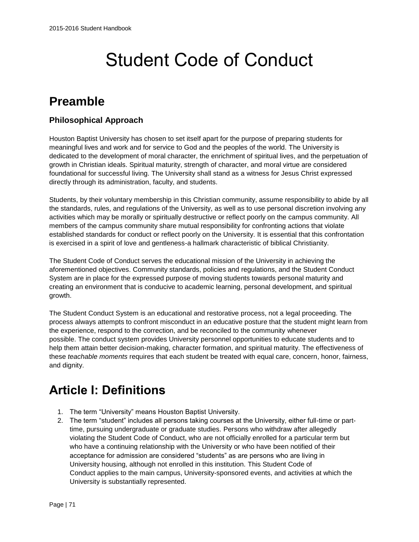# Student Code of Conduct

# **Preamble**

# **Philosophical Approach**

Houston Baptist University has chosen to set itself apart for the purpose of preparing students for meaningful lives and work and for service to God and the peoples of the world. The University is dedicated to the development of moral character, the enrichment of spiritual lives, and the perpetuation of growth in Christian ideals. Spiritual maturity, strength of character, and moral virtue are considered foundational for successful living. The University shall stand as a witness for Jesus Christ expressed directly through its administration, faculty, and students.

Students, by their voluntary membership in this Christian community, assume responsibility to abide by all the standards, rules, and regulations of the University, as well as to use personal discretion involving any activities which may be morally or spiritually destructive or reflect poorly on the campus community. All members of the campus community share mutual responsibility for confronting actions that violate established standards for conduct or reflect poorly on the University. It is essential that this confrontation is exercised in a spirit of love and gentleness-a hallmark characteristic of biblical Christianity.

The Student Code of Conduct serves the educational mission of the University in achieving the aforementioned objectives. Community standards, policies and regulations, and the Student Conduct System are in place for the expressed purpose of moving students towards personal maturity and creating an environment that is conducive to academic learning, personal development, and spiritual growth.

The Student Conduct System is an educational and restorative process, not a legal proceeding. The process always attempts to confront misconduct in an educative posture that the student might learn from the experience, respond to the correction, and be reconciled to the community whenever possible. The conduct system provides University personnel opportunities to educate students and to help them attain better decision-making, character formation, and spiritual maturity. The effectiveness of these *teachable moments* requires that each student be treated with equal care, concern, honor, fairness, and dignity.

# **Article I: Definitions**

- 1. The term "University" means Houston Baptist University.
- 2. The term "student" includes all persons taking courses at the University, either full-time or parttime, pursuing undergraduate or graduate studies. Persons who withdraw after allegedly violating the Student Code of Conduct, who are not officially enrolled for a particular term but who have a continuing relationship with the University or who have been notified of their acceptance for admission are considered "students" as are persons who are living in University housing, although not enrolled in this institution. This Student Code of Conduct applies to the main campus, University-sponsored events, and activities at which the University is substantially represented.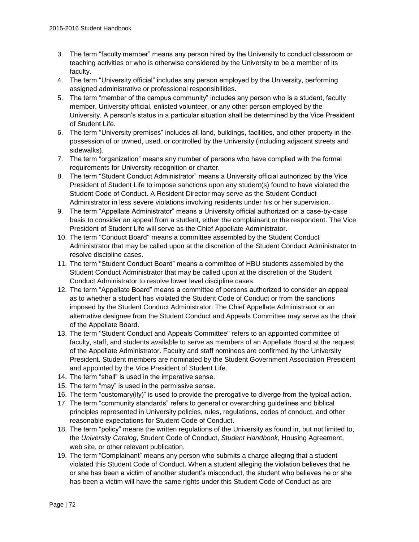- 3. The term "faculty member" means any person hired by the University to conduct classroom or teaching activities or who is otherwise considered by the University to be a member of its faculty.
- 4. The term "University official" includes any person employed by the University, performing assigned administrative or professional responsibilities.
- 5. The term "member of the campus community" includes any person who is a student, faculty member, University official, enlisted volunteer, or any other person employed by the University. A person's status in a particular situation shall be determined by the Vice President of Student Life.
- 6. The term "University premises" includes all land, buildings, facilities, and other property in the possession of or owned, used, or controlled by the University (including adjacent streets and sidewalks).
- 7. The term "organization" means any number of persons who have complied with the formal requirements for University recognition or charter.
- 8. The term "Student Conduct Administrator" means a University official authorized by the Vice President of Student Life to impose sanctions upon any student(s) found to have violated the Student Code of Conduct. A Resident Director may serve as the Student Conduct Administrator in less severe violations involving residents under his or her supervision.
- 9. The term "Appellate Administrator" means a University official authorized on a case-by-case basis to consider an appeal from a student, either the complainant or the respondent. The Vice President of Student Life will serve as the Chief Appellate Administrator.
- 10. The term "Conduct Board" means a committee assembled by the Student Conduct Administrator that may be called upon at the discretion of the Student Conduct Administrator to resolve discipline cases.
- 11. The term "Student Conduct Board" means a committee of HBU students assembled by the Student Conduct Administrator that may be called upon at the discretion of the Student Conduct Administrator to resolve lower level discipline cases.
- 12. The term "Appellate Board" means a committee of persons authorized to consider an appeal as to whether a student has violated the Student Code of Conduct or from the sanctions imposed by the Student Conduct Administrator. The Chief Appellate Administrator or an alternative designee from the Student Conduct and Appeals Committee may serve as the chair of the Appellate Board.
- 13. The term "Student Conduct and Appeals Committee" refers to an appointed committee of faculty, staff, and students available to serve as members of an Appellate Board at the request of the Appellate Administrator. Faculty and staff nominees are confirmed by the University President. Student members are nominated by the Student Government Association President and appointed by the Vice President of Student Life.
- 14. The term "shall" is used in the imperative sense.
- 15. The term "may" is used in the permissive sense.
- 16. The term "customary(ily)" is used to provide the prerogative to diverge from the typical action.
- 17. The term "community standards" refers to general or overarching guidelines and biblical principles represented in University policies, rules, regulations, codes of conduct, and other reasonable expectations for Student Code of Conduct.
- 18. The term "policy" means the written regulations of the University as found in, but not limited to, the *University Catalog*, Student Code of Conduct, *Student Handbook*, Housing Agreement, web site, or other relevant publication.
- 19. The term "Complainant" means any person who submits a charge alleging that a student violated this Student Code of Conduct. When a student alleging the violation believes that he or she has been a victim of another student's misconduct, the student who believes he or she has been a victim will have the same rights under this Student Code of Conduct as are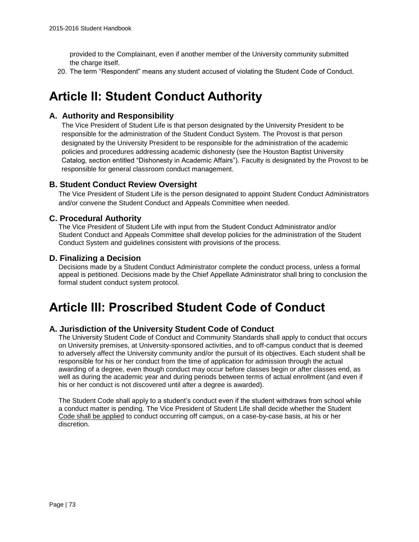provided to the Complainant, even if another member of the University community submitted the charge itself.

20. The term "Respondent" means any student accused of violating the Student Code of Conduct.

# **Article II: Student Conduct Authority**

# **A. Authority and Responsibility**

The Vice President of Student Life is that person designated by the University President to be responsible for the administration of the Student Conduct System. The Provost is that person designated by the University President to be responsible for the administration of the academic policies and procedures addressing academic dishonesty (see the Houston Baptist University Catalog, section entitled "Dishonesty in Academic Affairs"). Faculty is designated by the Provost to be responsible for general classroom conduct management.

# **B. Student Conduct Review Oversight**

The Vice President of Student Life is the person designated to appoint Student Conduct Administrators and/or convene the Student Conduct and Appeals Committee when needed.

## **C. Procedural Authority**

The Vice President of Student Life with input from the Student Conduct Administrator and/or Student Conduct and Appeals Committee shall develop policies for the administration of the Student Conduct System and guidelines consistent with provisions of the process.

## **D. Finalizing a Decision**

Decisions made by a Student Conduct Administrator complete the conduct process, unless a formal appeal is petitioned. Decisions made by the Chief Appellate Administrator shall bring to conclusion the formal student conduct system protocol.

# **Article III: Proscribed Student Code of Conduct**

## **A. Jurisdiction of the University Student Code of Conduct**

The University Student Code of Conduct and Community Standards shall apply to conduct that occurs on University premises, at University-sponsored activities, and to off-campus conduct that is deemed to adversely affect the University community and/or the pursuit of its objectives. Each student shall be responsible for his or her conduct from the time of application for admission through the actual awarding of a degree, even though conduct may occur before classes begin or after classes end, as well as during the academic year and during periods between terms of actual enrollment (and even if his or her conduct is not discovered until after a degree is awarded).

The Student Code shall apply to a student's conduct even if the student withdraws from school while a conduct matter is pending. The Vice President of Student Life shall decide whether the Student Code shall be applied to conduct occurring off campus, on a case-by-case basis, at his or her discretion.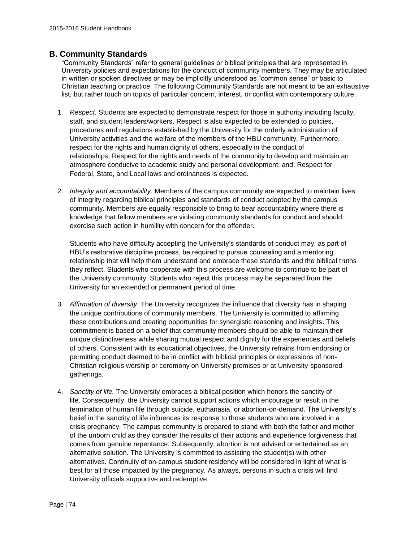### **B. Community Standards**

"Community Standards" refer to general guidelines or biblical principles that are represented in University policies and expectations for the conduct of community members. They may be articulated in written or spoken directives or may be implicitly understood as "common sense" or basic to Christian teaching or practice. The following Community Standards are not meant to be an exhaustive list, but rather touch on topics of particular concern, interest, or conflict with contemporary culture.

- 1. *Respect.* Students are expected to demonstrate respect for those in authority including faculty, staff, and student leaders/workers. Respect is also expected to be extended to policies, procedures and regulations established by the University for the orderly administration of University activities and the welfare of the members of the HBU community. Furthermore, respect for the rights and human dignity of others, especially in the conduct of relationships; Respect for the rights and needs of the community to develop and maintain an atmosphere conducive to academic study and personal development; and, Respect for Federal, State, and Local laws and ordinances is expected.
- 2. *Integrity and accountability.* Members of the campus community are expected to maintain lives of integrity regarding biblical principles and standards of conduct adopted by the campus community. Members are equally responsible to bring to bear accountability where there is knowledge that fellow members are violating community standards for conduct and should exercise such action in humility with concern for the offender.

Students who have difficulty accepting the University's standards of conduct may, as part of HBU's restorative discipline process, be required to pursue counseling and a mentoring relationship that will help them understand and embrace these standards and the biblical truths they reflect. Students who cooperate with this process are welcome to continue to be part of the University community. Students who reject this process may be separated from the University for an extended or permanent period of time.

- 3. *Affirmation of diversity*. The University recognizes the influence that diversity has in shaping the unique contributions of community members. The University is committed to affirming these contributions and creating opportunities for synergistic reasoning and insights. This commitment is based on a belief that community members should be able to maintain their unique distinctiveness while sharing mutual respect and dignity for the experiences and beliefs of others. Consistent with its educational objectives, the University refrains from endorsing or permitting conduct deemed to be in conflict with biblical principles or expressions of non-Christian religious worship or ceremony on University premises or at University-sponsored gatherings.
- 4. *Sanctity of life.* The University embraces a biblical position which honors the sanctity of life. Consequently, the University cannot support actions which encourage or result in the termination of human life through suicide, euthanasia, or abortion-on-demand. The University's belief in the sanctity of life influences its response to those students who are involved in a crisis pregnancy. The campus community is prepared to stand with both the father and mother of the unborn child as they consider the results of their actions and experience forgiveness that comes from genuine repentance. Subsequently, abortion is not advised or entertained as an alternative solution. The University is committed to assisting the student(s) with other alternatives. Continuity of on-campus student residency will be considered in light of what is best for all those impacted by the pregnancy. As always, persons in such a crisis will find University officials supportive and redemptive.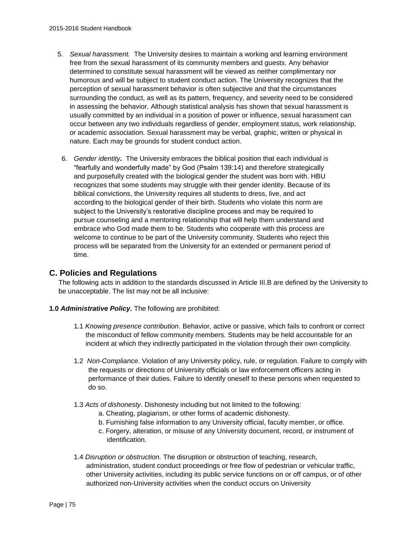- 5. *Sexual harassment.* The University desires to maintain a working and learning environment free from the sexual harassment of its community members and guests. Any behavior determined to constitute sexual harassment will be viewed as neither complimentary nor humorous and will be subject to student conduct action. The University recognizes that the perception of sexual harassment behavior is often subjective and that the circumstances surrounding the conduct, as well as its pattern, frequency, and severity need to be considered in assessing the behavior. Although statistical analysis has shown that sexual harassment is usually committed by an individual in a position of power or influence, sexual harassment can occur between any two individuals regardless of gender, employment status, work relationship, or academic association. Sexual harassment may be verbal, graphic, written or physical in nature. Each may be grounds for student conduct action.
	- 6. *Gender identity.* The University embraces the biblical position that each individual is "fearfully and wonderfully made" by God (Psalm 139:14) and therefore strategically and purposefully created with the biological gender the student was born with. HBU recognizes that some students may struggle with their gender identity. Because of its biblical convictions, the University requires all students to dress, live, and act according to the biological gender of their birth. Students who violate this norm are subject to the University's restorative discipline process and may be required to pursue counseling and a mentoring relationship that will help them understand and embrace who God made them to be. Students who cooperate with this process are welcome to continue to be part of the University community. Students who reject this process will be separated from the University for an extended or permanent period of time.

## **C. Policies and Regulations**

The following acts in addition to the standards discussed in Article III.B are defined by the University to be unacceptable. The list may not be all inclusive:

- **1.0** *Administrative Policy***.** The following are prohibited:
	- 1.1 *Knowing presence contribution*. Behavior, active or passive, which fails to confront or correct the misconduct of fellow community members. Students may be held accountable for an incident at which they indirectly participated in the violation through their own complicity.
	- 1.2 *Non-Compliance*. Violation of any University policy, rule, or regulation. Failure to comply with the requests or directions of University officials or law enforcement officers acting in performance of their duties. Failure to identify oneself to these persons when requested to do so.
	- 1.3 *Acts of dishonesty*. Dishonesty including but not limited to the following:
		- a. Cheating, plagiarism, or other forms of academic dishonesty.
		- b. Furnishing false information to any University official, faculty member, or office.
		- c. Forgery, alteration, or misuse of any University document, record, or instrument of identification.
	- 1.4 *Disruption or obstruction.* The disruption or obstruction of teaching, research, administration, student conduct proceedings or free flow of pedestrian or vehicular traffic, other University activities, including its public service functions on or off campus, or of other authorized non-University activities when the conduct occurs on University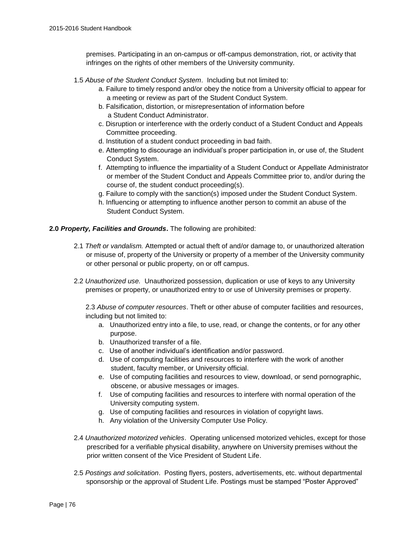premises. Participating in an on-campus or off-campus demonstration, riot, or activity that infringes on the rights of other members of the University community.

- 1.5 *Abuse of the Student Conduct System*. Including but not limited to:
	- a. Failure to timely respond and/or obey the notice from a University official to appear for a meeting or review as part of the Student Conduct System.
	- b. Falsification, distortion, or misrepresentation of information before a Student Conduct Administrator.
	- c. Disruption or interference with the orderly conduct of a Student Conduct and Appeals Committee proceeding.
	- d. Institution of a student conduct proceeding in bad faith.
	- e. Attempting to discourage an individual's proper participation in, or use of, the Student Conduct System.
	- f. Attempting to influence the impartiality of a Student Conduct or Appellate Administrator or member of the Student Conduct and Appeals Committee prior to, and/or during the course of, the student conduct proceeding(s).
	- g. Failure to comply with the sanction(s) imposed under the Student Conduct System.
	- h. Influencing or attempting to influence another person to commit an abuse of the Student Conduct System.

#### **2.0** *Property, Facilities and Grounds***.** The following are prohibited:

- 2.1 *Theft or vandalism.* Attempted or actual theft of and/or damage to, or unauthorized alteration or misuse of, property of the University or property of a member of the University community or other personal or public property, on or off campus.
- 2.2 *Unauthorized use.* Unauthorized possession, duplication or use of keys to any University premises or property, or unauthorized entry to or use of University premises or property.

2.3 *Abuse of computer resources*. Theft or other abuse of computer facilities and resources, including but not limited to:

- a. Unauthorized entry into a file, to use, read, or change the contents, or for any other purpose.
- b. Unauthorized transfer of a file.
- c. Use of another individual's identification and/or password.
- d. Use of computing facilities and resources to interfere with the work of another student, faculty member, or University official.
- e. Use of computing facilities and resources to view, download, or send pornographic, obscene, or abusive messages or images.
- f. Use of computing facilities and resources to interfere with normal operation of the University computing system.
- g. Use of computing facilities and resources in violation of copyright laws.
- h. Any violation of the University Computer Use Policy.
- 2.4 *Unauthorized motorized vehicles*. Operating unlicensed motorized vehicles, except for those prescribed for a verifiable physical disability, anywhere on University premises without the prior written consent of the Vice President of Student Life.
- 2.5 *Postings and solicitation*. Posting flyers, posters, advertisements, etc. without departmental sponsorship or the approval of Student Life. Postings must be stamped "Poster Approved"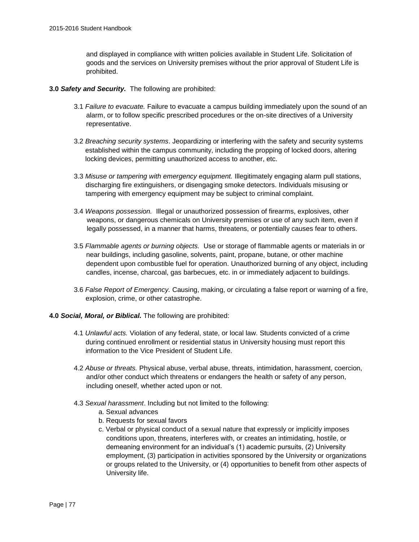and displayed in compliance with written policies available in Student Life. Solicitation of goods and the services on University premises without the prior approval of Student Life is prohibited.

### **3.0** *Safety and Security.* The following are prohibited:

- 3.1 *Failure to evacuate.* Failure to evacuate a campus building immediately upon the sound of an alarm, or to follow specific prescribed procedures or the on-site directives of a University representative.
- 3.2 *Breaching security systems*. Jeopardizing or interfering with the safety and security systems established within the campus community, including the propping of locked doors, altering locking devices, permitting unauthorized access to another, etc.
- 3.3 *Misuse or tampering with emergency equipment.* Illegitimately engaging alarm pull stations, discharging fire extinguishers, or disengaging smoke detectors. Individuals misusing or tampering with emergency equipment may be subject to criminal complaint.
- 3.4 *Weapons possession.* Illegal or unauthorized possession of firearms, explosives, other weapons, or dangerous chemicals on University premises or use of any such item, even if legally possessed, in a manner that harms, threatens, or potentially causes fear to others.
- 3.5 *Flammable agents or burning objects.* Use or storage of flammable agents or materials in or near buildings, including gasoline, solvents, paint, propane, butane, or other machine dependent upon combustible fuel for operation. Unauthorized burning of any object, including candles, incense, charcoal, gas barbecues, etc. in or immediately adjacent to buildings.
- 3.6 *False Report of Emergency.* Causing, making, or circulating a false report or warning of a fire, explosion, crime, or other catastrophe.
- **4.0** *Social, Moral, or Biblical.* The following are prohibited:
	- 4.1 *Unlawful acts.* Violation of any federal, state, or local law. Students convicted of a crime during continued enrollment or residential status in University housing must report this information to the Vice President of Student Life.
	- 4.2 *Abuse or threats.* Physical abuse, verbal abuse, threats, intimidation, harassment, coercion, and/or other conduct which threatens or endangers the health or safety of any person, including oneself, whether acted upon or not.
	- 4.3 *Sexual harassment*. Including but not limited to the following:
		- a. Sexual advances
		- b. Requests for sexual favors
		- c. Verbal or physical conduct of a sexual nature that expressly or implicitly imposes conditions upon, threatens, interferes with, or creates an intimidating, hostile, or demeaning environment for an individual's (1) academic pursuits, (2) University employment, (3) participation in activities sponsored by the University or organizations or groups related to the University, or (4) opportunities to benefit from other aspects of University life.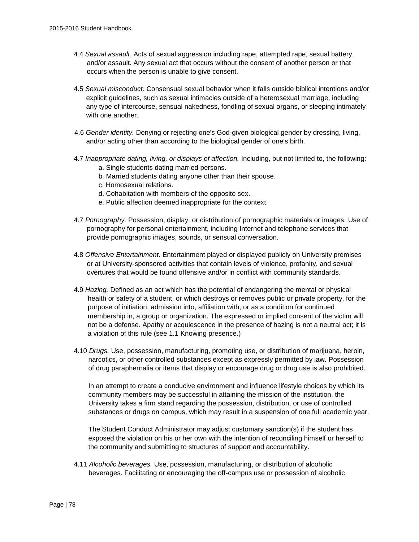- 4.4 *Sexual assault.* Acts of sexual aggression including rape, attempted rape, sexual battery, and/or assault. Any sexual act that occurs without the consent of another person or that occurs when the person is unable to give consent.
- 4.5 *Sexual misconduct.* Consensual sexual behavior when it falls outside biblical intentions and/or explicit guidelines, such as sexual intimacies outside of a heterosexual marriage, including any type of intercourse, sensual nakedness, fondling of sexual organs, or sleeping intimately with one another.
- 4.6 *Gender identity.* Denying or rejecting one's God-given biological gender by dressing, living, and/or acting other than according to the biological gender of one's birth.
- 4.7 *Inappropriate dating, living, or displays of affection.* Including, but not limited to, the following: a. Single students dating married persons.
	- b. Married students dating anyone other than their spouse.
	- c. Homosexual relations.
	- d. Cohabitation with members of the opposite sex.
	- e. Public affection deemed inappropriate for the context.
- 4.7 *Pornography.* Possession, display, or distribution of pornographic materials or images*.* Use of pornography for personal entertainment, including Internet and telephone services that provide pornographic images, sounds, or sensual conversation.
- 4.8 *Offensive Entertainment*. Entertainment played or displayed publicly on University premises or at University-sponsored activities that contain levels of violence, profanity, and sexual overtures that would be found offensive and/or in conflict with community standards.
- 4.9 *Hazing.* Defined as an act which has the potential of endangering the mental or physical health or safety of a student, or which destroys or removes public or private property, for the purpose of initiation, admission into, affiliation with, or as a condition for continued membership in, a group or organization. The expressed or implied consent of the victim will not be a defense. Apathy or acquiescence in the presence of hazing is not a neutral act; it is a violation of this rule (see 1.1 Knowing presence.)
- 4.10 *Drugs.* Use, possession, manufacturing, promoting use, or distribution of marijuana, heroin, narcotics, or other controlled substances except as expressly permitted by law. Possession of drug paraphernalia or items that display or encourage drug or drug use is also prohibited.

In an attempt to create a conducive environment and influence lifestyle choices by which its community members may be successful in attaining the mission of the institution, the University takes a firm stand regarding the possession, distribution, or use of controlled substances or drugs on campus, which may result in a suspension of one full academic year.

The Student Conduct Administrator may adjust customary sanction(s) if the student has exposed the violation on his or her own with the intention of reconciling himself or herself to the community and submitting to structures of support and accountability.

4.11 *Alcoholic beverages.* Use, possession, manufacturing, or distribution of alcoholic beverages. Facilitating or encouraging the off-campus use or possession of alcoholic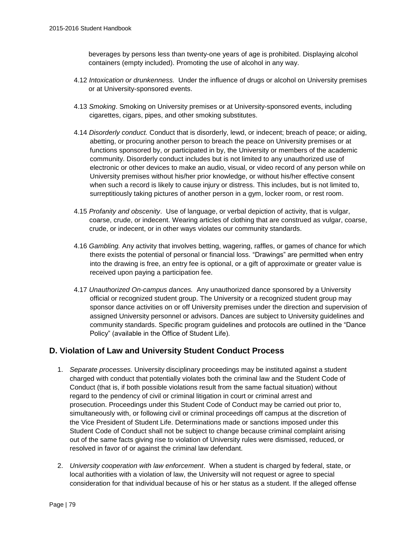beverages by persons less than twenty-one years of age is prohibited. Displaying alcohol containers (empty included). Promoting the use of alcohol in any way.

- 4.12 *Intoxication or drunkenness.* Under the influence of drugs or alcohol on University premises or at University-sponsored events.
- 4.13 *Smoking*. Smoking on University premises or at University-sponsored events, including cigarettes, cigars, pipes, and other smoking substitutes.
- 4.14 *Disorderly conduct.* Conduct that is disorderly, lewd, or indecent; breach of peace; or aiding, abetting, or procuring another person to breach the peace on University premises or at functions sponsored by, or participated in by, the University or members of the academic community. Disorderly conduct includes but is not limited to any unauthorized use of electronic or other devices to make an audio, visual, or video record of any person while on University premises without his/her prior knowledge, or without his/her effective consent when such a record is likely to cause injury or distress. This includes, but is not limited to, surreptitiously taking pictures of another person in a gym, locker room, or rest room.
- 4.15 *Profanity and obscenity*. Use of language, or verbal depiction of activity, that is vulgar, coarse, crude, or indecent. Wearing articles of clothing that are construed as vulgar, coarse, crude, or indecent, or in other ways violates our community standards.
- 4.16 *Gambling.* Any activity that involves betting, wagering, raffles, or games of chance for which there exists the potential of personal or financial loss. "Drawings" are permitted when entry into the drawing is free, an entry fee is optional, or a gift of approximate or greater value is received upon paying a participation fee.
- 4.17 *Unauthorized On-campus dances.* Any unauthorized dance sponsored by a University official or recognized student group. The University or a recognized student group may sponsor dance activities on or off University premises under the direction and supervision of assigned University personnel or advisors. Dances are subject to University guidelines and community standards. Specific program guidelines and protocols are outlined in the "Dance Policy" (available in the Office of Student Life).

## **D. Violation of Law and University Student Conduct Process**

- 1. *Separate processes.* University disciplinary proceedings may be instituted against a student charged with conduct that potentially violates both the criminal law and the Student Code of Conduct (that is, if both possible violations result from the same factual situation) without regard to the pendency of civil or criminal litigation in court or criminal arrest and prosecution. Proceedings under this Student Code of Conduct may be carried out prior to, simultaneously with, or following civil or criminal proceedings off campus at the discretion of the Vice President of Student Life. Determinations made or sanctions imposed under this Student Code of Conduct shall not be subject to change because criminal complaint arising out of the same facts giving rise to violation of University rules were dismissed, reduced, or resolved in favor of or against the criminal law defendant.
- 2. *University cooperation with law enforcement*. When a student is charged by federal, state, or local authorities with a violation of law, the University will not request or agree to special consideration for that individual because of his or her status as a student. If the alleged offense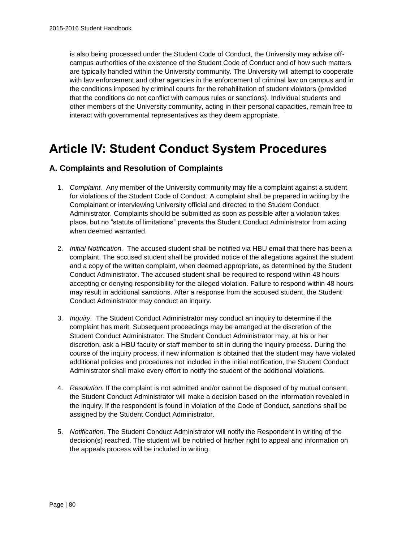is also being processed under the Student Code of Conduct, the University may advise offcampus authorities of the existence of the Student Code of Conduct and of how such matters are typically handled within the University community. The University will attempt to cooperate with law enforcement and other agencies in the enforcement of criminal law on campus and in the conditions imposed by criminal courts for the rehabilitation of student violators (provided that the conditions do not conflict with campus rules or sanctions). Individual students and other members of the University community, acting in their personal capacities, remain free to interact with governmental representatives as they deem appropriate.

# **Article IV: Student Conduct System Procedures**

# **A. Complaints and Resolution of Complaints**

- 1. *Complaint.* Any member of the University community may file a complaint against a student for violations of the Student Code of Conduct. A complaint shall be prepared in writing by the Complainant or interviewing University official and directed to the Student Conduct Administrator. Complaints should be submitted as soon as possible after a violation takes place, but no "statute of limitations" prevents the Student Conduct Administrator from acting when deemed warranted.
- 2. *Initial Notification.* The accused student shall be notified via HBU email that there has been a complaint. The accused student shall be provided notice of the allegations against the student and a copy of the written complaint, when deemed appropriate, as determined by the Student Conduct Administrator. The accused student shall be required to respond within 48 hours accepting or denying responsibility for the alleged violation. Failure to respond within 48 hours may result in additional sanctions. After a response from the accused student, the Student Conduct Administrator may conduct an inquiry.
- 3. *Inquiry.* The Student Conduct Administrator may conduct an inquiry to determine if the complaint has merit. Subsequent proceedings may be arranged at the discretion of the Student Conduct Administrator. The Student Conduct Administrator may, at his or her discretion, ask a HBU faculty or staff member to sit in during the inquiry process. During the course of the inquiry process, if new information is obtained that the student may have violated additional policies and procedures not included in the initial notification, the Student Conduct Administrator shall make every effort to notify the student of the additional violations.
- 4. *Resolution.* If the complaint is not admitted and/or cannot be disposed of by mutual consent, the Student Conduct Administrator will make a decision based on the information revealed in the inquiry. If the respondent is found in violation of the Code of Conduct, sanctions shall be assigned by the Student Conduct Administrator.
- 5. *Notification.* The Student Conduct Administrator will notify the Respondent in writing of the decision(s) reached. The student will be notified of his/her right to appeal and information on the appeals process will be included in writing.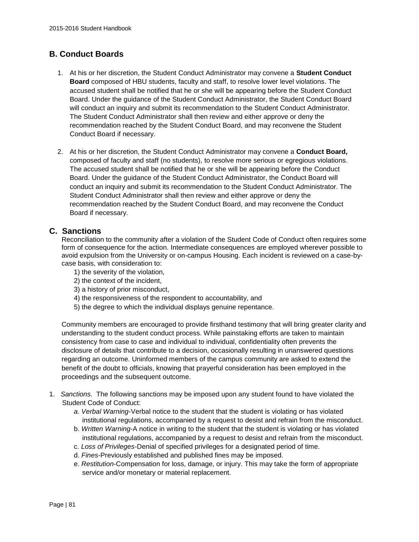# **B. Conduct Boards**

- 1. At his or her discretion, the Student Conduct Administrator may convene a **Student Conduct Board** composed of HBU students, faculty and staff, to resolve lower level violations. The accused student shall be notified that he or she will be appearing before the Student Conduct Board. Under the guidance of the Student Conduct Administrator, the Student Conduct Board will conduct an inquiry and submit its recommendation to the Student Conduct Administrator. The Student Conduct Administrator shall then review and either approve or deny the recommendation reached by the Student Conduct Board, and may reconvene the Student Conduct Board if necessary.
- 2. At his or her discretion, the Student Conduct Administrator may convene a **Conduct Board,**  composed of faculty and staff (no students), to resolve more serious or egregious violations. The accused student shall be notified that he or she will be appearing before the Conduct Board. Under the guidance of the Student Conduct Administrator, the Conduct Board will conduct an inquiry and submit its recommendation to the Student Conduct Administrator. The Student Conduct Administrator shall then review and either approve or deny the recommendation reached by the Student Conduct Board, and may reconvene the Conduct Board if necessary.

# **C. Sanctions**

Reconciliation to the community after a violation of the Student Code of Conduct often requires some form of consequence for the action. Intermediate consequences are employed wherever possible to avoid expulsion from the University or on-campus Housing. Each incident is reviewed on a case-bycase basis, with consideration to:

- 1) the severity of the violation,
- 2) the context of the incident,
- 3) a history of prior misconduct,
- 4) the responsiveness of the respondent to accountability, and
- 5) the degree to which the individual displays genuine repentance.

Community members are encouraged to provide firsthand testimony that will bring greater clarity and understanding to the student conduct process. While painstaking efforts are taken to maintain consistency from case to case and individual to individual, confidentiality often prevents the disclosure of details that contribute to a decision, occasionally resulting in unanswered questions regarding an outcome. Uninformed members of the campus community are asked to extend the benefit of the doubt to officials, knowing that prayerful consideration has been employed in the proceedings and the subsequent outcome.

- 1. *Sanctions.* The following sanctions may be imposed upon any student found to have violated the Student Code of Conduct:
	- *a. Verbal Warning*-Verbal notice to the student that the student is violating or has violated institutional regulations, accompanied by a request to desist and refrain from the misconduct.
	- b. *Written Warning*-A notice in writing to the student that the student is violating or has violated institutional regulations, accompanied by a request to desist and refrain from the misconduct.
	- c. *Loss of Privileges*-Denial of specified privileges for a designated period of time.
	- d. *Fines*-Previously established and published fines may be imposed.
	- e. *Restitution*-Compensation for loss, damage, or injury. This may take the form of appropriate service and/or monetary or material replacement.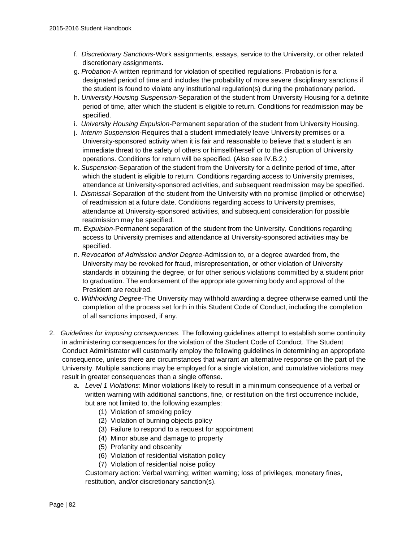- f. *Discretionary Sanctions*-Work assignments, essays, service to the University, or other related discretionary assignments.
- g. *Probation*-A written reprimand for violation of specified regulations. Probation is for a designated period of time and includes the probability of more severe disciplinary sanctions if the student is found to violate any institutional regulation(s) during the probationary period.
- h. *University Housing Suspension*-Separation of the student from University Housing for a definite period of time, after which the student is eligible to return. Conditions for readmission may be specified.
- i. *University Housing Expulsion*-Permanent separation of the student from University Housing.
- j. *Interim Suspension*-Requires that a student immediately leave University premises or a University-sponsored activity when it is fair and reasonable to believe that a student is an immediate threat to the safety of others or himself/herself or to the disruption of University operations. Conditions for return will be specified. (Also see IV.B.2.)
- k. *Suspension*-Separation of the student from the University for a definite period of time, after which the student is eligible to return. Conditions regarding access to University premises, attendance at University-sponsored activities, and subsequent readmission may be specified.
- l. *Dismissal-*Separation of the student from the University with no promise (implied or otherwise) of readmission at a future date. Conditions regarding access to University premises, attendance at University-sponsored activities, and subsequent consideration for possible readmission may be specified.
- m. *Expulsion*-Permanent separation of the student from the University. Conditions regarding access to University premises and attendance at University-sponsored activities may be specified.
- n. *Revocation of Admission and/or Degree-*Admission to, or a degree awarded from, the University may be revoked for fraud, misrepresentation, or other violation of University standards in obtaining the degree, or for other serious violations committed by a student prior to graduation. The endorsement of the appropriate governing body and approval of the President are required.
- o. *Withholding Degree*-The University may withhold awarding a degree otherwise earned until the completion of the process set forth in this Student Code of Conduct, including the completion of all sanctions imposed, if any.
- 2. *Guidelines for imposing consequences.* The following guidelines attempt to establish some continuity in administering consequences for the violation of the Student Code of Conduct. The Student Conduct Administrator will customarily employ the following guidelines in determining an appropriate consequence, unless there are circumstances that warrant an alternative response on the part of the University. Multiple sanctions may be employed for a single violation, and cumulative violations may result in greater consequences than a single offense.
	- a. *Level 1 Violations*: Minor violations likely to result in a minimum consequence of a verbal or written warning with additional sanctions, fine, or restitution on the first occurrence include, but are not limited to, the following examples:
		- (1) Violation of smoking policy
		- (2) Violation of burning objects policy
		- (3) Failure to respond to a request for appointment
		- (4) Minor abuse and damage to property
		- (5) Profanity and obscenity
		- (6) Violation of residential visitation policy
		- (7) Violation of residential noise policy
		- Customary action: Verbal warning; written warning; loss of privileges, monetary fines, restitution, and/or discretionary sanction(s).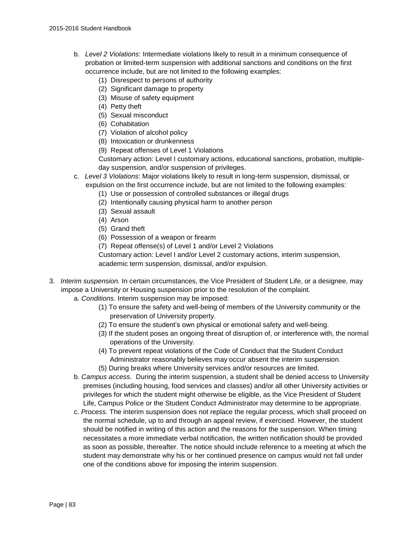- b. *Level 2 Violations*: Intermediate violations likely to result in a minimum consequence of probation or limited-term suspension with additional sanctions and conditions on the first occurrence include, but are not limited to the following examples:
	- (1) Disrespect to persons of authority
	- (2) Significant damage to property
	- (3) Misuse of safety equipment
	- (4) Petty theft
	- (5) Sexual misconduct
	- (6) Cohabitation
	- (7) Violation of alcohol policy
	- (8) Intoxication or drunkenness
	- (9) Repeat offenses of Level 1 Violations

Customary action: Level I customary actions, educational sanctions, probation, multipleday suspension, and/or suspension of privileges.

- c. *Level 3 Violations*: Major violations likely to result in long-term suspension, dismissal, or expulsion on the first occurrence include, but are not limited to the following examples:
	- (1) Use or possession of controlled substances or illegal drugs
	- (2) Intentionally causing physical harm to another person
	- (3) Sexual assault
	- (4) Arson
	- (5) Grand theft
	- (6) Possession of a weapon or firearm
	- (7) Repeat offense(s) of Level 1 and/or Level 2 Violations
	- Customary action: Level I and/or Level 2 customary actions, interim suspension,

academic term suspension, dismissal, and/or expulsion.

- 3. *Interim suspension.* In certain circumstances, the Vice President of Student Life, or a designee, may impose a University or Housing suspension prior to the resolution of the complaint.
	- a. *Conditions*. Interim suspension may be imposed:
		- (1) To ensure the safety and well-being of members of the University community or the preservation of University property.
		- (2) To ensure the student's own physical or emotional safety and well-being.
		- (3) If the student poses an ongoing threat of disruption of, or interference with, the normal operations of the University.
		- (4) To prevent repeat violations of the Code of Conduct that the Student Conduct Administrator reasonably believes may occur absent the interim suspension.
		- (5) During breaks where University services and/or resources are limited.
	- b. *Campus access*. During the interim suspension, a student shall be denied access to University premises (including housing, food services and classes) and/or all other University activities or privileges for which the student might otherwise be eligible, as the Vice President of Student Life, Campus Police or the Student Conduct Administrator may determine to be appropriate.
	- c. *Process*. The interim suspension does not replace the regular process, which shall proceed on the normal schedule, up to and through an appeal review, if exercised. However, the student should be notified in writing of this action and the reasons for the suspension. When timing necessitates a more immediate verbal notification, the written notification should be provided as soon as possible, thereafter. The notice should include reference to a meeting at which the student may demonstrate why his or her continued presence on campus would not fall under one of the conditions above for imposing the interim suspension.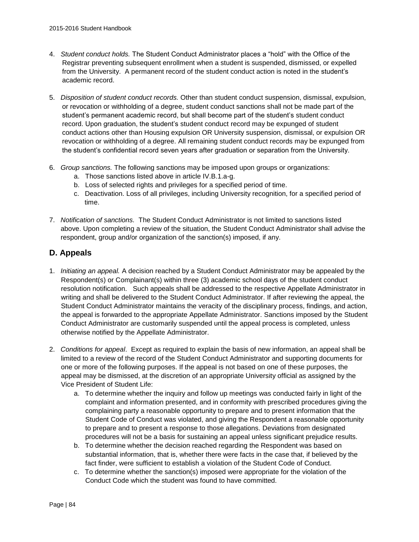- 4. *Student conduct holds.* The Student Conduct Administrator places a "hold" with the Office of the Registrar preventing subsequent enrollment when a student is suspended, dismissed, or expelled from the University. A permanent record of the student conduct action is noted in the student's academic record.
- 5. *Disposition of student conduct records.* Other than student conduct suspension, dismissal, expulsion, or revocation or withholding of a degree, student conduct sanctions shall not be made part of the student's permanent academic record, but shall become part of the student's student conduct record. Upon graduation, the student's student conduct record may be expunged of student conduct actions other than Housing expulsion OR University suspension, dismissal, or expulsion OR revocation or withholding of a degree. All remaining student conduct records may be expunged from the student's confidential record seven years after graduation or separation from the University.
- 6. *Group sanctions.* The following sanctions may be imposed upon groups or organizations:
	- a. Those sanctions listed above in article IV.B.1.a-g.
	- b. Loss of selected rights and privileges for a specified period of time.
	- c. Deactivation. Loss of all privileges, including University recognition, for a specified period of time.
- 7. *Notification of sanctions.* The Student Conduct Administrator is not limited to sanctions listed above. Upon completing a review of the situation, the Student Conduct Administrator shall advise the respondent, group and/or organization of the sanction(s) imposed, if any.

# **D. Appeals**

- 1. *Initiating an appeal.* A decision reached by a Student Conduct Administrator may be appealed by the Respondent(s) or Complainant(s) within three (3) academic school days of the student conduct resolution notification. Such appeals shall be addressed to the respective Appellate Administrator in writing and shall be delivered to the Student Conduct Administrator. If after reviewing the appeal, the Student Conduct Administrator maintains the veracity of the disciplinary process, findings, and action, the appeal is forwarded to the appropriate Appellate Administrator. Sanctions imposed by the Student Conduct Administrator are customarily suspended until the appeal process is completed, unless otherwise notified by the Appellate Administrator.
- 2. *Conditions for appeal*. Except as required to explain the basis of new information, an appeal shall be limited to a review of the record of the Student Conduct Administrator and supporting documents for one or more of the following purposes. If the appeal is not based on one of these purposes, the appeal may be dismissed, at the discretion of an appropriate University official as assigned by the Vice President of Student Life:
	- a. To determine whether the inquiry and follow up meetings was conducted fairly in light of the complaint and information presented, and in conformity with prescribed procedures giving the complaining party a reasonable opportunity to prepare and to present information that the Student Code of Conduct was violated, and giving the Respondent a reasonable opportunity to prepare and to present a response to those allegations. Deviations from designated procedures will not be a basis for sustaining an appeal unless significant prejudice results.
	- b. To determine whether the decision reached regarding the Respondent was based on substantial information, that is, whether there were facts in the case that, if believed by the fact finder, were sufficient to establish a violation of the Student Code of Conduct.
	- c. To determine whether the sanction(s) imposed were appropriate for the violation of the Conduct Code which the student was found to have committed.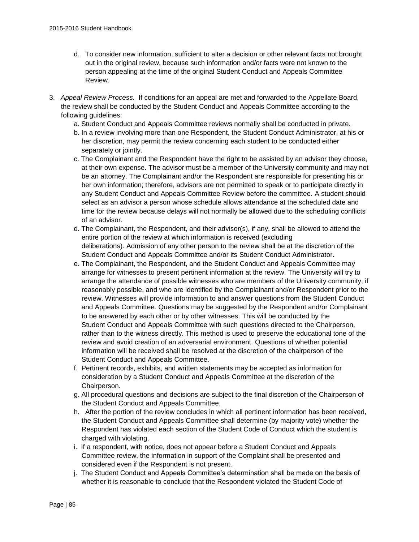- d. To consider new information, sufficient to alter a decision or other relevant facts not brought out in the original review, because such information and/or facts were not known to the person appealing at the time of the original Student Conduct and Appeals Committee Review.
- 3. *Appeal Review Process.* If conditions for an appeal are met and forwarded to the Appellate Board, the review shall be conducted by the Student Conduct and Appeals Committee according to the following guidelines:
	- a. Student Conduct and Appeals Committee reviews normally shall be conducted in private.
	- b. In a review involving more than one Respondent, the Student Conduct Administrator, at his or her discretion, may permit the review concerning each student to be conducted either separately or jointly.
	- c. The Complainant and the Respondent have the right to be assisted by an advisor they choose, at their own expense. The advisor must be a member of the University community and may not be an attorney. The Complainant and/or the Respondent are responsible for presenting his or her own information; therefore, advisors are not permitted to speak or to participate directly in any Student Conduct and Appeals Committee Review before the committee. A student should select as an advisor a person whose schedule allows attendance at the scheduled date and time for the review because delays will not normally be allowed due to the scheduling conflicts of an advisor.
	- d. The Complainant, the Respondent, and their advisor(s), if any, shall be allowed to attend the entire portion of the review at which information is received (excluding deliberations). Admission of any other person to the review shall be at the discretion of the Student Conduct and Appeals Committee and/or its Student Conduct Administrator.
	- e. The Complainant, the Respondent, and the Student Conduct and Appeals Committee may arrange for witnesses to present pertinent information at the review. The University will try to arrange the attendance of possible witnesses who are members of the University community, if reasonably possible, and who are identified by the Complainant and/or Respondent prior to the review. Witnesses will provide information to and answer questions from the Student Conduct and Appeals Committee. Questions may be suggested by the Respondent and/or Complainant to be answered by each other or by other witnesses. This will be conducted by the Student Conduct and Appeals Committee with such questions directed to the Chairperson, rather than to the witness directly. This method is used to preserve the educational tone of the review and avoid creation of an adversarial environment. Questions of whether potential information will be received shall be resolved at the discretion of the chairperson of the Student Conduct and Appeals Committee.
	- f. Pertinent records, exhibits, and written statements may be accepted as information for consideration by a Student Conduct and Appeals Committee at the discretion of the Chairperson.
	- g. All procedural questions and decisions are subject to the final discretion of the Chairperson of the Student Conduct and Appeals Committee.
	- h. After the portion of the review concludes in which all pertinent information has been received, the Student Conduct and Appeals Committee shall determine (by majority vote) whether the Respondent has violated each section of the Student Code of Conduct which the student is charged with violating.
	- i. If a respondent, with notice, does not appear before a Student Conduct and Appeals Committee review, the information in support of the Complaint shall be presented and considered even if the Respondent is not present.
	- j. The Student Conduct and Appeals Committee's determination shall be made on the basis of whether it is reasonable to conclude that the Respondent violated the Student Code of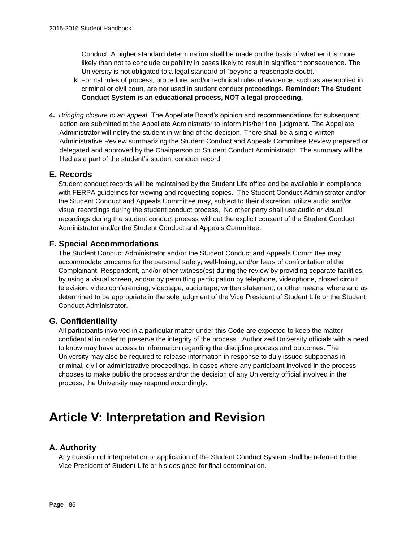Conduct. A higher standard determination shall be made on the basis of whether it is more likely than not to conclude culpability in cases likely to result in significant consequence. The University is not obligated to a legal standard of "beyond a reasonable doubt."

- k. Formal rules of process, procedure, and/or technical rules of evidence, such as are applied in criminal or civil court, are not used in student conduct proceedings. **Reminder: The Student Conduct System is an educational process, NOT a legal proceeding.**
- **4.** *Bringing closure to an appeal.* The Appellate Board's opinion and recommendations for subsequent action are submitted to the Appellate Administrator to inform his/her final judgment. The Appellate Administrator will notify the student in writing of the decision. There shall be a single written Administrative Review summarizing the Student Conduct and Appeals Committee Review prepared or delegated and approved by the Chairperson or Student Conduct Administrator. The summary will be filed as a part of the student's student conduct record.

# **E. Records**

Student conduct records will be maintained by the Student Life office and be available in compliance with FERPA guidelines for viewing and requesting copies. The Student Conduct Administrator and/or the Student Conduct and Appeals Committee may, subject to their discretion, utilize audio and/or visual recordings during the student conduct process. No other party shall use audio or visual recordings during the student conduct process without the explicit consent of the Student Conduct Administrator and/or the Student Conduct and Appeals Committee.

# **F. Special Accommodations**

The Student Conduct Administrator and/or the Student Conduct and Appeals Committee may accommodate concerns for the personal safety, well-being, and/or fears of confrontation of the Complainant, Respondent, and/or other witness(es) during the review by providing separate facilities, by using a visual screen, and/or by permitting participation by telephone, videophone, closed circuit television, video conferencing, videotape, audio tape, written statement, or other means, where and as determined to be appropriate in the sole judgment of the Vice President of Student Life or the Student Conduct Administrator.

# **G. Confidentiality**

All participants involved in a particular matter under this Code are expected to keep the matter confidential in order to preserve the integrity of the process. Authorized University officials with a need to know may have access to information regarding the discipline process and outcomes. The University may also be required to release information in response to duly issued subpoenas in criminal, civil or administrative proceedings. In cases where any participant involved in the process chooses to make public the process and/or the decision of any University official involved in the process, the University may respond accordingly.

# **Article V: Interpretation and Revision**

# **A. Authority**

Any question of interpretation or application of the Student Conduct System shall be referred to the Vice President of Student Life or his designee for final determination.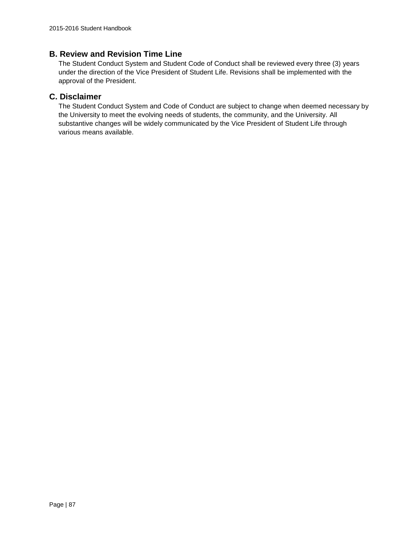# **B. Review and Revision Time Line**

The Student Conduct System and Student Code of Conduct shall be reviewed every three (3) years under the direction of the Vice President of Student Life. Revisions shall be implemented with the approval of the President.

### **C. Disclaimer**

The Student Conduct System and Code of Conduct are subject to change when deemed necessary by the University to meet the evolving needs of students, the community, and the University. All substantive changes will be widely communicated by the Vice President of Student Life through various means available.